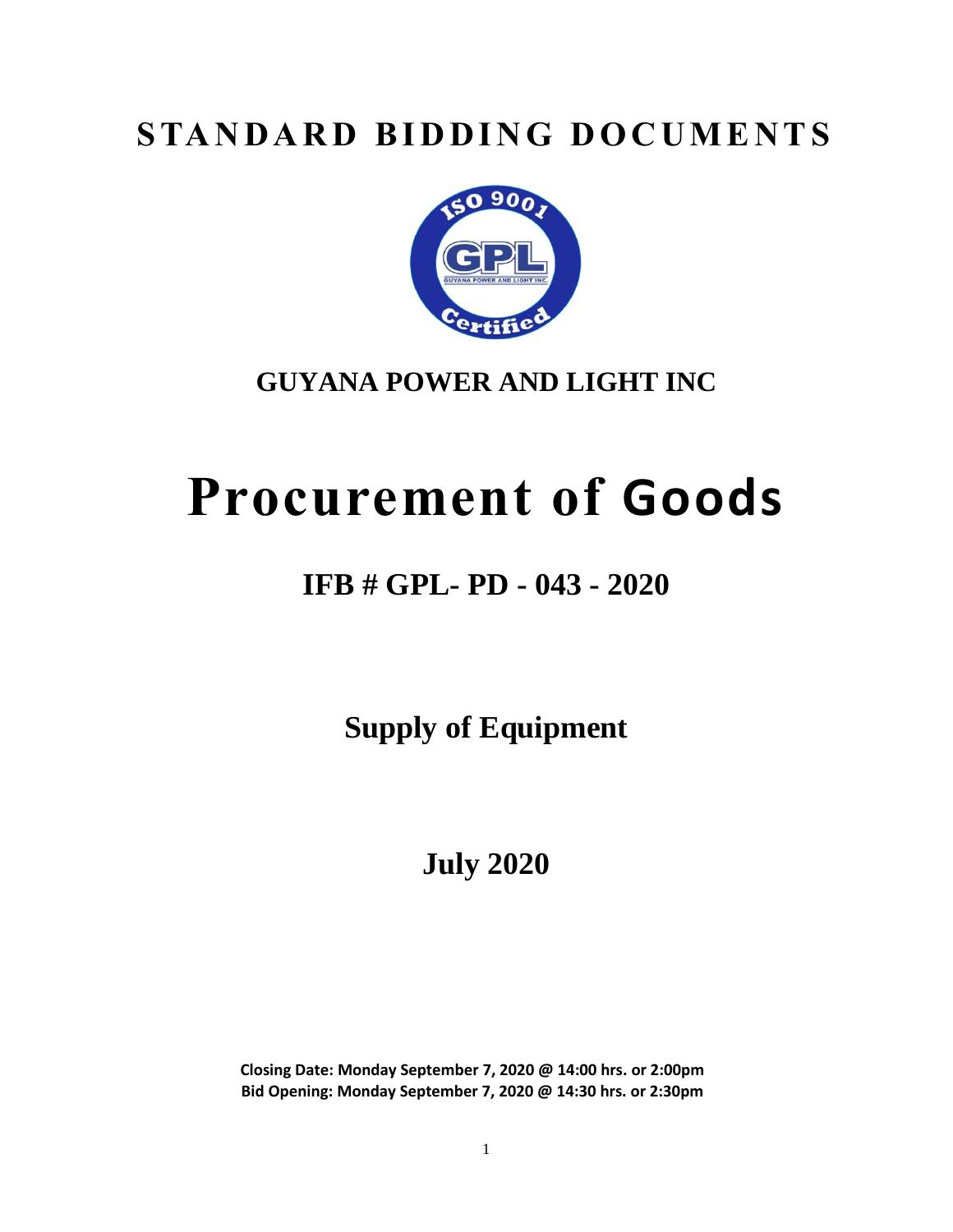# **STANDARD BIDDING DOCUMENTS**



# **GUYANA POWER AND LIGHT INC**

# **Procurement of Goods**

# **IFB # GPL- PD - 043 - 2020**

**Supply of Equipment** 

**July 2020**

**Closing Date: Monday September 7, 2020 @ 14:00 hrs. or 2:00pm Bid Opening: Monday September 7, 2020 @ 14:30 hrs. or 2:30pm**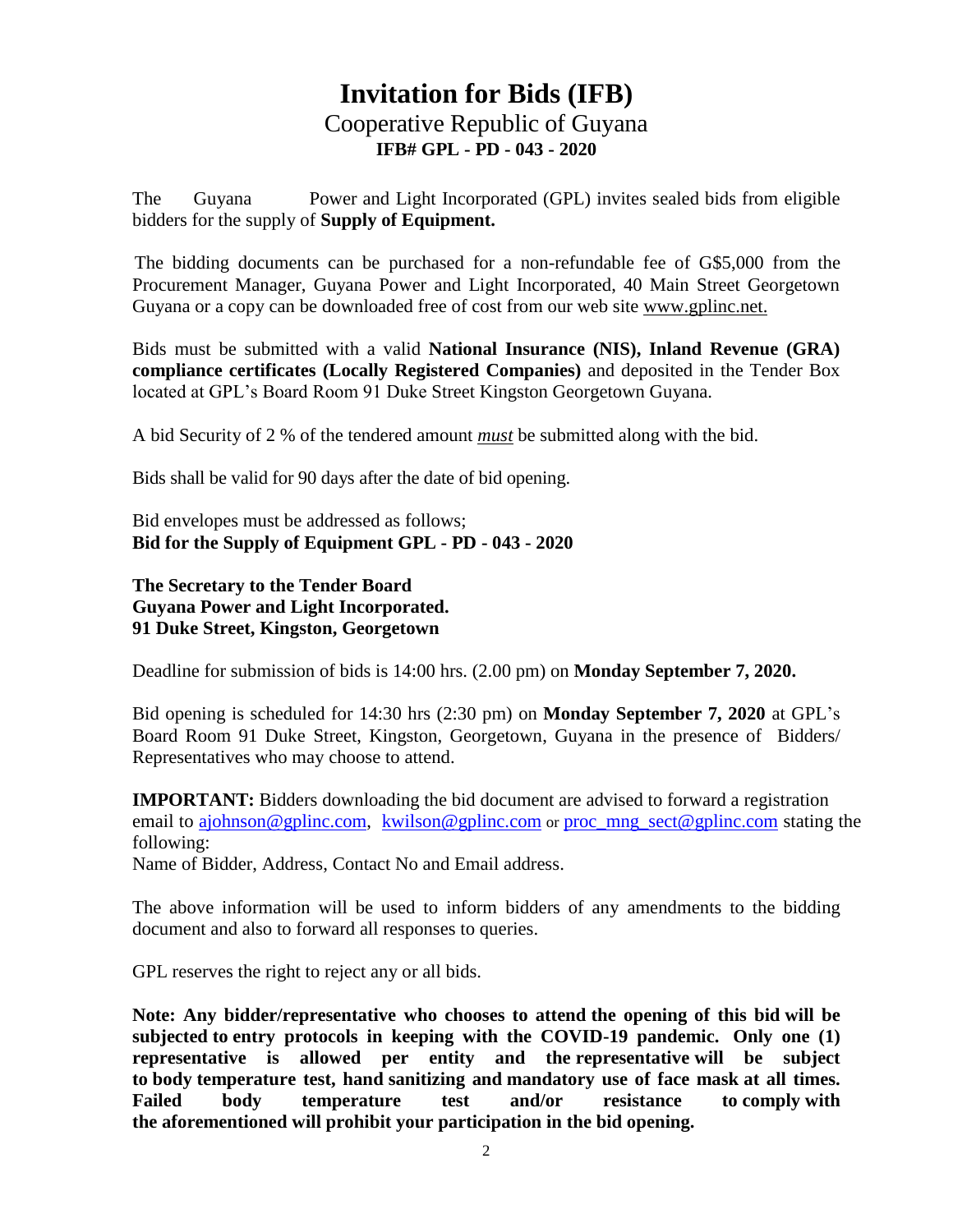# **Invitation for Bids (IFB)** Cooperative Republic of Guyana **IFB# GPL - PD - 043 - 2020**

The Guyana Power and Light Incorporated (GPL) invites sealed bids from eligible bidders for the supply of **Supply of Equipment.**

The bidding documents can be purchased for a non-refundable fee of G\$5,000 from the Procurement Manager, Guyana Power and Light Incorporated, 40 Main Street Georgetown Guyana or a copy can be downloaded free of cost from our web site www.gplinc.net.

Bids must be submitted with a valid **National Insurance (NIS), Inland Revenue (GRA) compliance certificates (Locally Registered Companies)** and deposited in the Tender Box located at GPL's Board Room 91 Duke Street Kingston Georgetown Guyana.

A bid Security of 2 % of the tendered amount *must* be submitted along with the bid.

Bids shall be valid for 90 days after the date of bid opening.

Bid envelopes must be addressed as follows; **Bid for the Supply of Equipment GPL - PD - 043 - 2020**

#### **The Secretary to the Tender Board Guyana Power and Light Incorporated. 91 Duke Street, Kingston, Georgetown**

Deadline for submission of bids is 14:00 hrs. (2.00 pm) on **Monday September 7, 2020.**

Bid opening is scheduled for 14:30 hrs (2:30 pm) on **Monday September 7, 2020** at GPL's Board Room 91 Duke Street, Kingston, Georgetown, Guyana in the presence of Bidders/ Representatives who may choose to attend.

**IMPORTANT:** Bidders downloading the bid document are advised to forward a registration email to [ajohnson@gplinc.com,](mailto:ajohnson@gplinc.com) [kwilson@gplinc.com](mailto:kwilson@gplinc.com) or [proc\\_mng\\_sect@gplinc.com](mailto:proc_mng_sect@gplinc.com) stating the following:

Name of Bidder, Address, Contact No and Email address.

The above information will be used to inform bidders of any amendments to the bidding document and also to forward all responses to queries.

GPL reserves the right to reject any or all bids.

**Note: Any bidder/representative who chooses to attend the opening of this bid will be subjected to entry protocols in keeping with the COVID-19 pandemic. Only one (1) representative is allowed per entity and the representative will be subject to body temperature test, hand sanitizing and mandatory use of face mask at all times. Failed body temperature test and/or resistance to comply with the aforementioned will prohibit your participation in the bid opening.**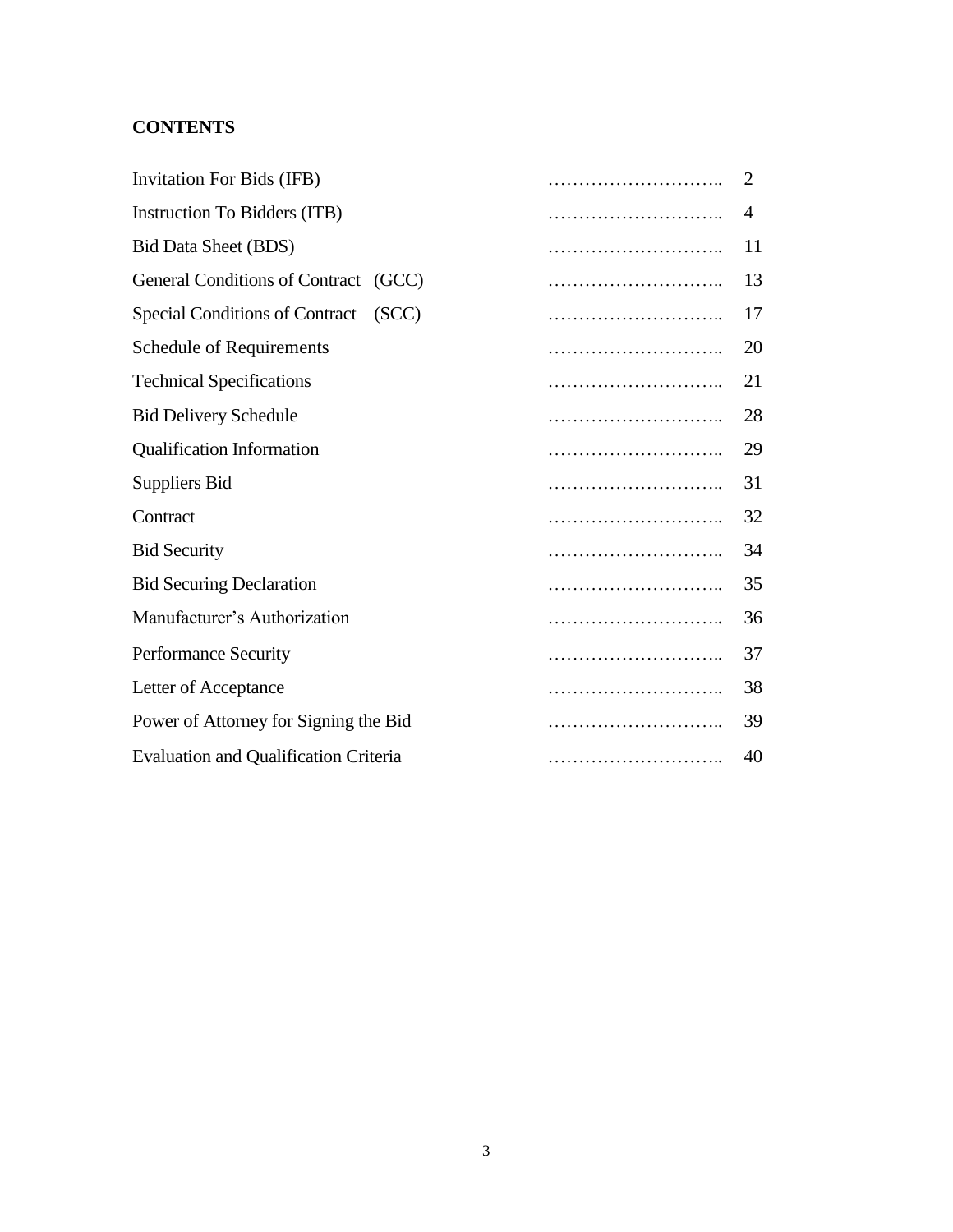### **CONTENTS**

| Invitation For Bids (IFB)                      |  | $\overline{2}$ |
|------------------------------------------------|--|----------------|
| Instruction To Bidders (ITB)                   |  | 4              |
| <b>Bid Data Sheet (BDS)</b>                    |  | 11             |
| General Conditions of Contract (GCC)           |  | 13             |
| <b>Special Conditions of Contract</b><br>(SCC) |  | 17             |
| <b>Schedule of Requirements</b>                |  | 20             |
| <b>Technical Specifications</b>                |  | 21             |
| <b>Bid Delivery Schedule</b>                   |  | 28             |
| <b>Qualification Information</b>               |  | 29             |
| <b>Suppliers Bid</b>                           |  | 31             |
| Contract                                       |  | 32             |
| <b>Bid Security</b>                            |  | 34             |
| <b>Bid Securing Declaration</b>                |  | 35             |
| Manufacturer's Authorization                   |  | 36             |
| <b>Performance Security</b>                    |  | 37             |
| Letter of Acceptance                           |  | 38             |
| Power of Attorney for Signing the Bid          |  | 39             |
| <b>Evaluation and Qualification Criteria</b>   |  | 40             |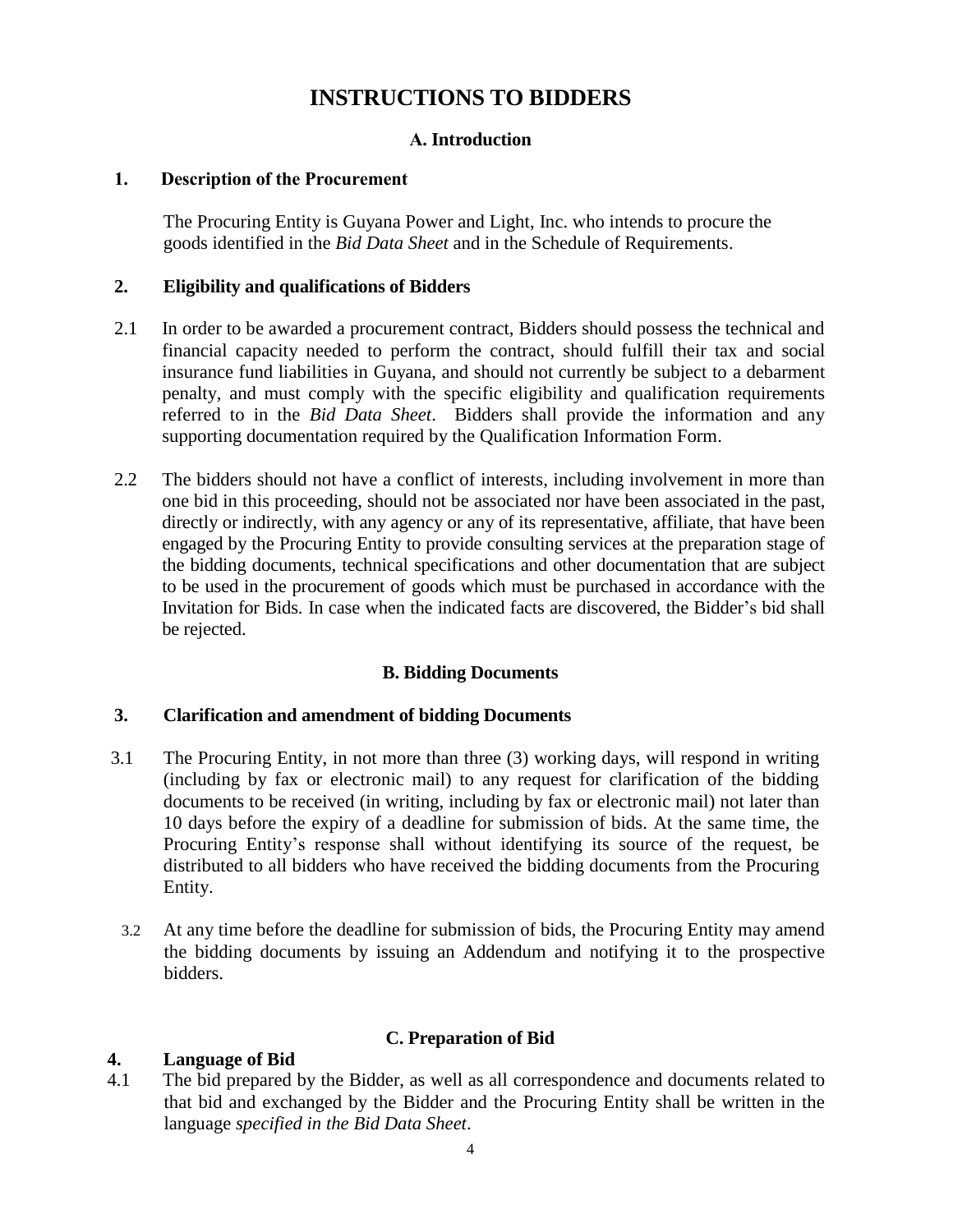### **INSTRUCTIONS TO BIDDERS**

#### **А. Introduction**

#### **1. Description of the Procurement**

The Procuring Entity is Guyana Power and Light, Inc. who intends to procure the goods identified in the *Bid Data Sheet* and in the Schedule of Requirements.

#### **2. Eligibility and qualifications of Bidders**

- 2.1 In order to be awarded a procurement contract, Bidders should possess the technical and financial capacity needed to perform the contract, should fulfill their tax and social insurance fund liabilities in Guyana, and should not currently be subject to a debarment penalty, and must comply with the specific eligibility and qualification requirements referred to in the *Bid Data Sheet*. Bidders shall provide the information and any supporting documentation required by the Qualification Information Form.
- 2.2 The bidders should not have a conflict of interests, including involvement in more than one bid in this proceeding, should not be associated nor have been associated in the past, directly or indirectly, with any agency or any of its representative, affiliate, that have been engaged by the Procuring Entity to provide consulting services at the preparation stage of the bidding documents, technical specifications and other documentation that are subject to be used in the procurement of goods which must be purchased in accordance with the Invitation for Bids. In case when the indicated facts are discovered, the Bidder's bid shall be rejected.

#### **B. Bidding Documents**

#### **3. Clarification and amendment of bidding Documents**

- 3.1 The Procuring Entity, in not more than three (3) working days, will respond in writing (including by fax or electronic mail) to any request for clarification of the bidding documents to be received (in writing, including by fax or electronic mail) not later than 10 days before the expiry of a deadline for submission of bids. At the same time, the Procuring Entity's response shall without identifying its source of the request, be distributed to all bidders who have received the bidding documents from the Procuring Entity.
	- 3.2 At any time before the deadline for submission of bids, the Procuring Entity may amend the bidding documents by issuing an Addendum and notifying it to the prospective bidders.

#### **4. Language of Bid**

#### **C. Preparation of Bid**

4.1 The bid prepared by the Bidder, as well as all correspondence and documents related to that bid and exchanged by the Bidder and the Procuring Entity shall be written in the language *specified in the Bid Data Sheet*.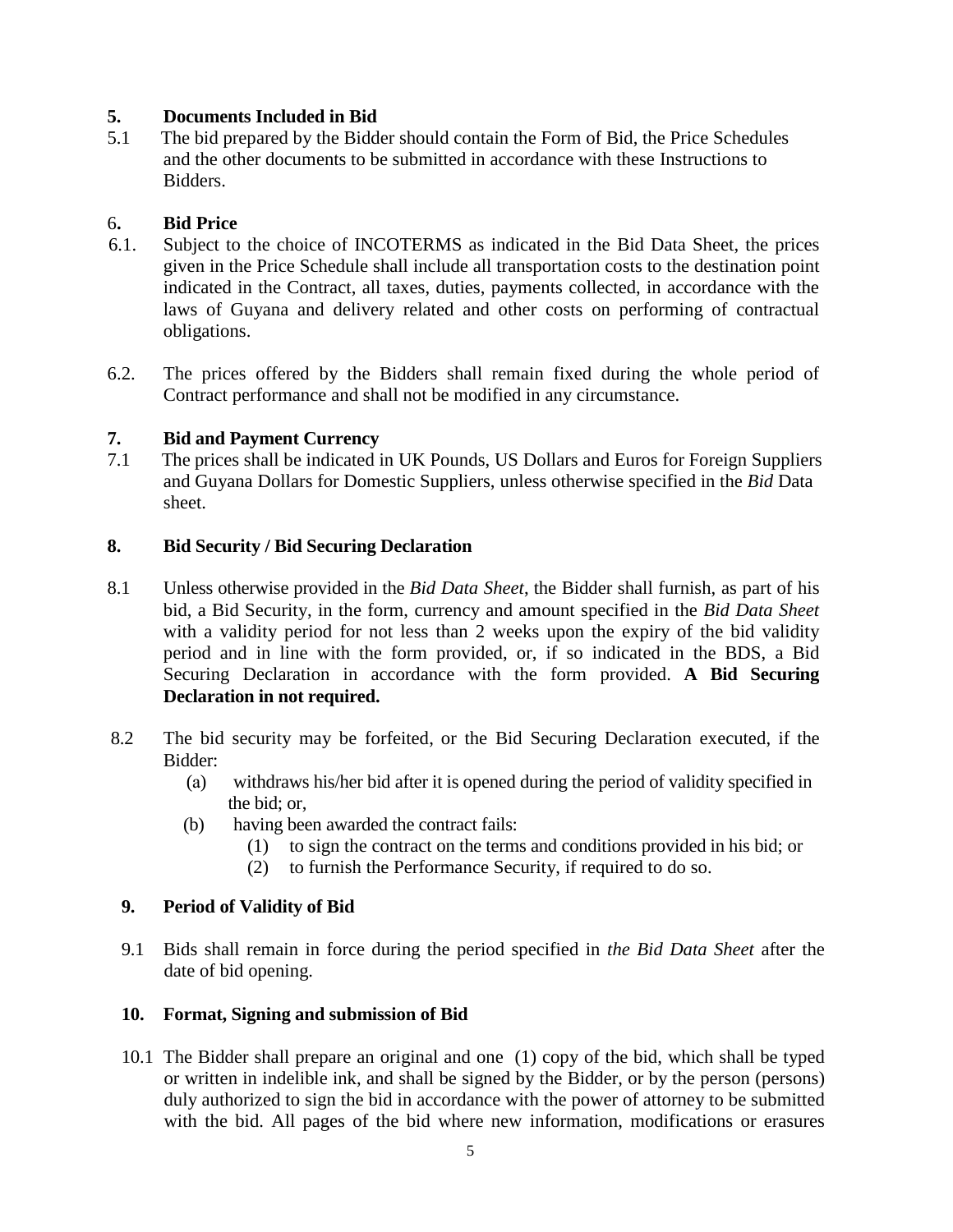#### **5. Documents Included in Bid**

5.1 The bid prepared by the Bidder should contain the Form of Bid, the Price Schedules and the other documents to be submitted in accordance with these Instructions to Bidders.

#### 6**. Bid Price**

- 6.1. Subject to the choice of INCOTERMS as indicated in the Bid Data Sheet, the prices given in the Price Schedule shall include all transportation costs to the destination point indicated in the Contract, all taxes, duties, payments collected, in accordance with the laws of Guyana and delivery related and other costs on performing of contractual obligations.
- 6.2. The prices offered by the Bidders shall remain fixed during the whole period of Contract performance and shall not be modified in any circumstance.

#### **7. Bid and Payment Currency**

7.1 The prices shall be indicated in UK Pounds, US Dollars and Euros for Foreign Suppliers and Guyana Dollars for Domestic Suppliers, unless otherwise specified in the *Bid* Data sheet.

#### **8. Bid Security / Bid Securing Declaration**

- 8.1 Unless otherwise provided in the *Bid Data Sheet*, the Bidder shall furnish, as part of his bid, a Bid Security, in the form, currency and amount specified in the *Bid Data Sheet* with a validity period for not less than 2 weeks upon the expiry of the bid validity period and in line with the form provided, or, if so indicated in the BDS, a Bid Securing Declaration in accordance with the form provided. **A Bid Securing Declaration in not required.**
- 8.2 The bid security may be forfeited, or the Bid Securing Declaration executed, if the Bidder:
	- (а) withdraws his/her bid after it is opened during the period of validity specified in the bid; or,
	- (b) having been awarded the contract fails:
		- (1) to sign the contract on the terms and conditions provided in his bid; or
		- (2) to furnish the Performance Security, if required to do so.

#### **9. Period of Validity of Bid**

9.1 Bids shall remain in force during the period specified in *the Bid Data Sheet* after the date of bid opening.

#### **10. Format, Signing and submission of Bid**

10.1 The Bidder shall prepare an original and one (1) copy of the bid, which shall be typed or written in indelible ink, and shall be signed by the Bidder, or by the person (persons) duly authorized to sign the bid in accordance with the power of attorney to be submitted with the bid. All pages of the bid where new information, modifications or erasures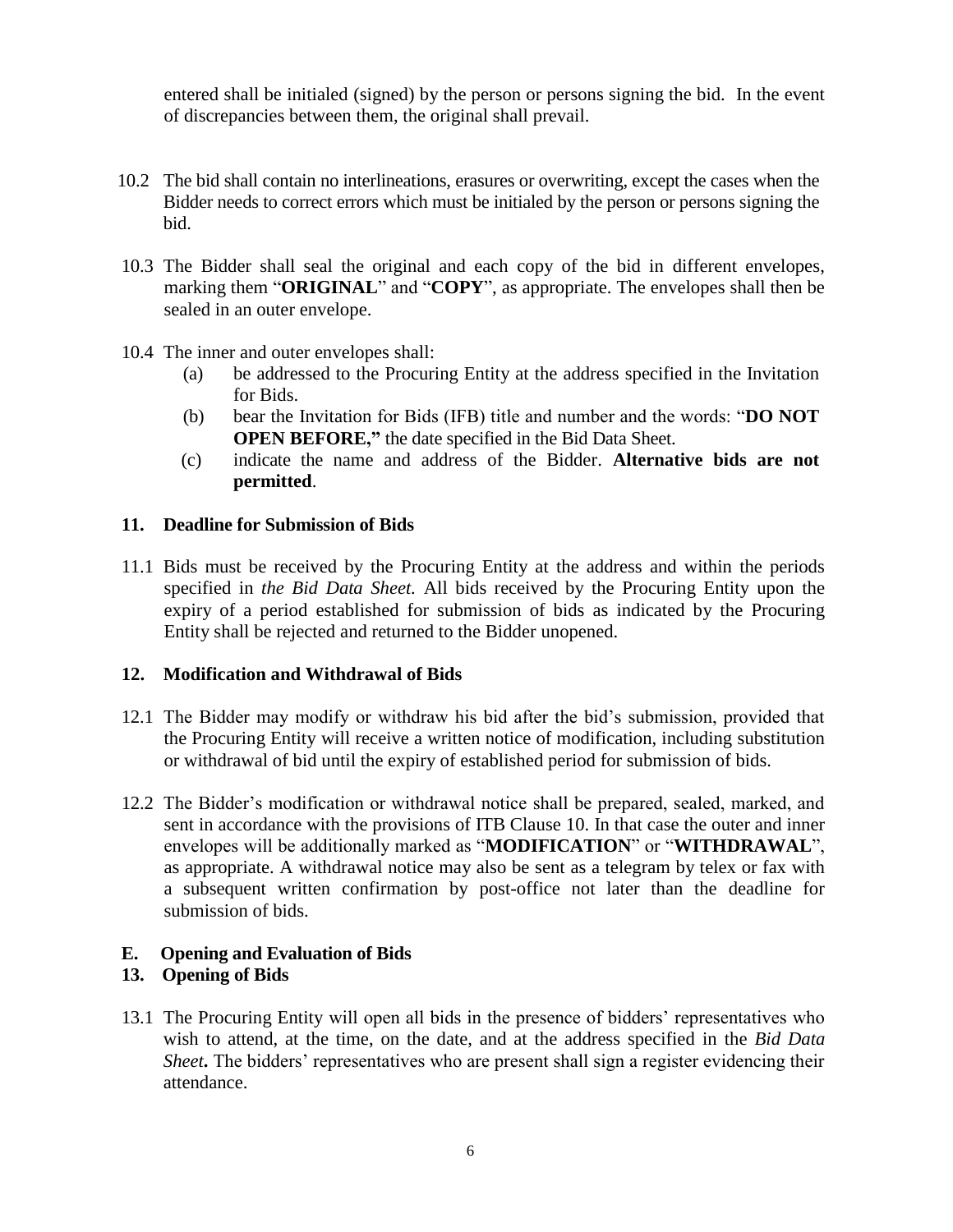entered shall be initialed (signed) by the person or persons signing the bid. In the event of discrepancies between them, the original shall prevail.

- 10.2 The bid shall contain no interlineations, erasures or overwriting, except the cases when the Bidder needs to correct errors which must be initialed by the person or persons signing the bid.
- 10.3 The Bidder shall seal the original and each copy of the bid in different envelopes, marking them "**ORIGINAL**" and "**COPY**", as appropriate. The envelopes shall then be sealed in an outer envelope.
- 10.4 The inner and outer envelopes shall:
	- (a) be addressed to the Procuring Entity at the address specified in the Invitation for Bids.
	- (b) bear the Invitation for Bids (IFB) title and number and the words: "**DO NOT OPEN BEFORE,"** the date specified in the Bid Data Sheet.
	- (c) indicate the name and address of the Bidder. **Alternative bids are not permitted**.

#### **11. Deadline for Submission of Bids**

11.1 Bids must be received by the Procuring Entity at the address and within the periods specified in *the Bid Data Sheet.* All bids received by the Procuring Entity upon the expiry of a period established for submission of bids as indicated by the Procuring Entity shall be rejected and returned to the Bidder unopened.

#### **12. Modification and Withdrawal of Bids**

- 12.1 The Bidder may modify or withdraw his bid after the bid's submission, provided that the Procuring Entity will receive a written notice of modification, including substitution or withdrawal of bid until the expiry of established period for submission of bids.
- 12.2 The Bidder's modification or withdrawal notice shall be prepared, sealed, marked, and sent in accordance with the provisions of ITB Clause 10. In that case the outer and inner envelopes will be additionally marked as "**MODIFICATION**" or "**WITHDRAWAL**", as appropriate. A withdrawal notice may also be sent as a telegram by telex or fax with a subsequent written confirmation by post-office not later than the deadline for submission of bids.

#### **E. Opening and Evaluation of Bids**

#### **13. Opening of Bids**

13.1 The Procuring Entity will open all bids in the presence of bidders' representatives who wish to attend, at the time, on the date, and at the address specified in the *Bid Data Sheet***.** The bidders' representatives who are present shall sign a register evidencing their attendance.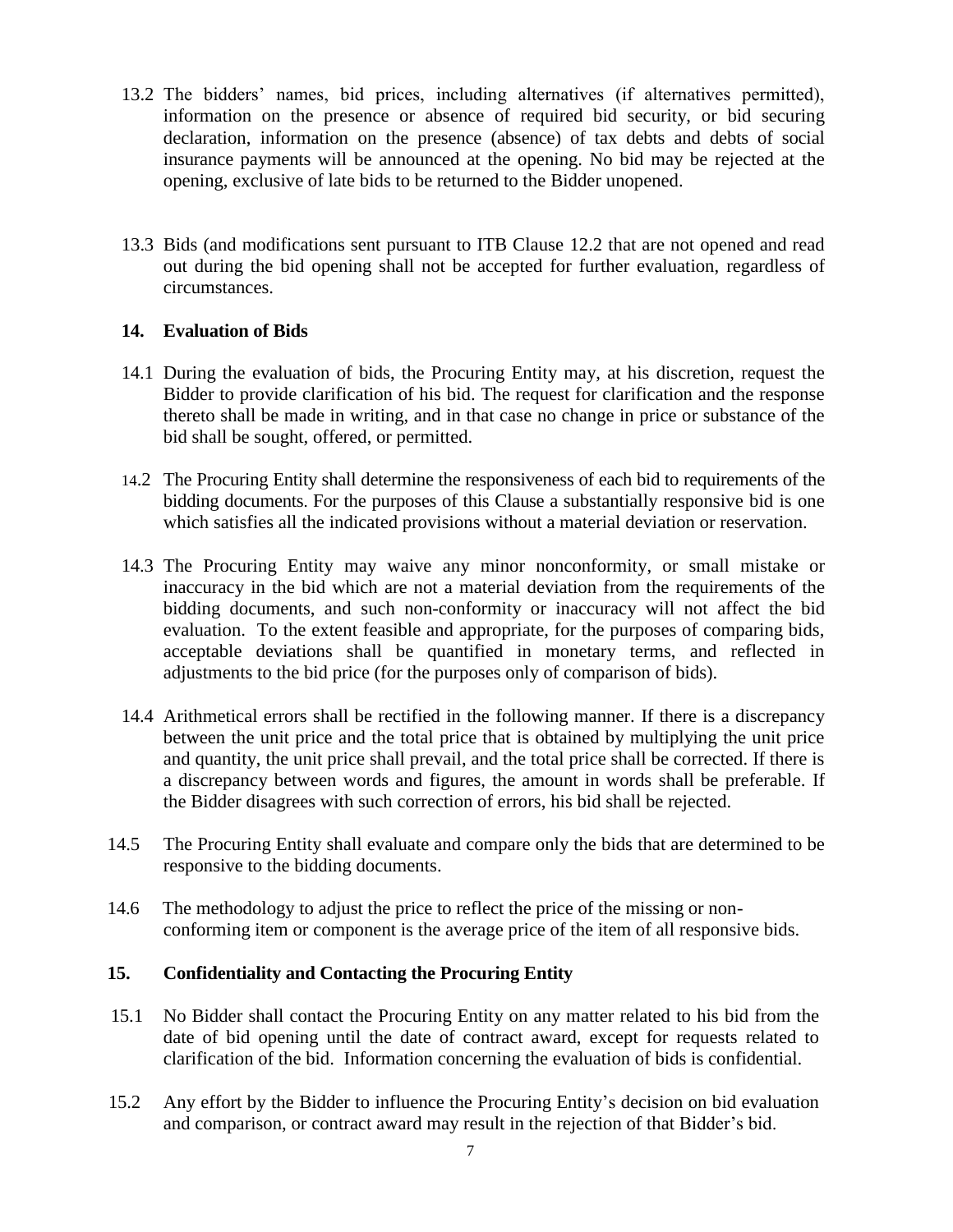- 13.2 The bidders' names, bid prices, including alternatives (if alternatives permitted), information on the presence or absence of required bid security, or bid securing declaration, information on the presence (absence) of tax debts and debts of social insurance payments will be announced at the opening. No bid may be rejected at the opening, exclusive of late bids to be returned to the Bidder unopened.
- 13.3 Bids (and modifications sent pursuant to ITB Clause 12.2 that are not opened and read out during the bid opening shall not be accepted for further evaluation, regardless of circumstances.

#### **14. Evaluation of Bids**

- 14.1 During the evaluation of bids, the Procuring Entity may, at his discretion, request the Bidder to provide clarification of his bid. The request for clarification and the response thereto shall be made in writing, and in that case no change in price or substance of the bid shall be sought, offered, or permitted.
- 14.2 The Procuring Entity shall determine the responsiveness of each bid to requirements of the bidding documents. For the purposes of this Clause a substantially responsive bid is one which satisfies all the indicated provisions without a material deviation or reservation.
- 14.3 The Procuring Entity may waive any minor nonconformity, or small mistake or inaccuracy in the bid which are not a material deviation from the requirements of the bidding documents, and such non-conformity or inaccuracy will not affect the bid evaluation. To the extent feasible and appropriate, for the purposes of comparing bids, acceptable deviations shall be quantified in monetary terms, and reflected in adjustments to the bid price (for the purposes only of comparison of bids).
- 14.4 Arithmetical errors shall be rectified in the following manner. If there is a discrepancy between the unit price and the total price that is obtained by multiplying the unit price and quantity, the unit price shall prevail, and the total price shall be corrected. If there is a discrepancy between words and figures, the amount in words shall be preferable. If the Bidder disagrees with such correction of errors, his bid shall be rejected.
- 14.5 The Procuring Entity shall evaluate and compare only the bids that are determined to be responsive to the bidding documents.
- 14.6 The methodology to adjust the price to reflect the price of the missing or non conforming item or component is the average price of the item of all responsive bids.

#### **15. Confidentiality and Contacting the Procuring Entity**

- 15.1 No Bidder shall contact the Procuring Entity on any matter related to his bid from the date of bid opening until the date of contract award, except for requests related to clarification of the bid. Information concerning the evaluation of bids is confidential.
- 15.2 Any effort by the Bidder to influence the Procuring Entity's decision on bid evaluation and comparison, or contract award may result in the rejection of that Bidder's bid.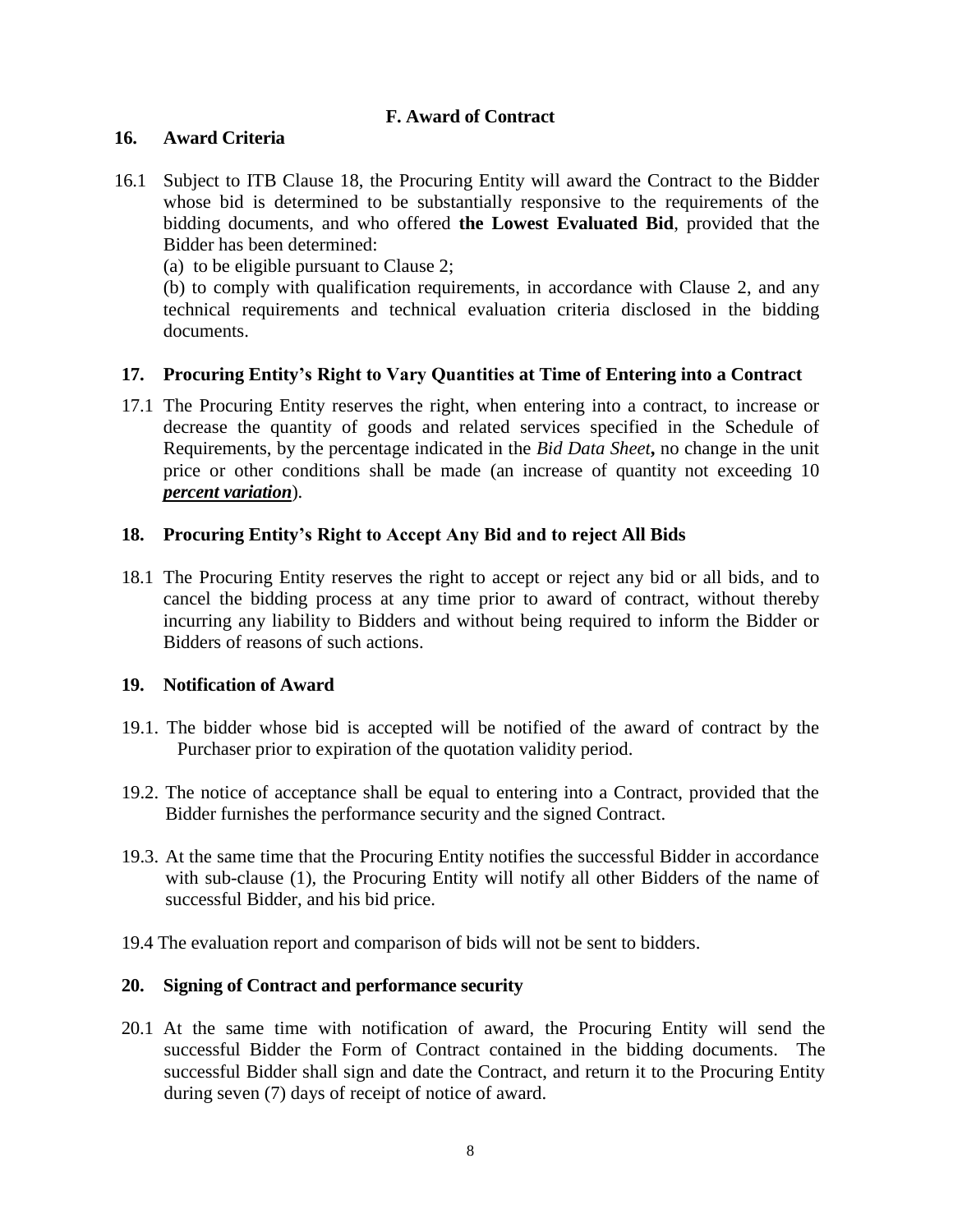#### **F. Award of Contract**

#### **16. Award Criteria**

- 16.1 Subject to ITB Clause 18, the Procuring Entity will award the Contract to the Bidder whose bid is determined to be substantially responsive to the requirements of the bidding documents, and who offered **the Lowest Evaluated Bid**, provided that the Bidder has been determined:
	- (a) to be eligible pursuant to Clause 2;

(b) to comply with qualification requirements, in accordance with Clause 2, and any technical requirements and technical evaluation criteria disclosed in the bidding documents.

#### **17. Procuring Entity's Right to Vary Quantities at Time of Entering into a Contract**

17.1 The Procuring Entity reserves the right, when entering into a contract, to increase or decrease the quantity of goods and related services specified in the Schedule of Requirements, by the percentage indicated in the *Bid Data Sheet***,** no change in the unit price or other conditions shall be made (an increase of quantity not exceeding 10 *percent variation*).

#### **18. Procuring Entity's Right to Accept Any Bid and to reject All Bids**

18.1 The Procuring Entity reserves the right to accept or reject any bid or all bids, and to cancel the bidding process at any time prior to award of contract, without thereby incurring any liability to Bidders and without being required to inform the Bidder or Bidders of reasons of such actions.

#### **19. Notification of Award**

- 19.1. The bidder whose bid is accepted will be notified of the award of contract by the Purchaser prior to expiration of the quotation validity period.
- 19.2. The notice of acceptance shall be equal to entering into a Contract, provided that the Bidder furnishes the performance security and the signed Contract.
- 19.3. At the same time that the Procuring Entity notifies the successful Bidder in accordance with sub-clause (1), the Procuring Entity will notify all other Bidders of the name of successful Bidder, and his bid price.
- 19.4 The evaluation report and comparison of bids will not be sent to bidders.

#### **20. Signing of Contract and performance security**

20.1 At the same time with notification of award, the Procuring Entity will send the successful Bidder the Form of Contract contained in the bidding documents. The successful Bidder shall sign and date the Contract, and return it to the Procuring Entity during seven (7) days of receipt of notice of award.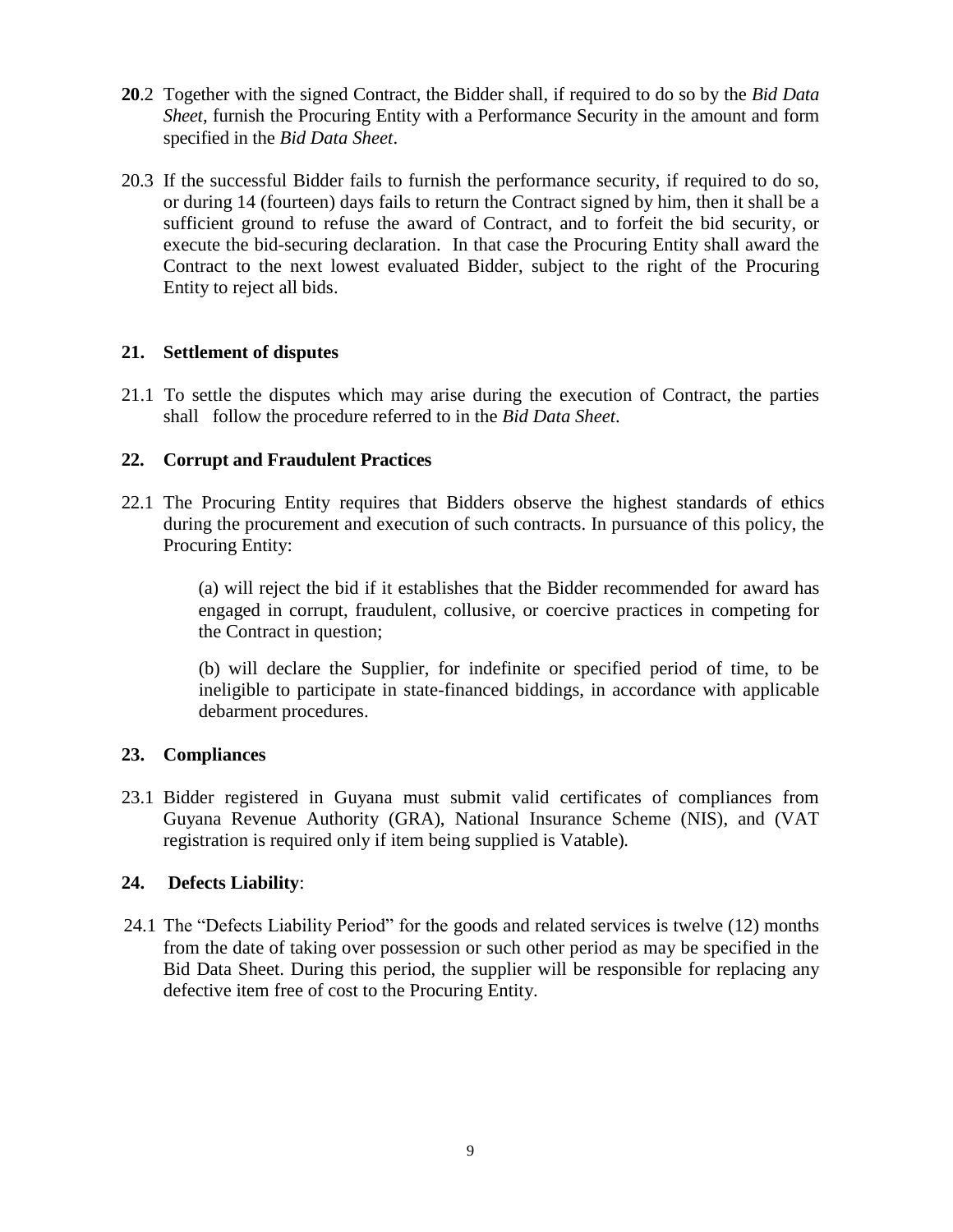- **20**.2 Together with the signed Contract, the Bidder shall, if required to do so by the *Bid Data Sheet*, furnish the Procuring Entity with a Performance Security in the amount and form specified in the *Bid Data Sheet*.
- 20.3 If the successful Bidder fails to furnish the performance security, if required to do so, or during 14 (fourteen) days fails to return the Contract signed by him, then it shall be a sufficient ground to refuse the award of Contract, and to forfeit the bid security, or execute the bid-securing declaration. In that case the Procuring Entity shall award the Contract to the next lowest evaluated Bidder, subject to the right of the Procuring Entity to reject all bids.

#### **21. Settlement of disputes**

21.1 To settle the disputes which may arise during the execution of Contract, the parties shall follow the procedure referred to in the *Bid Data Sheet*.

#### **22. Corrupt and Fraudulent Practices**

22.1 The Procuring Entity requires that Bidders observe the highest standards of ethics during the procurement and execution of such contracts. In pursuance of this policy, the Procuring Entity:

> (a) will reject the bid if it establishes that the Bidder recommended for award has engaged in corrupt, fraudulent, collusive, or coercive practices in competing for the Contract in question;

> (b) will declare the Supplier, for indefinite or specified period of time, to be ineligible to participate in state-financed biddings, in accordance with applicable debarment procedures.

#### **23. Compliances**

23.1 Bidder registered in Guyana must submit valid certificates of compliances from Guyana Revenue Authority (GRA), National Insurance Scheme (NIS), and (VAT registration is required only if item being supplied is Vatable)*.*

#### **24. Defects Liability**:

24.1 The "Defects Liability Period" for the goods and related services is twelve (12) months from the date of taking over possession or such other period as may be specified in the Bid Data Sheet. During this period, the supplier will be responsible for replacing any defective item free of cost to the Procuring Entity.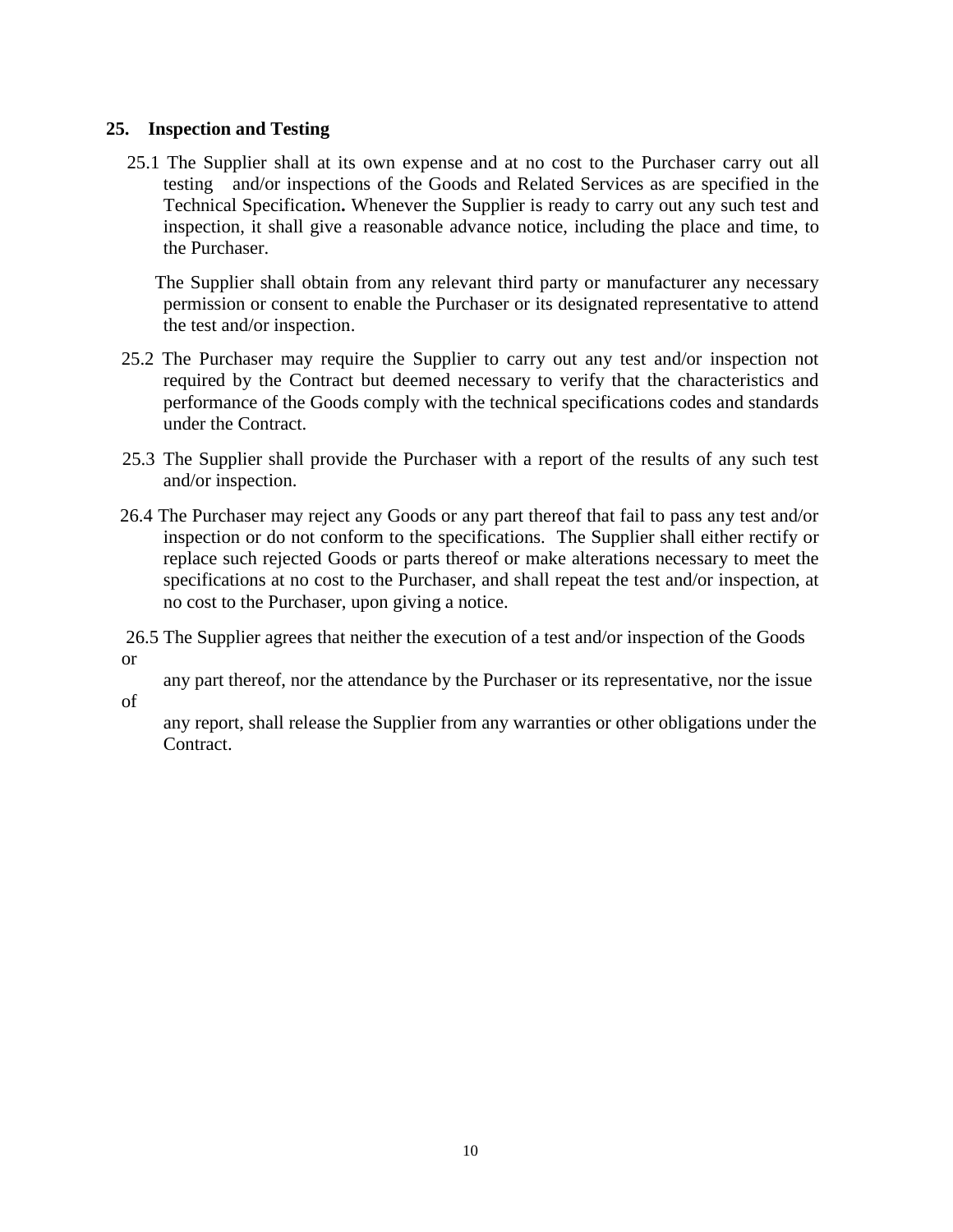#### **25. Inspection and Testing**

 25.1 The Supplier shall at its own expense and at no cost to the Purchaser carry out all testing and/or inspections of the Goods and Related Services as are specified in the Technical Specification**.** Whenever the Supplier is ready to carry out any such test and inspection, it shall give a reasonable advance notice, including the place and time, to the Purchaser.

 The Supplier shall obtain from any relevant third party or manufacturer any necessary permission or consent to enable the Purchaser or its designated representative to attend the test and/or inspection.

- 25.2 The Purchaser may require the Supplier to carry out any test and/or inspection not required by the Contract but deemed necessary to verify that the characteristics and performance of the Goods comply with the technical specifications codes and standards under the Contract.
- 25.3 The Supplier shall provide the Purchaser with a report of the results of any such test and/or inspection.
- 26.4 The Purchaser may reject any Goods or any part thereof that fail to pass any test and/or inspection or do not conform to the specifications. The Supplier shall either rectify or replace such rejected Goods or parts thereof or make alterations necessary to meet the specifications at no cost to the Purchaser, and shall repeat the test and/or inspection, at no cost to the Purchaser, upon giving a notice.

26.5 The Supplier agrees that neither the execution of a test and/or inspection of the Goods or

any part thereof, nor the attendance by the Purchaser or its representative, nor the issue

of

 any report, shall release the Supplier from any warranties or other obligations under the Contract.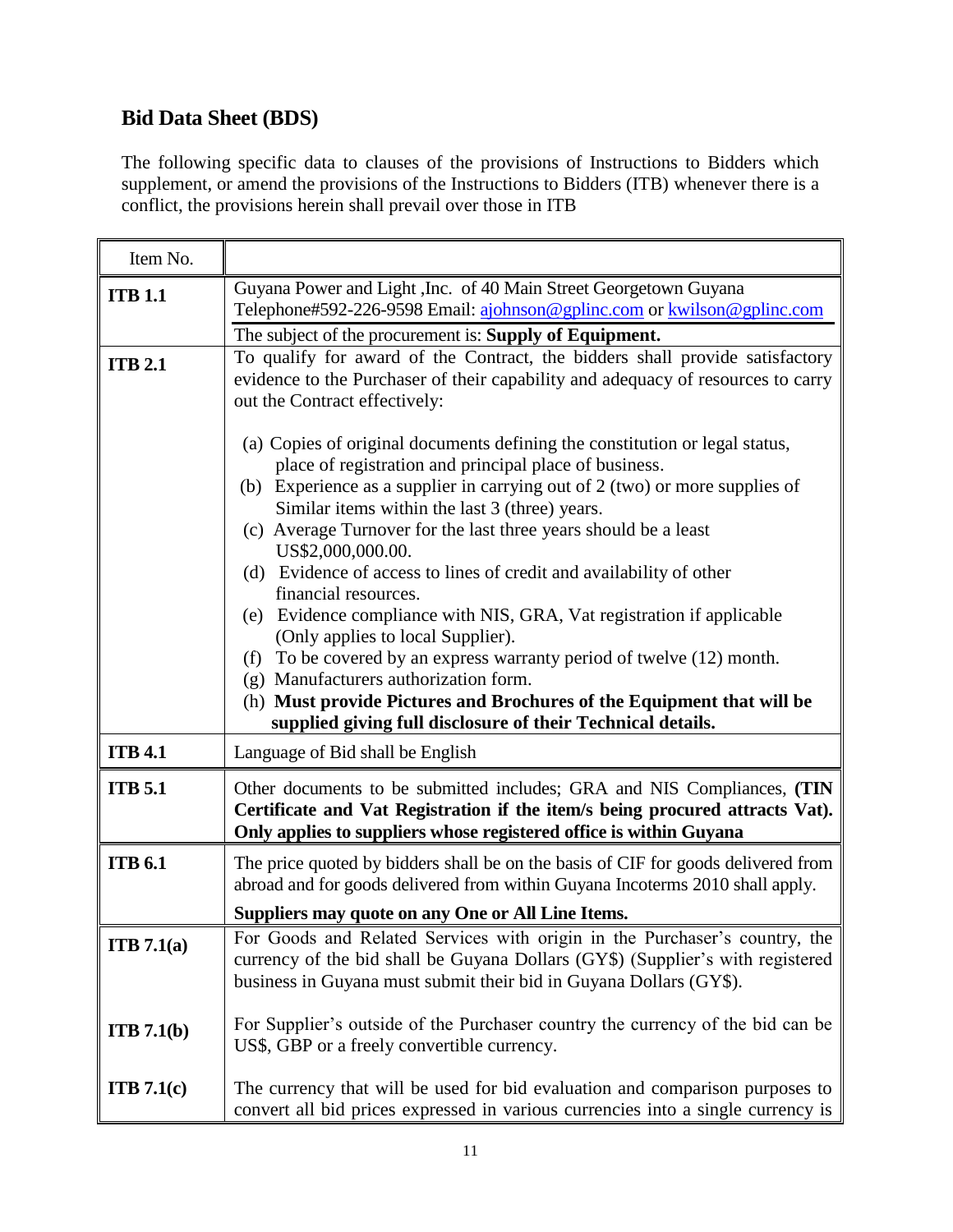### **Bid Data Sheet (BDS)**

The following specific data to clauses of the provisions of Instructions to Bidders which supplement, or amend the provisions of the Instructions to Bidders (ITB) whenever there is a conflict, the provisions herein shall prevail over those in ITB

| Item No.       |                                                                                                                                                                                                                                                                                                                                                                                                                                                                                                                                                                                                                                                                                                                                                                                                                                                                                                                                                                 |
|----------------|-----------------------------------------------------------------------------------------------------------------------------------------------------------------------------------------------------------------------------------------------------------------------------------------------------------------------------------------------------------------------------------------------------------------------------------------------------------------------------------------------------------------------------------------------------------------------------------------------------------------------------------------------------------------------------------------------------------------------------------------------------------------------------------------------------------------------------------------------------------------------------------------------------------------------------------------------------------------|
| <b>ITB 1.1</b> | Guyana Power and Light, Inc. of 40 Main Street Georgetown Guyana<br>Telephone#592-226-9598 Email: ajohnson@gplinc.com or kwilson@gplinc.com<br>The subject of the procurement is: Supply of Equipment.<br>To qualify for award of the Contract, the bidders shall provide satisfactory                                                                                                                                                                                                                                                                                                                                                                                                                                                                                                                                                                                                                                                                          |
| <b>ITB 2.1</b> | evidence to the Purchaser of their capability and adequacy of resources to carry<br>out the Contract effectively:<br>(a) Copies of original documents defining the constitution or legal status,<br>place of registration and principal place of business.<br>(b) Experience as a supplier in carrying out of $2$ (two) or more supplies of<br>Similar items within the last 3 (three) years.<br>(c) Average Turnover for the last three years should be a least<br>US\$2,000,000.00.<br>(d) Evidence of access to lines of credit and availability of other<br>financial resources.<br>(e) Evidence compliance with NIS, GRA, Vat registration if applicable<br>(Only applies to local Supplier).<br>To be covered by an express warranty period of twelve (12) month.<br>(f)<br>(g) Manufacturers authorization form.<br>(h) Must provide Pictures and Brochures of the Equipment that will be<br>supplied giving full disclosure of their Technical details. |
| <b>ITB 4.1</b> | Language of Bid shall be English                                                                                                                                                                                                                                                                                                                                                                                                                                                                                                                                                                                                                                                                                                                                                                                                                                                                                                                                |
| <b>ITB</b> 5.1 | Other documents to be submitted includes; GRA and NIS Compliances, (TIN<br>Certificate and Vat Registration if the item/s being procured attracts Vat).<br>Only applies to suppliers whose registered office is within Guyana                                                                                                                                                                                                                                                                                                                                                                                                                                                                                                                                                                                                                                                                                                                                   |
| <b>ITB 6.1</b> | The price quoted by bidders shall be on the basis of CIF for goods delivered from<br>abroad and for goods delivered from within Guyana Incoterms 2010 shall apply.<br>Suppliers may quote on any One or All Line Items.                                                                                                                                                                                                                                                                                                                                                                                                                                                                                                                                                                                                                                                                                                                                         |
|                |                                                                                                                                                                                                                                                                                                                                                                                                                                                                                                                                                                                                                                                                                                                                                                                                                                                                                                                                                                 |
| ITB 7.1(a)     | For Goods and Related Services with origin in the Purchaser's country, the<br>currency of the bid shall be Guyana Dollars (GY\$) (Supplier's with registered<br>business in Guyana must submit their bid in Guyana Dollars (GY\$).                                                                                                                                                                                                                                                                                                                                                                                                                                                                                                                                                                                                                                                                                                                              |
| ITB 7.1(b)     | For Supplier's outside of the Purchaser country the currency of the bid can be<br>US\$, GBP or a freely convertible currency.                                                                                                                                                                                                                                                                                                                                                                                                                                                                                                                                                                                                                                                                                                                                                                                                                                   |
| ITB 7.1(c)     | The currency that will be used for bid evaluation and comparison purposes to<br>convert all bid prices expressed in various currencies into a single currency is                                                                                                                                                                                                                                                                                                                                                                                                                                                                                                                                                                                                                                                                                                                                                                                                |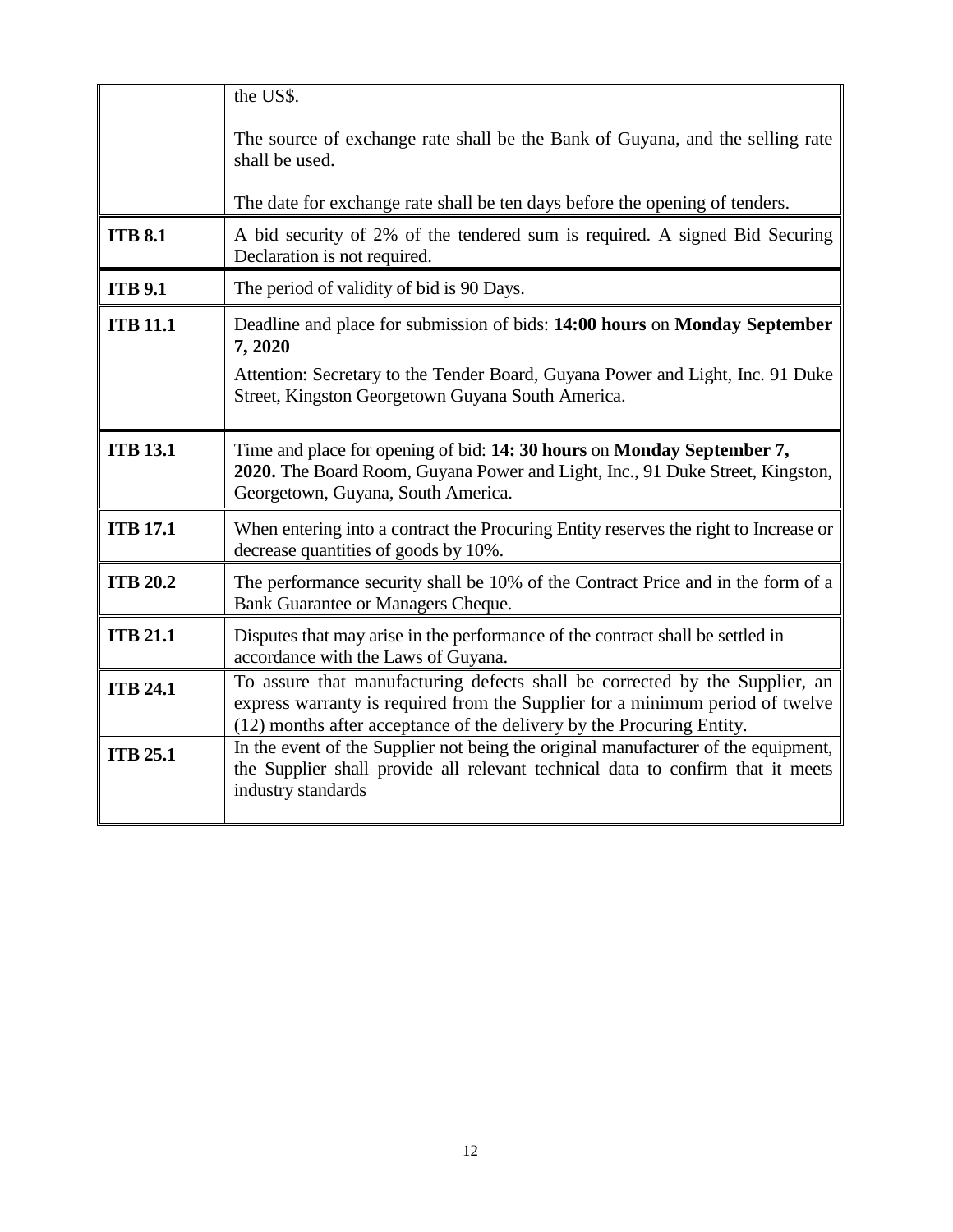|                 | the US\$.                                                                                                                                                                                                                             |  |
|-----------------|---------------------------------------------------------------------------------------------------------------------------------------------------------------------------------------------------------------------------------------|--|
|                 | The source of exchange rate shall be the Bank of Guyana, and the selling rate<br>shall be used.                                                                                                                                       |  |
|                 | The date for exchange rate shall be ten days before the opening of tenders.                                                                                                                                                           |  |
| <b>ITB 8.1</b>  | A bid security of 2% of the tendered sum is required. A signed Bid Securing<br>Declaration is not required.                                                                                                                           |  |
| <b>ITB 9.1</b>  | The period of validity of bid is 90 Days.                                                                                                                                                                                             |  |
| <b>ITB 11.1</b> | Deadline and place for submission of bids: 14:00 hours on Monday September<br>7,2020                                                                                                                                                  |  |
|                 | Attention: Secretary to the Tender Board, Guyana Power and Light, Inc. 91 Duke<br>Street, Kingston Georgetown Guyana South America.                                                                                                   |  |
| <b>ITB 13.1</b> | Time and place for opening of bid: 14: 30 hours on Monday September 7,<br>2020. The Board Room, Guyana Power and Light, Inc., 91 Duke Street, Kingston,<br>Georgetown, Guyana, South America.                                         |  |
| <b>ITB 17.1</b> | When entering into a contract the Procuring Entity reserves the right to Increase or<br>decrease quantities of goods by 10%.                                                                                                          |  |
| <b>ITB 20.2</b> | The performance security shall be 10% of the Contract Price and in the form of a<br>Bank Guarantee or Managers Cheque.                                                                                                                |  |
| <b>ITB 21.1</b> | Disputes that may arise in the performance of the contract shall be settled in<br>accordance with the Laws of Guyana.                                                                                                                 |  |
| <b>ITB 24.1</b> | To assure that manufacturing defects shall be corrected by the Supplier, an<br>express warranty is required from the Supplier for a minimum period of twelve<br>(12) months after acceptance of the delivery by the Procuring Entity. |  |
| <b>ITB 25.1</b> | In the event of the Supplier not being the original manufacturer of the equipment,<br>the Supplier shall provide all relevant technical data to confirm that it meets<br>industry standards                                           |  |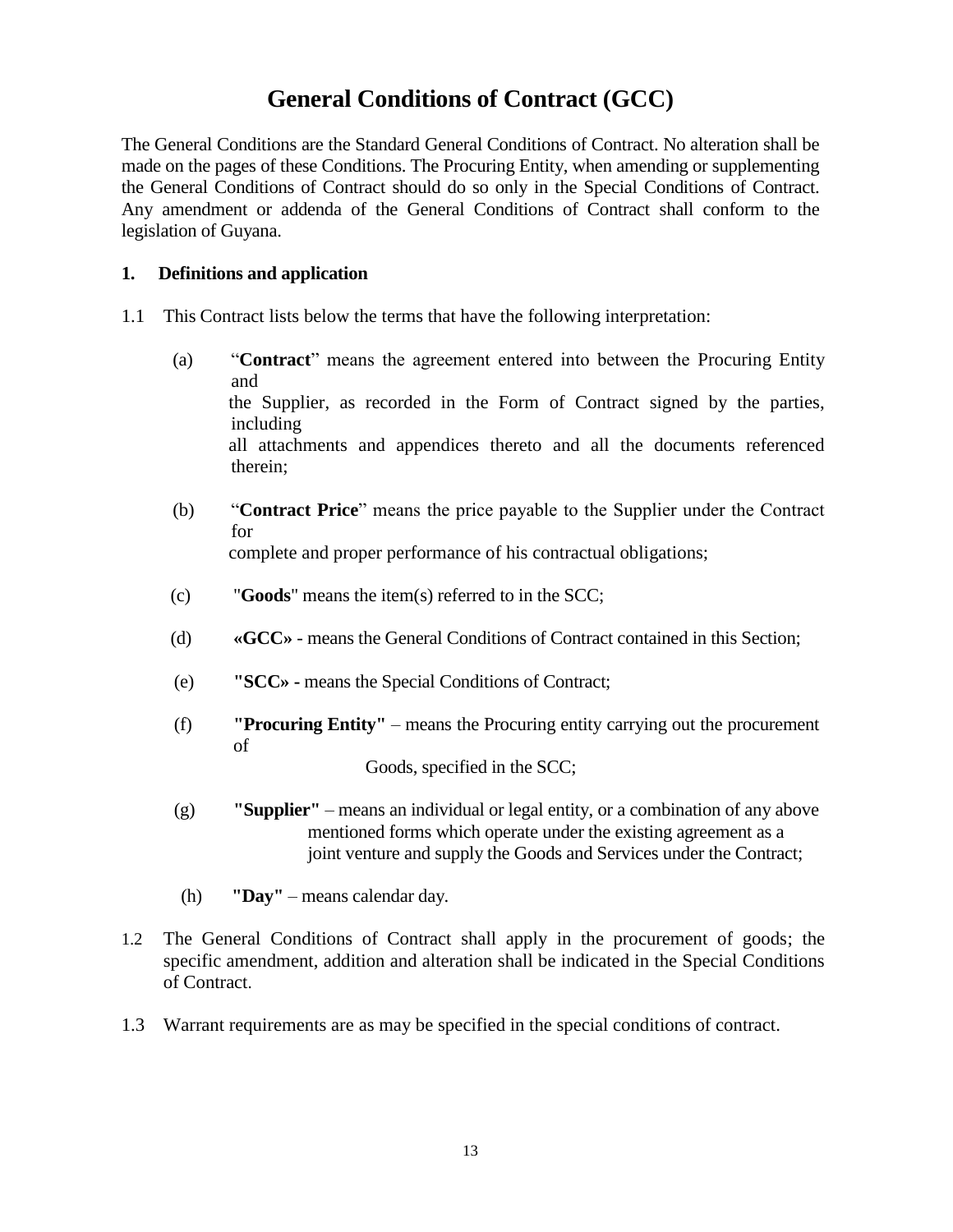# **General Conditions of Contract (GCC)**

The General Conditions are the Standard General Conditions of Contract. No alteration shall be made on the pages of these Conditions. The Procuring Entity, when amending or supplementing the General Conditions of Contract should do so only in the Special Conditions of Contract. Any amendment or addenda of the General Conditions of Contract shall conform to the legislation of Guyana.

#### **1. Definitions and application**

- 1.1 This Contract lists below the terms that have the following interpretation:
	- (a) "**Contract**" means the agreement entered into between the Procuring Entity and the Supplier, as recorded in the Form of Contract signed by the parties, including all attachments and appendices thereto and all the documents referenced therein;
	- (b) "**Contract Price**" means the price payable to the Supplier under the Contract for complete and proper performance of his contractual obligations;
	- (c) "**Goods**" means the item(s) referred to in the SCC;
	- (d) **«GCC»** means the General Conditions of Contract contained in this Section;
	- (e) **"SCC» -** means the Special Conditions of Contract;
	- (f) **"Procuring Entity"** means the Procuring entity carrying out the procurement of

Goods, specified in the SCC;

- (g) **"Supplier"** means an individual or legal entity, or a combination of any above mentioned forms which operate under the existing agreement as a joint venture and supply the Goods and Services under the Contract;
- (h) **"Day"** means calendar day.
- 1.2 The General Conditions of Contract shall apply in the procurement of goods; the specific amendment, addition and alteration shall be indicated in the Special Conditions of Contract.
- 1.3 Warrant requirements are as may be specified in the special conditions of contract.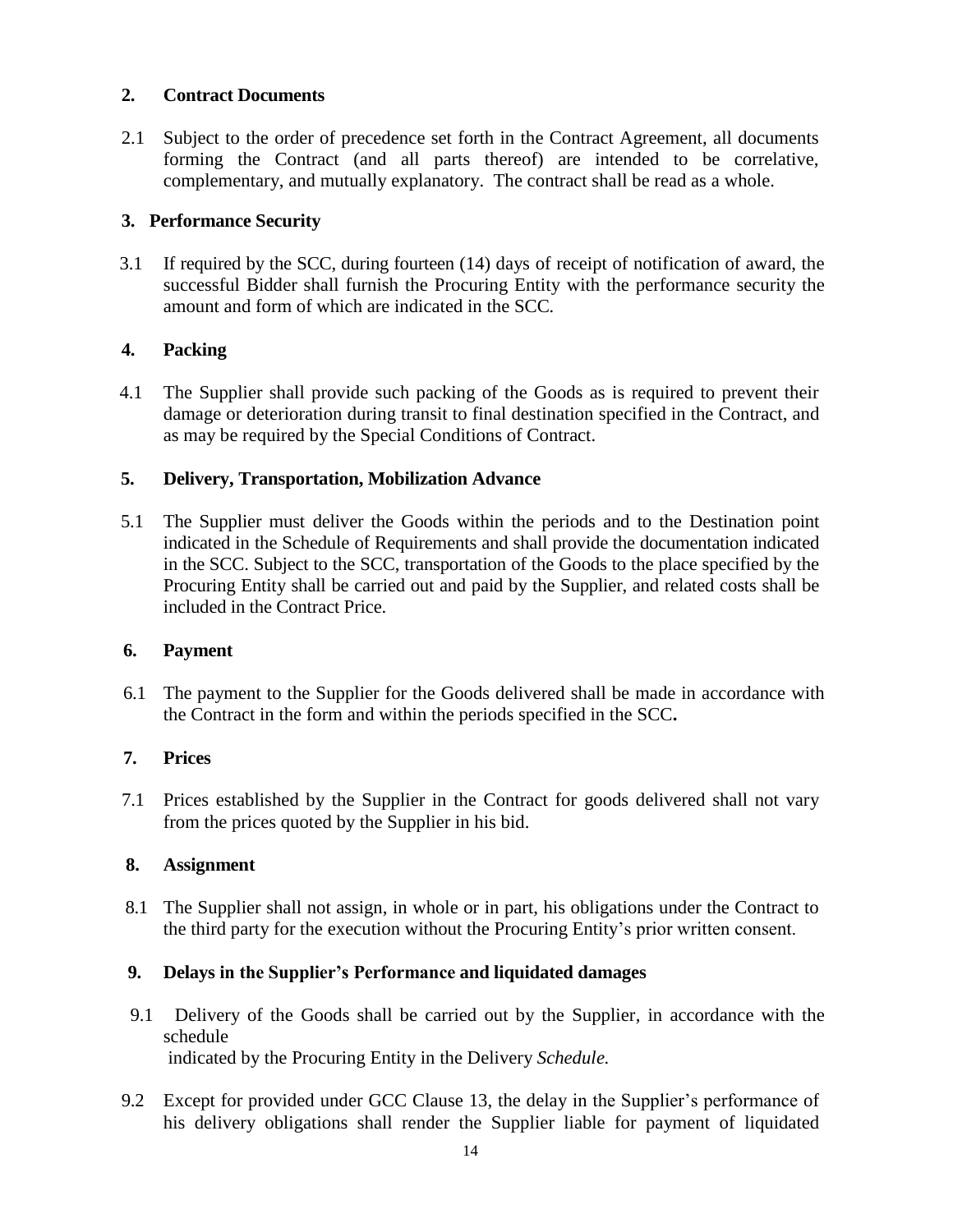#### **2. Contract Documents**

2.1 Subject to the order of precedence set forth in the Contract Agreement, all documents forming the Contract (and all parts thereof) are intended to be correlative, complementary, and mutually explanatory. The contract shall be read as a whole.

#### **3. Performance Security**

 3.1 If required by the SCC, during fourteen (14) days of receipt of notification of award, the successful Bidder shall furnish the Procuring Entity with the performance security the amount and form of which are indicated in the SCC*.*

#### **4. Packing**

 4.1 The Supplier shall provide such packing of the Goods as is required to prevent their damage or deterioration during transit to final destination specified in the Contract, and as may be required by the Special Conditions of Contract.

#### **5. Delivery, Transportation, Mobilization Advance**

 5.1 The Supplier must deliver the Goods within the periods and to the Destination point indicated in the Schedule of Requirements and shall provide the documentation indicated in the SCC. Subject to the SCC, transportation of the Goods to the place specified by the Procuring Entity shall be carried out and paid by the Supplier, and related costs shall be included in the Contract Price.

#### **6. Payment**

 6.1 The payment to the Supplier for the Goods delivered shall be made in accordance with the Contract in the form and within the periods specified in the SCC**.**

#### **7. Prices**

 7.1 Prices established by the Supplier in the Contract for goods delivered shall not vary from the prices quoted by the Supplier in his bid.

#### **8. Assignment**

 8.1 The Supplier shall not assign, in whole or in part, his obligations under the Contract to the third party for the execution without the Procuring Entity's prior written consent.

#### **9. Delays in the Supplier's Performance and liquidated damages**

- 9.1 Delivery of the Goods shall be carried out by the Supplier, in accordance with the schedule indicated by the Procuring Entity in the Delivery *Schedule.*
- 9.2 Except for provided under GCC Clause 13, the delay in the Supplier's performance of his delivery obligations shall render the Supplier liable for payment of liquidated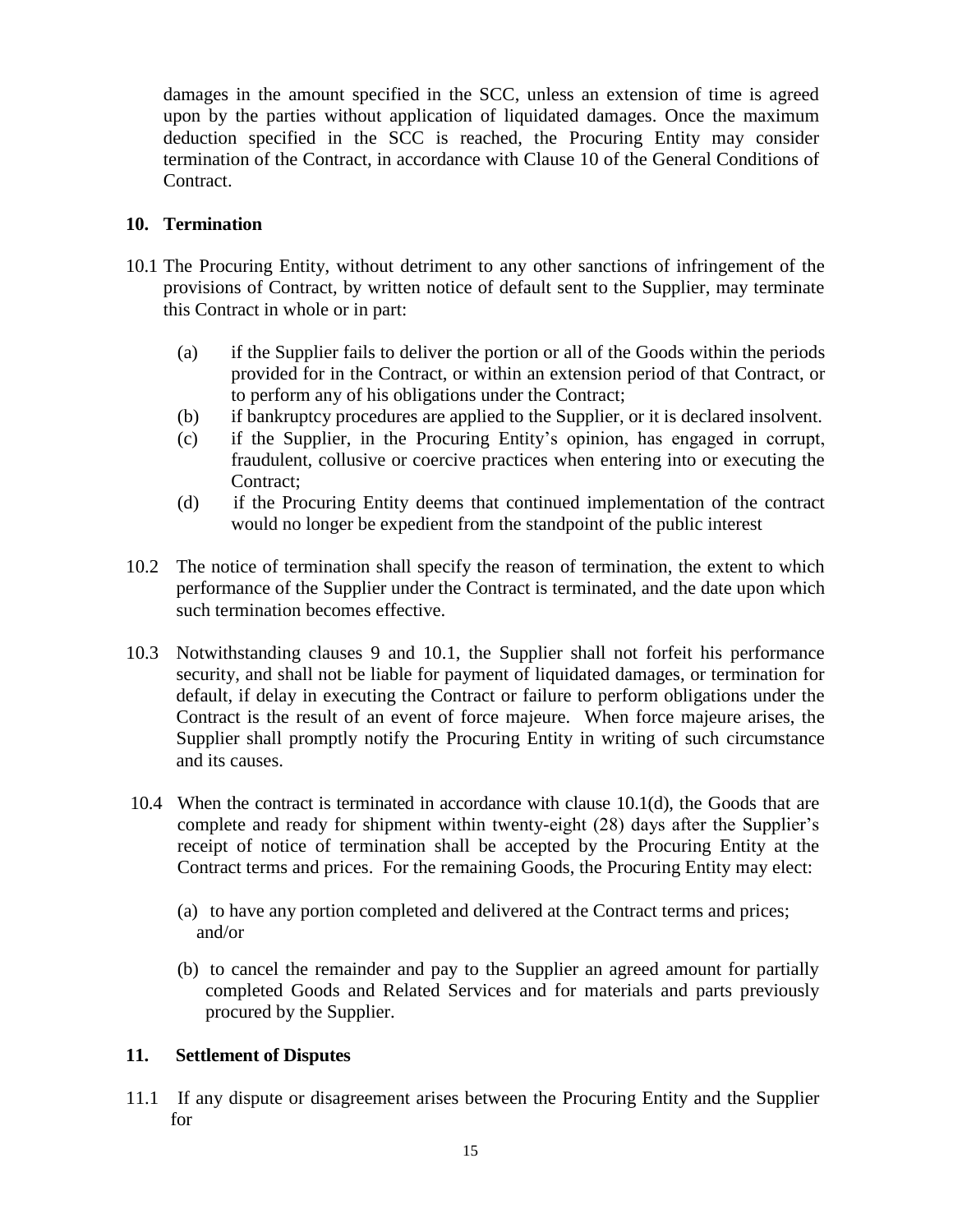damages in the amount specified in the SCC, unless an extension of time is agreed upon by the parties without application of liquidated damages. Once the maximum deduction specified in the SCC is reached, the Procuring Entity may consider termination of the Contract, in accordance with Clause 10 of the General Conditions of Contract.

#### **10. Termination**

- 10.1 The Procuring Entity, without detriment to any other sanctions of infringement of the provisions of Contract, by written notice of default sent to the Supplier, may terminate this Contract in whole or in part:
	- (a) if the Supplier fails to deliver the portion or all of the Goods within the periods provided for in the Contract, or within an extension period of that Contract, or to perform any of his obligations under the Contract;
	- (b) if bankruptcy procedures are applied to the Supplier, or it is declared insolvent.
	- (c) if the Supplier, in the Procuring Entity's opinion, has engaged in corrupt, fraudulent, collusive or coercive practices when entering into or executing the Contract;
	- (d) if the Procuring Entity deems that continued implementation of the contract would no longer be expedient from the standpoint of the public interest
- 10.2 The notice of termination shall specify the reason of termination, the extent to which performance of the Supplier under the Contract is terminated, and the date upon which such termination becomes effective.
- 10.3 Notwithstanding clauses 9 and 10.1, the Supplier shall not forfeit his performance security, and shall not be liable for payment of liquidated damages, or termination for default, if delay in executing the Contract or failure to perform obligations under the Contract is the result of an event of force majeure. When force majeure arises, the Supplier shall promptly notify the Procuring Entity in writing of such circumstance and its causes.
- 10.4 When the contract is terminated in accordance with clause 10.1(d), the Goods that are complete and ready for shipment within twenty-eight (28) days after the Supplier's receipt of notice of termination shall be accepted by the Procuring Entity at the Contract terms and prices. For the remaining Goods, the Procuring Entity may elect:
	- (a) to have any portion completed and delivered at the Contract terms and prices; and/or
	- (b) to cancel the remainder and pay to the Supplier an agreed amount for partially completed Goods and Related Services and for materials and parts previously procured by the Supplier.

#### **11. Settlement of Disputes**

11.1 If any dispute or disagreement arises between the Procuring Entity and the Supplier for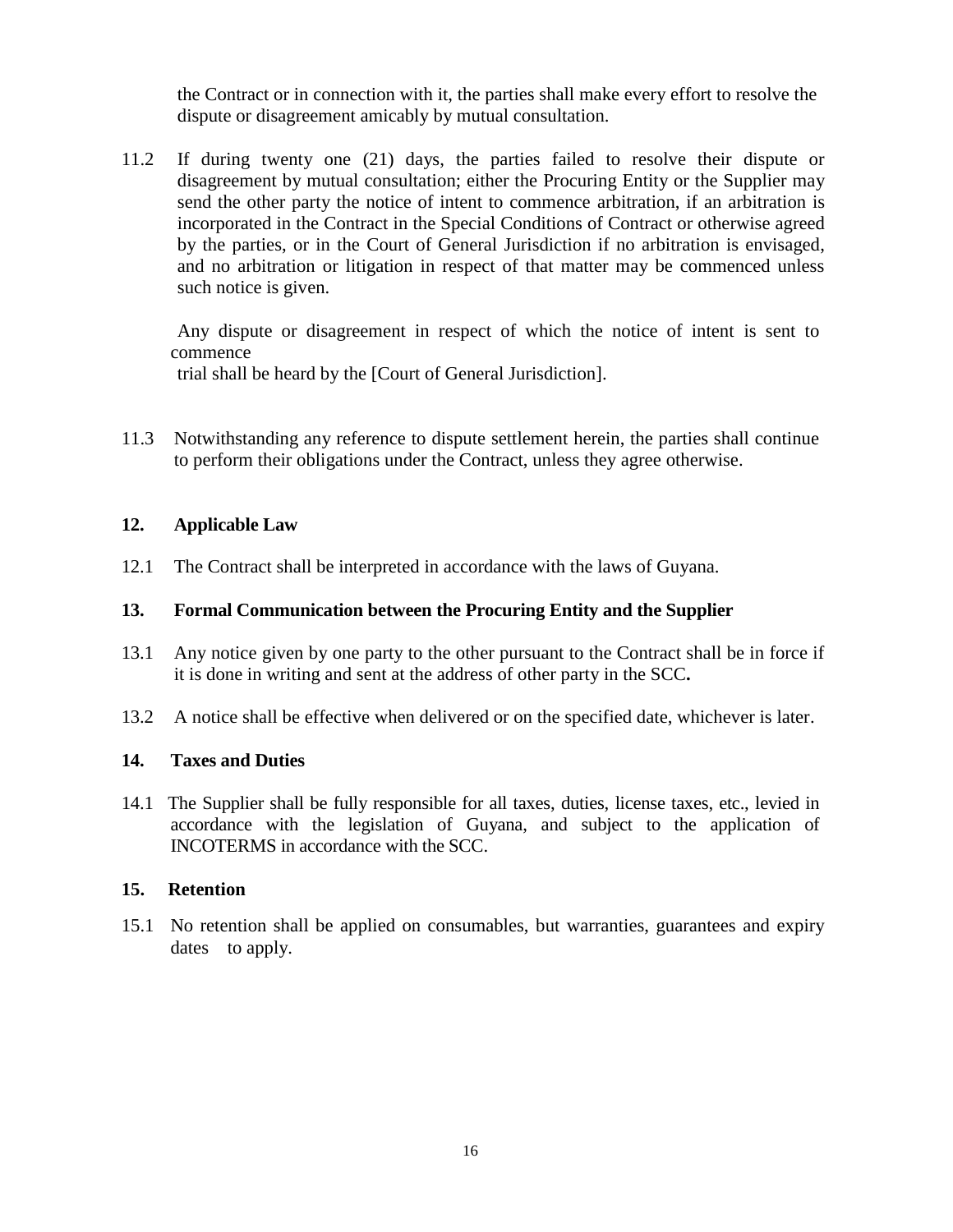the Contract or in connection with it, the parties shall make every effort to resolve the dispute or disagreement amicably by mutual consultation.

11.2 If during twenty one (21) days, the parties failed to resolve their dispute or disagreement by mutual consultation; either the Procuring Entity or the Supplier may send the other party the notice of intent to commence arbitration, if an arbitration is incorporated in the Contract in the Special Conditions of Contract or otherwise agreed by the parties, or in the Court of General Jurisdiction if no arbitration is envisaged, and no arbitration or litigation in respect of that matter may be commenced unless such notice is given.

 Any dispute or disagreement in respect of which the notice of intent is sent to commence trial shall be heard by the [Court of General Jurisdiction].

11.3 Notwithstanding any reference to dispute settlement herein, the parties shall continue to perform their obligations under the Contract, unless they agree otherwise.

#### **12. Applicable Law**

12.1 The Contract shall be interpreted in accordance with the laws of Guyana.

#### **13. Formal Communication between the Procuring Entity and the Supplier**

- 13.1 Any notice given by one party to the other pursuant to the Contract shall be in force if it is done in writing and sent at the address of other party in the SCC**.**
- 13.2 A notice shall be effective when delivered or on the specified date, whichever is later.

#### **14. Taxes and Duties**

14.1 The Supplier shall be fully responsible for all taxes, duties, license taxes, etc., levied in accordance with the legislation of Guyana, and subject to the application of INCOTERMS in accordance with the SCC.

#### **15. Retention**

15.1 No retention shall be applied on consumables, but warranties, guarantees and expiry dates to apply.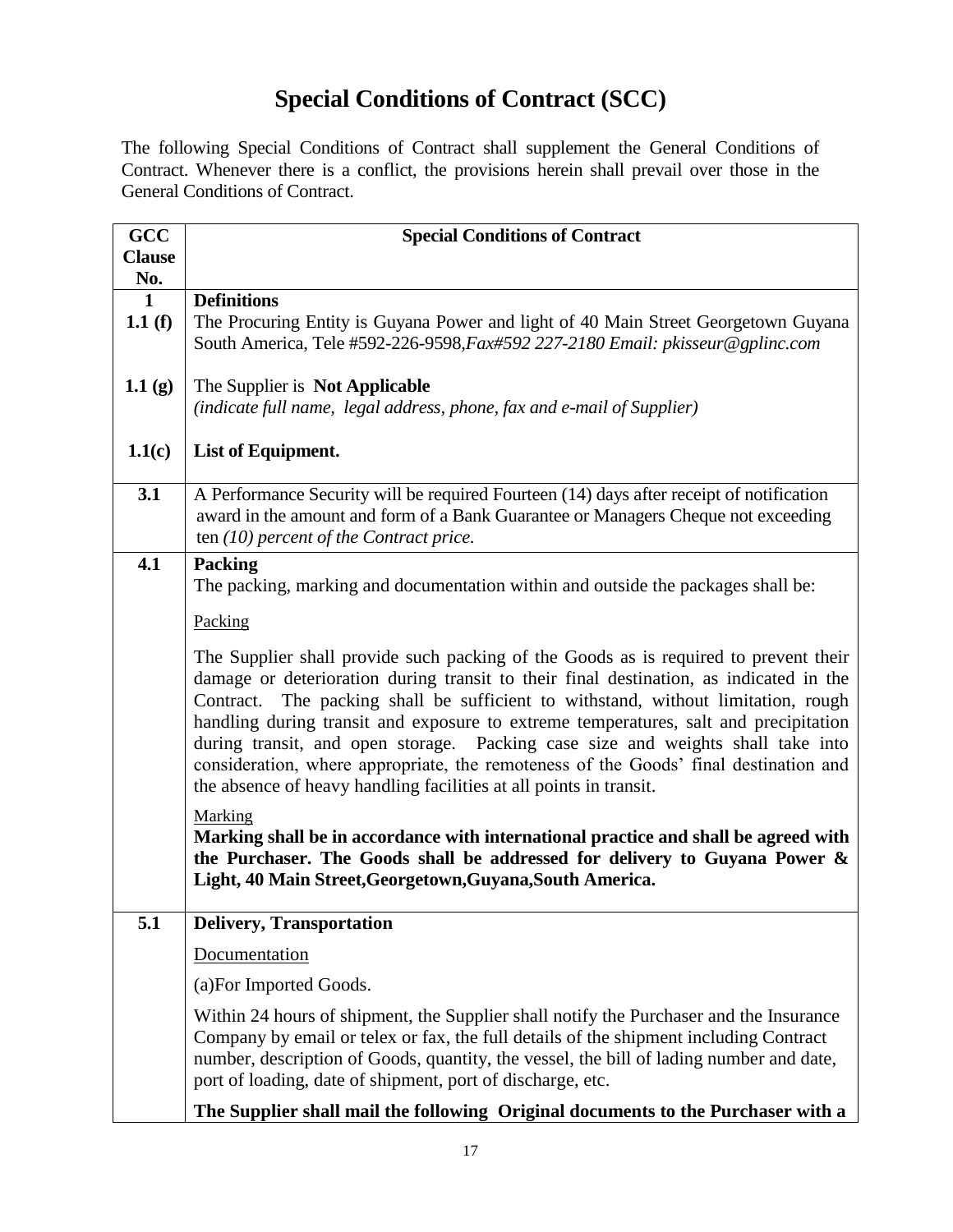# **Special Conditions of Contract (SCC)**

The following Special Conditions of Contract shall supplement the General Conditions of Contract. Whenever there is a conflict, the provisions herein shall prevail over those in the General Conditions of Contract.

| <b>GCC</b>           | <b>Special Conditions of Contract</b>                                                                                                                                                                                                                                                                                                                                                                                                                                                                                                                                                                           |
|----------------------|-----------------------------------------------------------------------------------------------------------------------------------------------------------------------------------------------------------------------------------------------------------------------------------------------------------------------------------------------------------------------------------------------------------------------------------------------------------------------------------------------------------------------------------------------------------------------------------------------------------------|
| <b>Clause</b><br>No. |                                                                                                                                                                                                                                                                                                                                                                                                                                                                                                                                                                                                                 |
| 1                    | <b>Definitions</b>                                                                                                                                                                                                                                                                                                                                                                                                                                                                                                                                                                                              |
| 1.1(f)               | The Procuring Entity is Guyana Power and light of 40 Main Street Georgetown Guyana<br>South America, Tele #592-226-9598, Fax#592 227-2180 Email: pkisseur@gplinc.com                                                                                                                                                                                                                                                                                                                                                                                                                                            |
| 1.1(g)               | The Supplier is Not Applicable<br>(indicate full name, legal address, phone, fax and e-mail of Supplier)                                                                                                                                                                                                                                                                                                                                                                                                                                                                                                        |
| 1.1(c)               | List of Equipment.                                                                                                                                                                                                                                                                                                                                                                                                                                                                                                                                                                                              |
| 3.1                  | A Performance Security will be required Fourteen (14) days after receipt of notification<br>award in the amount and form of a Bank Guarantee or Managers Cheque not exceeding<br>ten $(10)$ percent of the Contract price.                                                                                                                                                                                                                                                                                                                                                                                      |
| 4.1                  | <b>Packing</b><br>The packing, marking and documentation within and outside the packages shall be:                                                                                                                                                                                                                                                                                                                                                                                                                                                                                                              |
|                      | Packing                                                                                                                                                                                                                                                                                                                                                                                                                                                                                                                                                                                                         |
|                      | The Supplier shall provide such packing of the Goods as is required to prevent their<br>damage or deterioration during transit to their final destination, as indicated in the<br>The packing shall be sufficient to withstand, without limitation, rough<br>Contract.<br>handling during transit and exposure to extreme temperatures, salt and precipitation<br>during transit, and open storage. Packing case size and weights shall take into<br>consideration, where appropriate, the remoteness of the Goods' final destination and<br>the absence of heavy handling facilities at all points in transit. |
|                      | Marking<br>Marking shall be in accordance with international practice and shall be agreed with<br>the Purchaser. The Goods shall be addressed for delivery to Guyana Power &<br>Light, 40 Main Street, Georgetown, Guyana, South America.                                                                                                                                                                                                                                                                                                                                                                       |
| 5.1                  | <b>Delivery, Transportation</b>                                                                                                                                                                                                                                                                                                                                                                                                                                                                                                                                                                                 |
|                      | Documentation                                                                                                                                                                                                                                                                                                                                                                                                                                                                                                                                                                                                   |
|                      | (a) For Imported Goods.                                                                                                                                                                                                                                                                                                                                                                                                                                                                                                                                                                                         |
|                      | Within 24 hours of shipment, the Supplier shall notify the Purchaser and the Insurance<br>Company by email or telex or fax, the full details of the shipment including Contract<br>number, description of Goods, quantity, the vessel, the bill of lading number and date,<br>port of loading, date of shipment, port of discharge, etc.                                                                                                                                                                                                                                                                        |
|                      | The Supplier shall mail the following Original documents to the Purchaser with a                                                                                                                                                                                                                                                                                                                                                                                                                                                                                                                                |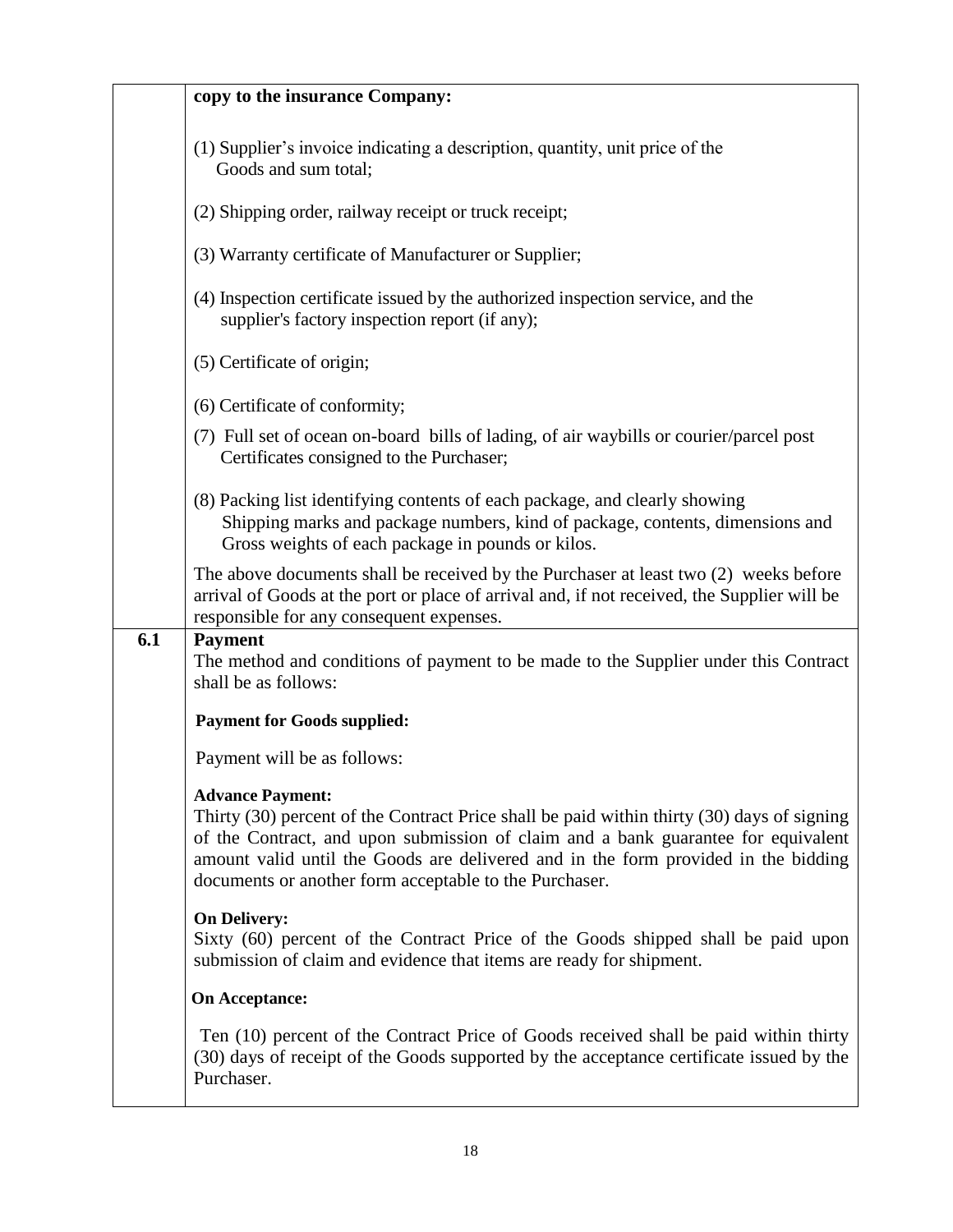|     | copy to the insurance Company:                                                                                                                                                                                                                                                                                                                             |
|-----|------------------------------------------------------------------------------------------------------------------------------------------------------------------------------------------------------------------------------------------------------------------------------------------------------------------------------------------------------------|
|     | (1) Supplier's invoice indicating a description, quantity, unit price of the<br>Goods and sum total;                                                                                                                                                                                                                                                       |
|     | (2) Shipping order, railway receipt or truck receipt;                                                                                                                                                                                                                                                                                                      |
|     | (3) Warranty certificate of Manufacturer or Supplier;                                                                                                                                                                                                                                                                                                      |
|     | (4) Inspection certificate issued by the authorized inspection service, and the<br>supplier's factory inspection report (if any);                                                                                                                                                                                                                          |
|     | (5) Certificate of origin;                                                                                                                                                                                                                                                                                                                                 |
|     | (6) Certificate of conformity;                                                                                                                                                                                                                                                                                                                             |
|     | (7) Full set of ocean on-board bills of lading, of air waybills or courier/parcel post<br>Certificates consigned to the Purchaser;                                                                                                                                                                                                                         |
|     | (8) Packing list identifying contents of each package, and clearly showing<br>Shipping marks and package numbers, kind of package, contents, dimensions and<br>Gross weights of each package in pounds or kilos.                                                                                                                                           |
|     | The above documents shall be received by the Purchaser at least two (2) weeks before<br>arrival of Goods at the port or place of arrival and, if not received, the Supplier will be<br>responsible for any consequent expenses.                                                                                                                            |
| 6.1 | <b>Payment</b><br>The method and conditions of payment to be made to the Supplier under this Contract<br>shall be as follows:                                                                                                                                                                                                                              |
|     | <b>Payment for Goods supplied:</b>                                                                                                                                                                                                                                                                                                                         |
|     | Payment will be as follows:                                                                                                                                                                                                                                                                                                                                |
|     | <b>Advance Payment:</b><br>Thirty (30) percent of the Contract Price shall be paid within thirty (30) days of signing<br>of the Contract, and upon submission of claim and a bank guarantee for equivalent<br>amount valid until the Goods are delivered and in the form provided in the bidding<br>documents or another form acceptable to the Purchaser. |
|     | <b>On Delivery:</b><br>Sixty (60) percent of the Contract Price of the Goods shipped shall be paid upon<br>submission of claim and evidence that items are ready for shipment.                                                                                                                                                                             |
|     | <b>On Acceptance:</b>                                                                                                                                                                                                                                                                                                                                      |
|     | Ten (10) percent of the Contract Price of Goods received shall be paid within thirty<br>(30) days of receipt of the Goods supported by the acceptance certificate issued by the<br>Purchaser.                                                                                                                                                              |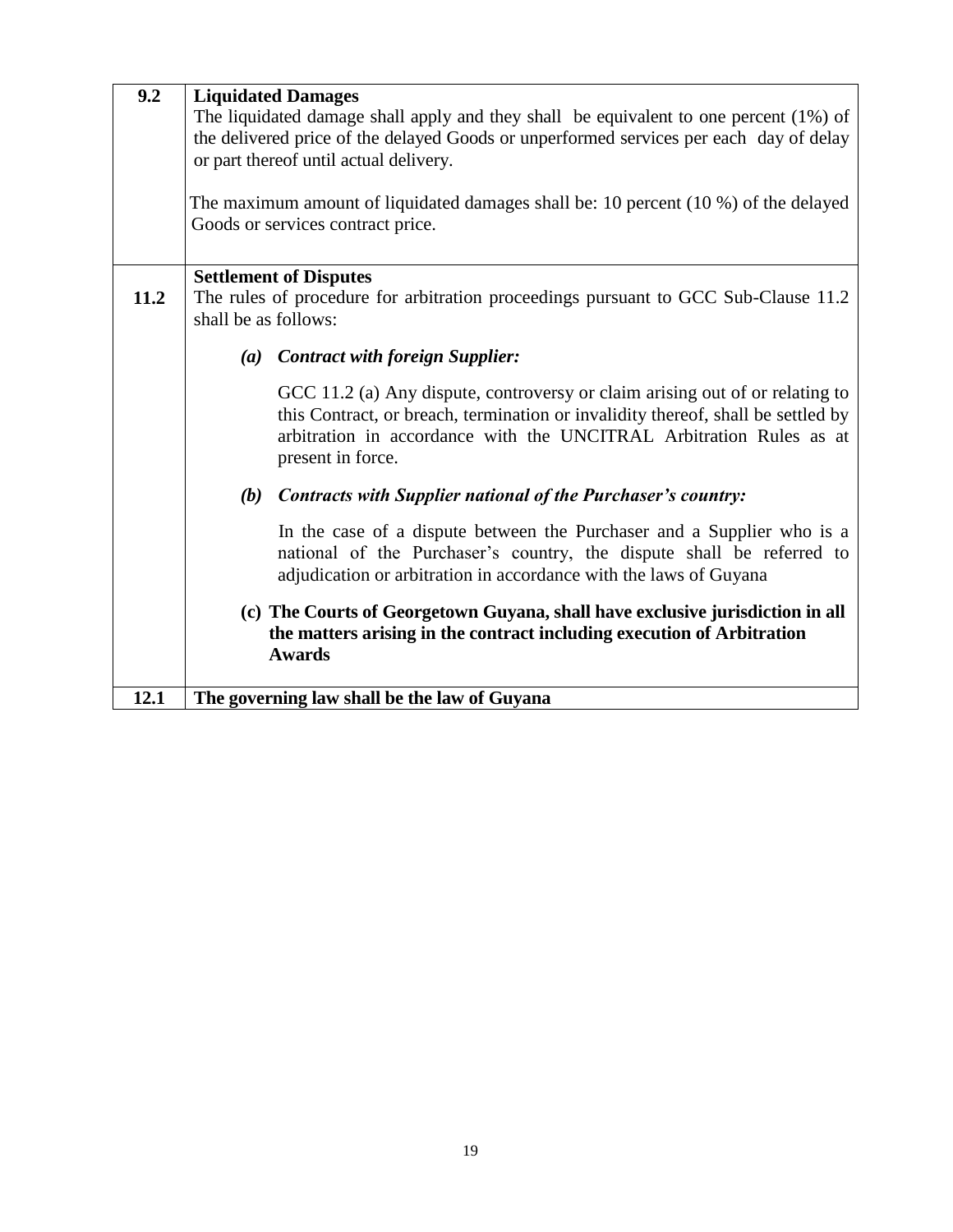| 9.2  | <b>Liquidated Damages</b><br>The liquidated damage shall apply and they shall be equivalent to one percent (1%) of<br>the delivered price of the delayed Goods or unperformed services per each day of delay<br>or part thereof until actual delivery.<br>The maximum amount of liquidated damages shall be: 10 percent (10 %) of the delayed<br>Goods or services contract price. |  |  |  |
|------|------------------------------------------------------------------------------------------------------------------------------------------------------------------------------------------------------------------------------------------------------------------------------------------------------------------------------------------------------------------------------------|--|--|--|
| 11.2 | <b>Settlement of Disputes</b><br>The rules of procedure for arbitration proceedings pursuant to GCC Sub-Clause 11.2<br>shall be as follows:                                                                                                                                                                                                                                        |  |  |  |
|      | (a) Contract with foreign Supplier:                                                                                                                                                                                                                                                                                                                                                |  |  |  |
|      | GCC 11.2 (a) Any dispute, controversy or claim arising out of or relating to<br>this Contract, or breach, termination or invalidity thereof, shall be settled by<br>arbitration in accordance with the UNCITRAL Arbitration Rules as at<br>present in force.                                                                                                                       |  |  |  |
|      | (b)<br><b>Contracts with Supplier national of the Purchaser's country:</b>                                                                                                                                                                                                                                                                                                         |  |  |  |
|      | In the case of a dispute between the Purchaser and a Supplier who is a<br>national of the Purchaser's country, the dispute shall be referred to<br>adjudication or arbitration in accordance with the laws of Guyana                                                                                                                                                               |  |  |  |
|      | (c) The Courts of Georgetown Guyana, shall have exclusive jurisdiction in all<br>the matters arising in the contract including execution of Arbitration<br><b>Awards</b>                                                                                                                                                                                                           |  |  |  |
| 12.1 | The governing law shall be the law of Guyana                                                                                                                                                                                                                                                                                                                                       |  |  |  |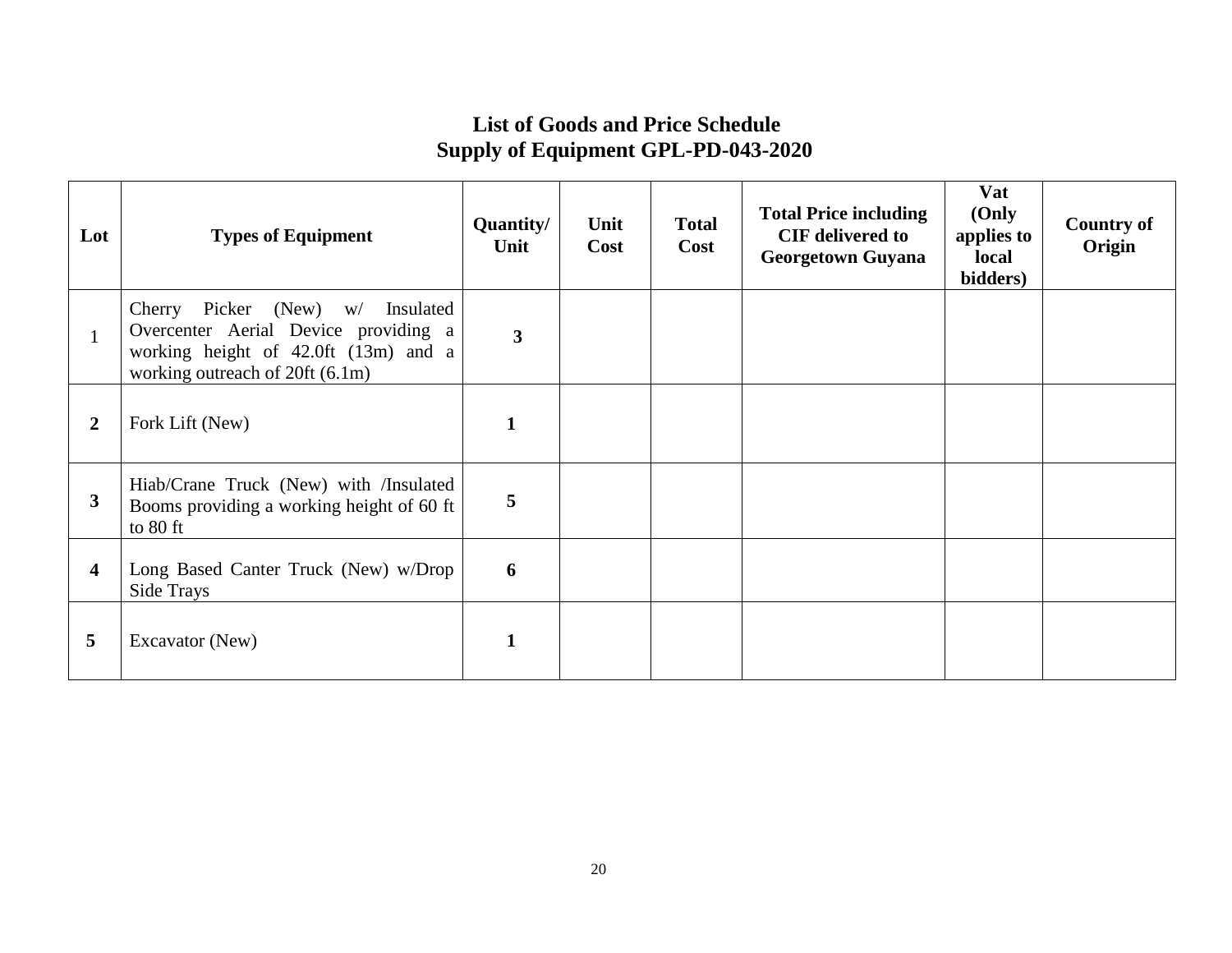# **List of Goods and Price Schedule Supply of Equipment GPL-PD-043-2020**

| Lot            | <b>Types of Equipment</b>                                                                                                                              | Quantity/<br>Unit | Unit<br>Cost | <b>Total</b><br>Cost | <b>Total Price including</b><br><b>CIF</b> delivered to<br><b>Georgetown Guyana</b> | Vat<br>(Only<br>applies to<br>local<br>bidders) | <b>Country of</b><br>Origin |
|----------------|--------------------------------------------------------------------------------------------------------------------------------------------------------|-------------------|--------------|----------------------|-------------------------------------------------------------------------------------|-------------------------------------------------|-----------------------------|
|                | Cherry Picker (New) w/<br>Insulated<br>Overcenter Aerial Device providing a<br>working height of 42.0ft (13m) and a<br>working outreach of 20ft (6.1m) | $\mathbf{3}$      |              |                      |                                                                                     |                                                 |                             |
| $\overline{2}$ | Fork Lift (New)                                                                                                                                        |                   |              |                      |                                                                                     |                                                 |                             |
| 3              | Hiab/Crane Truck (New) with /Insulated<br>Booms providing a working height of 60 ft<br>to 80 ft                                                        | 5                 |              |                      |                                                                                     |                                                 |                             |
| 4              | Long Based Canter Truck (New) w/Drop<br>Side Trays                                                                                                     | 6                 |              |                      |                                                                                     |                                                 |                             |
| 5              | Excavator (New)                                                                                                                                        |                   |              |                      |                                                                                     |                                                 |                             |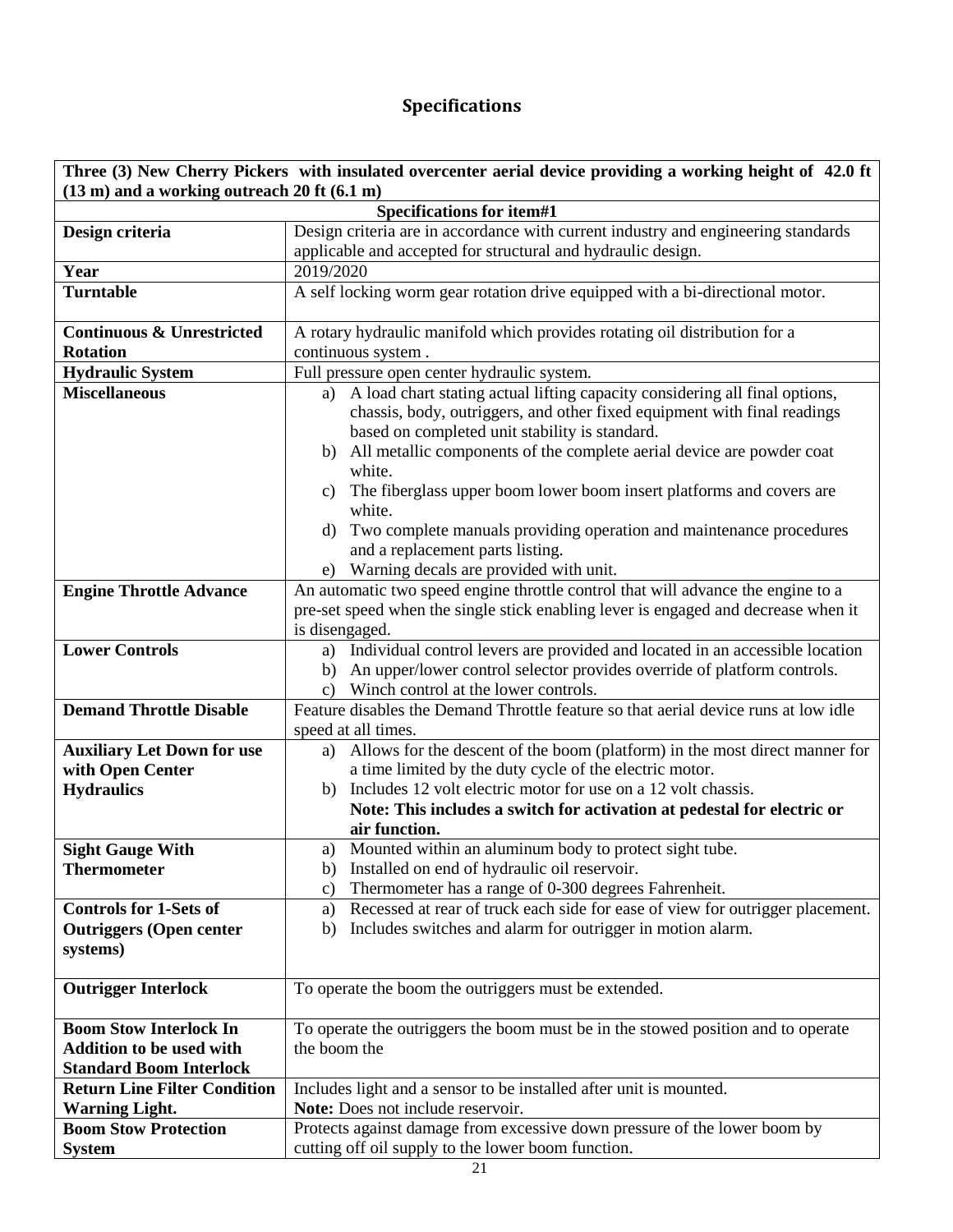# **Specifications**

| Three (3) New Cherry Pickers with insulated overcenter aerial device providing a working height of 42.0 ft |                                                                                                                                                                                                                                                         |  |  |  |
|------------------------------------------------------------------------------------------------------------|---------------------------------------------------------------------------------------------------------------------------------------------------------------------------------------------------------------------------------------------------------|--|--|--|
| (13 m) and a working outreach 20 ft (6.1 m)                                                                |                                                                                                                                                                                                                                                         |  |  |  |
| Specifications for item#1                                                                                  |                                                                                                                                                                                                                                                         |  |  |  |
| Design criteria                                                                                            | Design criteria are in accordance with current industry and engineering standards                                                                                                                                                                       |  |  |  |
|                                                                                                            | applicable and accepted for structural and hydraulic design.                                                                                                                                                                                            |  |  |  |
| Year                                                                                                       | 2019/2020                                                                                                                                                                                                                                               |  |  |  |
| <b>Turntable</b>                                                                                           | A self locking worm gear rotation drive equipped with a bi-directional motor.                                                                                                                                                                           |  |  |  |
| <b>Continuous &amp; Unrestricted</b>                                                                       | A rotary hydraulic manifold which provides rotating oil distribution for a                                                                                                                                                                              |  |  |  |
| <b>Rotation</b>                                                                                            | continuous system.                                                                                                                                                                                                                                      |  |  |  |
| <b>Hydraulic System</b>                                                                                    | Full pressure open center hydraulic system.                                                                                                                                                                                                             |  |  |  |
| <b>Miscellaneous</b>                                                                                       | A load chart stating actual lifting capacity considering all final options,<br>a)<br>chassis, body, outriggers, and other fixed equipment with final readings<br>based on completed unit stability is standard.                                         |  |  |  |
|                                                                                                            | All metallic components of the complete aerial device are powder coat<br>b)<br>white.<br>c) The fiberglass upper boom lower boom insert platforms and covers are<br>white.<br>Two complete manuals providing operation and maintenance procedures<br>d) |  |  |  |
|                                                                                                            | and a replacement parts listing.                                                                                                                                                                                                                        |  |  |  |
|                                                                                                            | e) Warning decals are provided with unit.                                                                                                                                                                                                               |  |  |  |
| <b>Engine Throttle Advance</b>                                                                             | An automatic two speed engine throttle control that will advance the engine to a                                                                                                                                                                        |  |  |  |
|                                                                                                            | pre-set speed when the single stick enabling lever is engaged and decrease when it                                                                                                                                                                      |  |  |  |
|                                                                                                            | is disengaged.                                                                                                                                                                                                                                          |  |  |  |
| <b>Lower Controls</b>                                                                                      | a) Individual control levers are provided and located in an accessible location                                                                                                                                                                         |  |  |  |
|                                                                                                            | An upper/lower control selector provides override of platform controls.<br>b)                                                                                                                                                                           |  |  |  |
|                                                                                                            | Winch control at the lower controls.<br>$\mathbf{c}$ )                                                                                                                                                                                                  |  |  |  |
| <b>Demand Throttle Disable</b>                                                                             | Feature disables the Demand Throttle feature so that aerial device runs at low idle<br>speed at all times.                                                                                                                                              |  |  |  |
| <b>Auxiliary Let Down for use</b>                                                                          | Allows for the descent of the boom (platform) in the most direct manner for<br>a)                                                                                                                                                                       |  |  |  |
| with Open Center                                                                                           | a time limited by the duty cycle of the electric motor.                                                                                                                                                                                                 |  |  |  |
| <b>Hydraulics</b>                                                                                          | Includes 12 volt electric motor for use on a 12 volt chassis.<br>b)                                                                                                                                                                                     |  |  |  |
|                                                                                                            | Note: This includes a switch for activation at pedestal for electric or                                                                                                                                                                                 |  |  |  |
|                                                                                                            | air function.                                                                                                                                                                                                                                           |  |  |  |
| <b>Sight Gauge With</b>                                                                                    | Mounted within an aluminum body to protect sight tube.<br>a)                                                                                                                                                                                            |  |  |  |
| <b>Thermometer</b>                                                                                         | Installed on end of hydraulic oil reservoir.<br>b)                                                                                                                                                                                                      |  |  |  |
|                                                                                                            | Thermometer has a range of 0-300 degrees Fahrenheit.<br>c)                                                                                                                                                                                              |  |  |  |
| <b>Controls for 1-Sets of</b>                                                                              | Recessed at rear of truck each side for ease of view for outrigger placement.<br>a)                                                                                                                                                                     |  |  |  |
| <b>Outriggers (Open center</b>                                                                             | Includes switches and alarm for outrigger in motion alarm.<br>b)                                                                                                                                                                                        |  |  |  |
| systems)                                                                                                   |                                                                                                                                                                                                                                                         |  |  |  |
| <b>Outrigger Interlock</b>                                                                                 | To operate the boom the outriggers must be extended.                                                                                                                                                                                                    |  |  |  |
| <b>Boom Stow Interlock In</b>                                                                              | To operate the outriggers the boom must be in the stowed position and to operate                                                                                                                                                                        |  |  |  |
| <b>Addition to be used with</b>                                                                            | the boom the                                                                                                                                                                                                                                            |  |  |  |
| <b>Standard Boom Interlock</b>                                                                             |                                                                                                                                                                                                                                                         |  |  |  |
| <b>Return Line Filter Condition</b>                                                                        | Includes light and a sensor to be installed after unit is mounted.                                                                                                                                                                                      |  |  |  |
| <b>Warning Light.</b>                                                                                      | Note: Does not include reservoir.                                                                                                                                                                                                                       |  |  |  |
| <b>Boom Stow Protection</b>                                                                                | Protects against damage from excessive down pressure of the lower boom by                                                                                                                                                                               |  |  |  |
| <b>System</b>                                                                                              | cutting off oil supply to the lower boom function.                                                                                                                                                                                                      |  |  |  |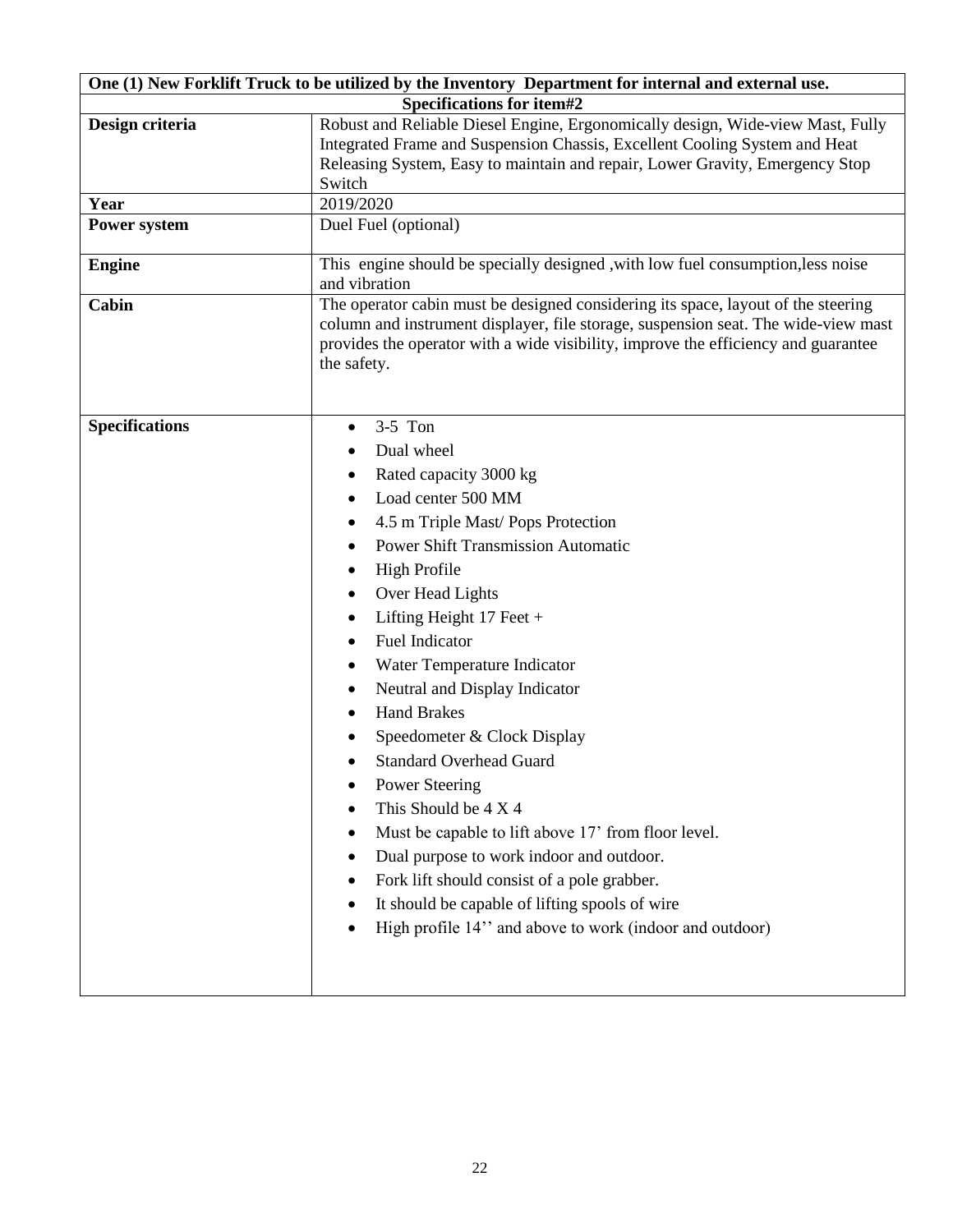| One (1) New Forklift Truck to be utilized by the Inventory Department for internal and external use. |                                                                                                                                                                                                                                                                              |  |  |  |  |
|------------------------------------------------------------------------------------------------------|------------------------------------------------------------------------------------------------------------------------------------------------------------------------------------------------------------------------------------------------------------------------------|--|--|--|--|
| Specifications for item#2                                                                            |                                                                                                                                                                                                                                                                              |  |  |  |  |
| Design criteria                                                                                      | Robust and Reliable Diesel Engine, Ergonomically design, Wide-view Mast, Fully                                                                                                                                                                                               |  |  |  |  |
|                                                                                                      | Integrated Frame and Suspension Chassis, Excellent Cooling System and Heat                                                                                                                                                                                                   |  |  |  |  |
|                                                                                                      | Releasing System, Easy to maintain and repair, Lower Gravity, Emergency Stop                                                                                                                                                                                                 |  |  |  |  |
| Year                                                                                                 | Switch<br>2019/2020                                                                                                                                                                                                                                                          |  |  |  |  |
| <b>Power system</b>                                                                                  | Duel Fuel (optional)                                                                                                                                                                                                                                                         |  |  |  |  |
|                                                                                                      |                                                                                                                                                                                                                                                                              |  |  |  |  |
| <b>Engine</b>                                                                                        | This engine should be specially designed, with low fuel consumption, less noise                                                                                                                                                                                              |  |  |  |  |
|                                                                                                      | and vibration                                                                                                                                                                                                                                                                |  |  |  |  |
| Cabin                                                                                                | The operator cabin must be designed considering its space, layout of the steering<br>column and instrument displayer, file storage, suspension seat. The wide-view mast<br>provides the operator with a wide visibility, improve the efficiency and guarantee<br>the safety. |  |  |  |  |
| <b>Specifications</b>                                                                                | $3-5$ Ton<br>$\bullet$                                                                                                                                                                                                                                                       |  |  |  |  |
|                                                                                                      | Dual wheel                                                                                                                                                                                                                                                                   |  |  |  |  |
|                                                                                                      | Rated capacity 3000 kg                                                                                                                                                                                                                                                       |  |  |  |  |
|                                                                                                      | Load center 500 MM                                                                                                                                                                                                                                                           |  |  |  |  |
|                                                                                                      | 4.5 m Triple Mast/ Pops Protection                                                                                                                                                                                                                                           |  |  |  |  |
|                                                                                                      | <b>Power Shift Transmission Automatic</b>                                                                                                                                                                                                                                    |  |  |  |  |
|                                                                                                      | <b>High Profile</b>                                                                                                                                                                                                                                                          |  |  |  |  |
|                                                                                                      | Over Head Lights                                                                                                                                                                                                                                                             |  |  |  |  |
|                                                                                                      | Lifting Height $17$ Feet +                                                                                                                                                                                                                                                   |  |  |  |  |
|                                                                                                      | <b>Fuel Indicator</b><br>٠                                                                                                                                                                                                                                                   |  |  |  |  |
|                                                                                                      | Water Temperature Indicator                                                                                                                                                                                                                                                  |  |  |  |  |
|                                                                                                      | Neutral and Display Indicator                                                                                                                                                                                                                                                |  |  |  |  |
|                                                                                                      | <b>Hand Brakes</b>                                                                                                                                                                                                                                                           |  |  |  |  |
|                                                                                                      | Speedometer & Clock Display                                                                                                                                                                                                                                                  |  |  |  |  |
|                                                                                                      | <b>Standard Overhead Guard</b>                                                                                                                                                                                                                                               |  |  |  |  |
|                                                                                                      |                                                                                                                                                                                                                                                                              |  |  |  |  |
|                                                                                                      | <b>Power Steering</b>                                                                                                                                                                                                                                                        |  |  |  |  |
|                                                                                                      | This Should be 4 X 4                                                                                                                                                                                                                                                         |  |  |  |  |
|                                                                                                      | Must be capable to lift above 17' from floor level.                                                                                                                                                                                                                          |  |  |  |  |
|                                                                                                      | Dual purpose to work indoor and outdoor.                                                                                                                                                                                                                                     |  |  |  |  |
|                                                                                                      | Fork lift should consist of a pole grabber.                                                                                                                                                                                                                                  |  |  |  |  |
|                                                                                                      | It should be capable of lifting spools of wire                                                                                                                                                                                                                               |  |  |  |  |
|                                                                                                      | High profile 14" and above to work (indoor and outdoor)                                                                                                                                                                                                                      |  |  |  |  |
|                                                                                                      |                                                                                                                                                                                                                                                                              |  |  |  |  |
|                                                                                                      |                                                                                                                                                                                                                                                                              |  |  |  |  |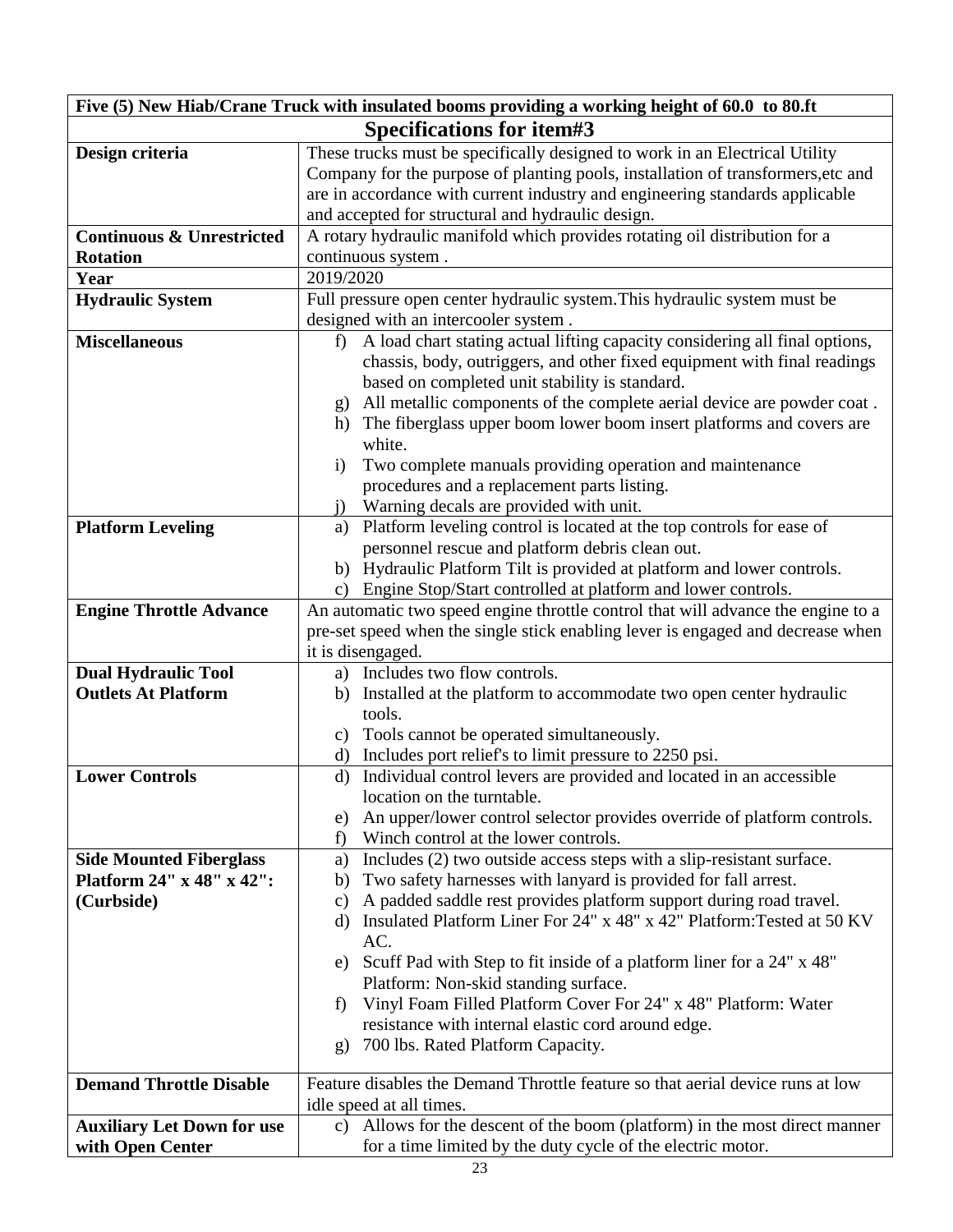| Five (5) New Hiab/Crane Truck with insulated booms providing a working height of 60.0 to 80.ft |                                                                                                                                                        |  |  |  |  |
|------------------------------------------------------------------------------------------------|--------------------------------------------------------------------------------------------------------------------------------------------------------|--|--|--|--|
| Specifications for item#3                                                                      |                                                                                                                                                        |  |  |  |  |
| Design criteria                                                                                | These trucks must be specifically designed to work in an Electrical Utility                                                                            |  |  |  |  |
|                                                                                                | Company for the purpose of planting pools, installation of transformers, etc and                                                                       |  |  |  |  |
|                                                                                                | are in accordance with current industry and engineering standards applicable                                                                           |  |  |  |  |
|                                                                                                | and accepted for structural and hydraulic design.                                                                                                      |  |  |  |  |
| <b>Continuous &amp; Unrestricted</b>                                                           | A rotary hydraulic manifold which provides rotating oil distribution for a                                                                             |  |  |  |  |
| <b>Rotation</b>                                                                                | continuous system.                                                                                                                                     |  |  |  |  |
| Year                                                                                           | 2019/2020                                                                                                                                              |  |  |  |  |
| <b>Hydraulic System</b>                                                                        | Full pressure open center hydraulic system. This hydraulic system must be                                                                              |  |  |  |  |
|                                                                                                | designed with an intercooler system.                                                                                                                   |  |  |  |  |
| <b>Miscellaneous</b>                                                                           | A load chart stating actual lifting capacity considering all final options,<br>f                                                                       |  |  |  |  |
|                                                                                                | chassis, body, outriggers, and other fixed equipment with final readings                                                                               |  |  |  |  |
|                                                                                                | based on completed unit stability is standard.                                                                                                         |  |  |  |  |
|                                                                                                | All metallic components of the complete aerial device are powder coat.<br>$\mathbf{g}$                                                                 |  |  |  |  |
|                                                                                                | h) The fiberglass upper boom lower boom insert platforms and covers are                                                                                |  |  |  |  |
|                                                                                                | white.                                                                                                                                                 |  |  |  |  |
|                                                                                                | Two complete manuals providing operation and maintenance<br>$\mathbf{i}$                                                                               |  |  |  |  |
|                                                                                                | procedures and a replacement parts listing.                                                                                                            |  |  |  |  |
|                                                                                                | Warning decals are provided with unit.<br>$\mathbf{j}$                                                                                                 |  |  |  |  |
| <b>Platform Leveling</b>                                                                       | Platform leveling control is located at the top controls for ease of<br>a)                                                                             |  |  |  |  |
|                                                                                                | personnel rescue and platform debris clean out.                                                                                                        |  |  |  |  |
|                                                                                                | b) Hydraulic Platform Tilt is provided at platform and lower controls.                                                                                 |  |  |  |  |
|                                                                                                | Engine Stop/Start controlled at platform and lower controls.<br>c)<br>An automatic two speed engine throttle control that will advance the engine to a |  |  |  |  |
| <b>Engine Throttle Advance</b>                                                                 | pre-set speed when the single stick enabling lever is engaged and decrease when                                                                        |  |  |  |  |
|                                                                                                | it is disengaged.                                                                                                                                      |  |  |  |  |
| <b>Dual Hydraulic Tool</b>                                                                     | a) Includes two flow controls.                                                                                                                         |  |  |  |  |
| <b>Outlets At Platform</b>                                                                     | b) Installed at the platform to accommodate two open center hydraulic                                                                                  |  |  |  |  |
|                                                                                                | tools.                                                                                                                                                 |  |  |  |  |
|                                                                                                | Tools cannot be operated simultaneously.<br>c)                                                                                                         |  |  |  |  |
|                                                                                                | Includes port relief's to limit pressure to 2250 psi.<br>d)                                                                                            |  |  |  |  |
| <b>Lower Controls</b>                                                                          | d) Individual control levers are provided and located in an accessible                                                                                 |  |  |  |  |
|                                                                                                | location on the turntable.                                                                                                                             |  |  |  |  |
|                                                                                                | An upper/lower control selector provides override of platform controls.<br>e)                                                                          |  |  |  |  |
|                                                                                                | Winch control at the lower controls.<br>f)                                                                                                             |  |  |  |  |
| <b>Side Mounted Fiberglass</b>                                                                 | Includes (2) two outside access steps with a slip-resistant surface.<br>a)                                                                             |  |  |  |  |
| Platform 24" x 48" x 42":                                                                      | Two safety harnesses with lanyard is provided for fall arrest.<br>b)                                                                                   |  |  |  |  |
| (Curbside)                                                                                     | A padded saddle rest provides platform support during road travel.<br>$\mathbf{c})$                                                                    |  |  |  |  |
|                                                                                                | Insulated Platform Liner For 24" x 48" x 42" Platform: Tested at 50 KV<br>d)                                                                           |  |  |  |  |
|                                                                                                | AC.                                                                                                                                                    |  |  |  |  |
|                                                                                                | Scuff Pad with Step to fit inside of a platform liner for a 24" x 48"<br>e)                                                                            |  |  |  |  |
|                                                                                                | Platform: Non-skid standing surface.                                                                                                                   |  |  |  |  |
|                                                                                                | Vinyl Foam Filled Platform Cover For 24" x 48" Platform: Water<br>f)                                                                                   |  |  |  |  |
|                                                                                                | resistance with internal elastic cord around edge.                                                                                                     |  |  |  |  |
|                                                                                                | 700 lbs. Rated Platform Capacity.<br>$\mathbf{g}$                                                                                                      |  |  |  |  |
| <b>Demand Throttle Disable</b>                                                                 | Feature disables the Demand Throttle feature so that aerial device runs at low                                                                         |  |  |  |  |
|                                                                                                | idle speed at all times.                                                                                                                               |  |  |  |  |
| <b>Auxiliary Let Down for use</b>                                                              | c) Allows for the descent of the boom (platform) in the most direct manner                                                                             |  |  |  |  |
| with Open Center                                                                               | for a time limited by the duty cycle of the electric motor.                                                                                            |  |  |  |  |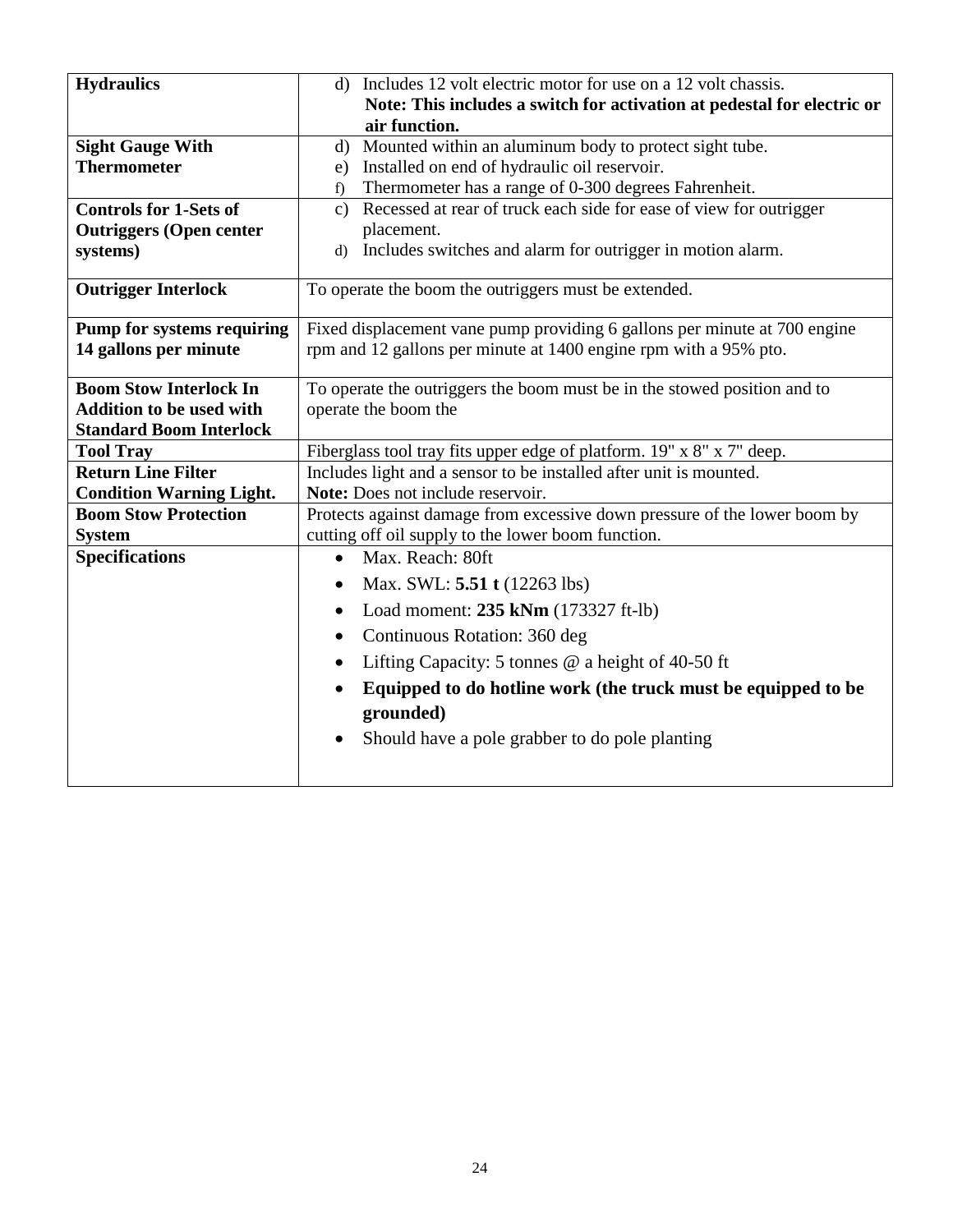| <b>Hydraulics</b>                 | d) Includes 12 volt electric motor for use on a 12 volt chassis.                     |  |  |  |
|-----------------------------------|--------------------------------------------------------------------------------------|--|--|--|
|                                   | Note: This includes a switch for activation at pedestal for electric or              |  |  |  |
|                                   | air function.                                                                        |  |  |  |
| <b>Sight Gauge With</b>           | Mounted within an aluminum body to protect sight tube.<br>$\mathbf{d}$               |  |  |  |
| <b>Thermometer</b>                | Installed on end of hydraulic oil reservoir.<br>e)                                   |  |  |  |
|                                   | Thermometer has a range of 0-300 degrees Fahrenheit.<br>f)                           |  |  |  |
| <b>Controls for 1-Sets of</b>     | Recessed at rear of truck each side for ease of view for outrigger<br>$\mathbf{c}$ ) |  |  |  |
| <b>Outriggers (Open center</b>    | placement.                                                                           |  |  |  |
| systems)                          | Includes switches and alarm for outrigger in motion alarm.<br>$\mathbf{d}$           |  |  |  |
|                                   |                                                                                      |  |  |  |
| <b>Outrigger Interlock</b>        | To operate the boom the outriggers must be extended.                                 |  |  |  |
|                                   |                                                                                      |  |  |  |
| <b>Pump for systems requiring</b> | Fixed displacement vane pump providing 6 gallons per minute at 700 engine            |  |  |  |
| 14 gallons per minute             | rpm and 12 gallons per minute at 1400 engine rpm with a 95% pto.                     |  |  |  |
| <b>Boom Stow Interlock In</b>     | To operate the outriggers the boom must be in the stowed position and to             |  |  |  |
| <b>Addition to be used with</b>   | operate the boom the                                                                 |  |  |  |
| <b>Standard Boom Interlock</b>    |                                                                                      |  |  |  |
| <b>Tool Tray</b>                  | Fiberglass tool tray fits upper edge of platform. 19" x 8" x 7" deep.                |  |  |  |
| <b>Return Line Filter</b>         | Includes light and a sensor to be installed after unit is mounted.                   |  |  |  |
| <b>Condition Warning Light.</b>   | Note: Does not include reservoir.                                                    |  |  |  |
| <b>Boom Stow Protection</b>       | Protects against damage from excessive down pressure of the lower boom by            |  |  |  |
| <b>System</b>                     | cutting off oil supply to the lower boom function.                                   |  |  |  |
| <b>Specifications</b>             | Max. Reach: 80ft<br>$\bullet$                                                        |  |  |  |
|                                   | Max. SWL: 5.51 t (12263 lbs)                                                         |  |  |  |
|                                   | Load moment: 235 kNm (173327 ft-lb)<br>٠                                             |  |  |  |
|                                   | Continuous Rotation: 360 deg                                                         |  |  |  |
|                                   | Lifting Capacity: 5 tonnes @ a height of 40-50 ft                                    |  |  |  |
|                                   | Equipped to do hotline work (the truck must be equipped to be                        |  |  |  |
|                                   | grounded)                                                                            |  |  |  |
|                                   | Should have a pole grabber to do pole planting<br>٠                                  |  |  |  |
|                                   |                                                                                      |  |  |  |
|                                   |                                                                                      |  |  |  |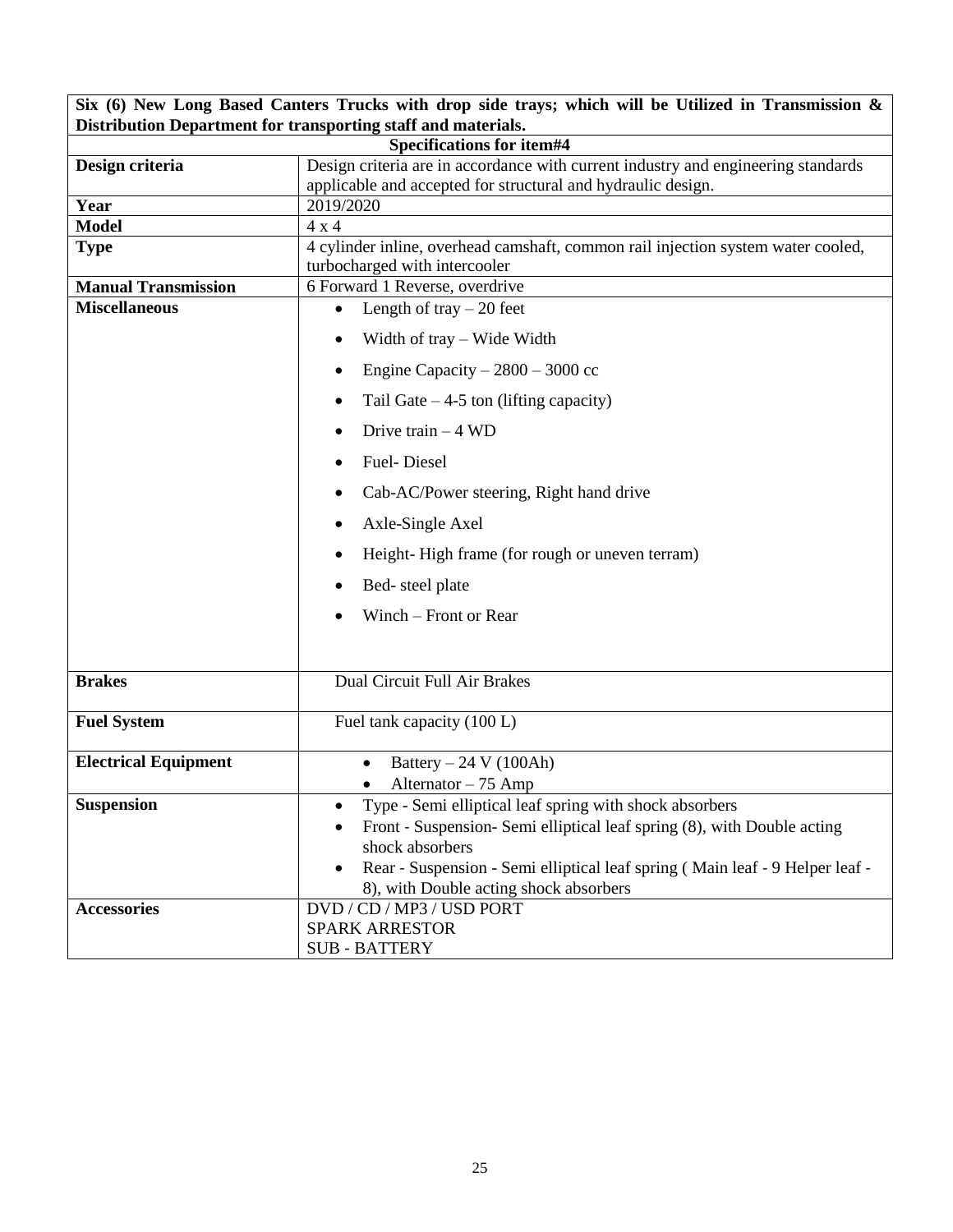| Six (6) New Long Based Canters Trucks with drop side trays; which will be Utilized in Transmission $\&$                                  |                                                                                                                                     |  |  |  |  |
|------------------------------------------------------------------------------------------------------------------------------------------|-------------------------------------------------------------------------------------------------------------------------------------|--|--|--|--|
| Distribution Department for transporting staff and materials.                                                                            |                                                                                                                                     |  |  |  |  |
| <b>Specifications for item#4</b><br>Design criteria are in accordance with current industry and engineering standards<br>Design criteria |                                                                                                                                     |  |  |  |  |
|                                                                                                                                          | applicable and accepted for structural and hydraulic design.                                                                        |  |  |  |  |
| Year                                                                                                                                     | 2019/2020                                                                                                                           |  |  |  |  |
| <b>Model</b>                                                                                                                             | 4x4                                                                                                                                 |  |  |  |  |
| <b>Type</b>                                                                                                                              | 4 cylinder inline, overhead camshaft, common rail injection system water cooled,                                                    |  |  |  |  |
|                                                                                                                                          | turbocharged with intercooler                                                                                                       |  |  |  |  |
| <b>Manual Transmission</b>                                                                                                               | 6 Forward 1 Reverse, overdrive                                                                                                      |  |  |  |  |
| <b>Miscellaneous</b>                                                                                                                     | Length of tray $-20$ feet<br>$\bullet$                                                                                              |  |  |  |  |
|                                                                                                                                          | Width of tray – Wide Width                                                                                                          |  |  |  |  |
|                                                                                                                                          | Engine Capacity $-2800 - 3000$ cc                                                                                                   |  |  |  |  |
|                                                                                                                                          | Tail Gate $-4-5$ ton (lifting capacity)                                                                                             |  |  |  |  |
|                                                                                                                                          | Drive train $-4$ WD                                                                                                                 |  |  |  |  |
|                                                                                                                                          | <b>Fuel-Diesel</b>                                                                                                                  |  |  |  |  |
|                                                                                                                                          | Cab-AC/Power steering, Right hand drive                                                                                             |  |  |  |  |
|                                                                                                                                          | Axle-Single Axel                                                                                                                    |  |  |  |  |
|                                                                                                                                          | Height-High frame (for rough or uneven terram)                                                                                      |  |  |  |  |
|                                                                                                                                          | Bed-steel plate                                                                                                                     |  |  |  |  |
|                                                                                                                                          | Winch – Front or Rear                                                                                                               |  |  |  |  |
|                                                                                                                                          |                                                                                                                                     |  |  |  |  |
| <b>Brakes</b>                                                                                                                            | Dual Circuit Full Air Brakes                                                                                                        |  |  |  |  |
| <b>Fuel System</b>                                                                                                                       | Fuel tank capacity (100 L)                                                                                                          |  |  |  |  |
| <b>Electrical Equipment</b>                                                                                                              | Battery $-24$ V (100Ah)                                                                                                             |  |  |  |  |
|                                                                                                                                          | Alternator - 75 Amp<br>٠                                                                                                            |  |  |  |  |
| <b>Suspension</b>                                                                                                                        | Type - Semi elliptical leaf spring with shock absorbers<br>$\bullet$                                                                |  |  |  |  |
|                                                                                                                                          | Front - Suspension- Semi elliptical leaf spring (8), with Double acting                                                             |  |  |  |  |
|                                                                                                                                          | shock absorbers                                                                                                                     |  |  |  |  |
|                                                                                                                                          | Rear - Suspension - Semi elliptical leaf spring (Main leaf - 9 Helper leaf -<br>$\bullet$<br>8), with Double acting shock absorbers |  |  |  |  |
| <b>Accessories</b>                                                                                                                       | DVD / CD / MP3 / USD PORT                                                                                                           |  |  |  |  |
|                                                                                                                                          | <b>SPARK ARRESTOR</b>                                                                                                               |  |  |  |  |
|                                                                                                                                          | <b>SUB - BATTERY</b>                                                                                                                |  |  |  |  |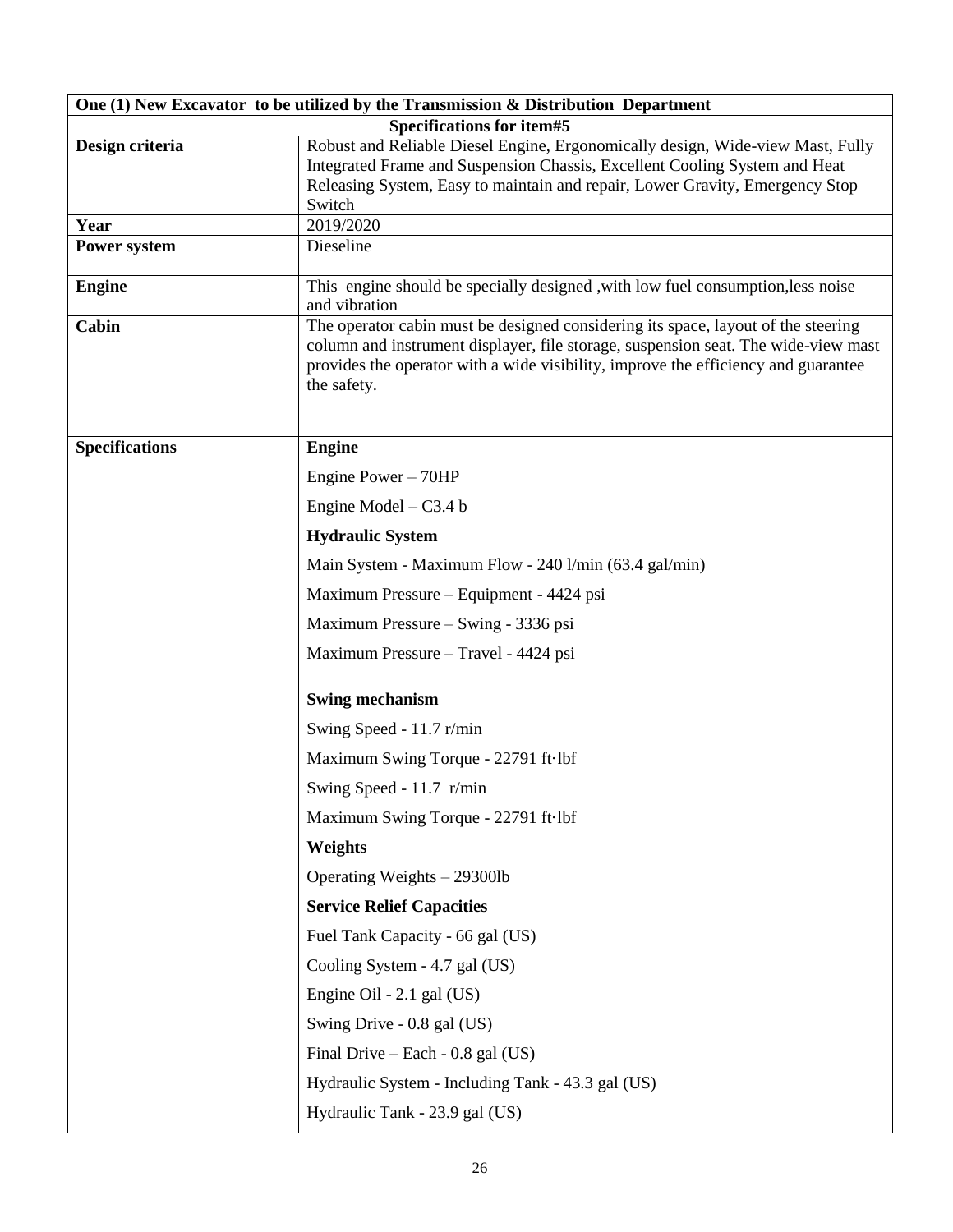|                       | One (1) New Excavator to be utilized by the Transmission & Distribution Department                                                                                       |
|-----------------------|--------------------------------------------------------------------------------------------------------------------------------------------------------------------------|
|                       | Specifications for item#5                                                                                                                                                |
| Design criteria       | Robust and Reliable Diesel Engine, Ergonomically design, Wide-view Mast, Fully                                                                                           |
|                       | Integrated Frame and Suspension Chassis, Excellent Cooling System and Heat<br>Releasing System, Easy to maintain and repair, Lower Gravity, Emergency Stop               |
|                       | Switch                                                                                                                                                                   |
| Year                  | 2019/2020                                                                                                                                                                |
| Power system          | Dieseline                                                                                                                                                                |
| <b>Engine</b>         | This engine should be specially designed, with low fuel consumption, less noise<br>and vibration                                                                         |
| Cabin                 | The operator cabin must be designed considering its space, layout of the steering                                                                                        |
|                       | column and instrument displayer, file storage, suspension seat. The wide-view mast<br>provides the operator with a wide visibility, improve the efficiency and guarantee |
|                       | the safety.                                                                                                                                                              |
|                       |                                                                                                                                                                          |
| <b>Specifications</b> | <b>Engine</b>                                                                                                                                                            |
|                       | Engine Power - 70HP                                                                                                                                                      |
|                       | Engine Model $- C3.4 b$                                                                                                                                                  |
|                       |                                                                                                                                                                          |
|                       | <b>Hydraulic System</b>                                                                                                                                                  |
|                       | Main System - Maximum Flow - 240 l/min (63.4 gal/min)                                                                                                                    |
|                       | Maximum Pressure - Equipment - 4424 psi                                                                                                                                  |
|                       | Maximum Pressure - Swing - 3336 psi                                                                                                                                      |
|                       | Maximum Pressure - Travel - 4424 psi                                                                                                                                     |
|                       | <b>Swing mechanism</b>                                                                                                                                                   |
|                       | Swing Speed - 11.7 r/min                                                                                                                                                 |
|                       | Maximum Swing Torque - 22791 ft lbf                                                                                                                                      |
|                       | Swing Speed - $11.7$ r/min                                                                                                                                               |
|                       | Maximum Swing Torque - 22791 ft lbf                                                                                                                                      |
|                       | Weights                                                                                                                                                                  |
|                       | Operating Weights - 29300lb                                                                                                                                              |
|                       | <b>Service Relief Capacities</b>                                                                                                                                         |
|                       | Fuel Tank Capacity - 66 gal (US)                                                                                                                                         |
|                       | Cooling System - 4.7 gal (US)                                                                                                                                            |
|                       | Engine Oil - 2.1 gal (US)                                                                                                                                                |
|                       | Swing Drive - 0.8 gal (US)                                                                                                                                               |
|                       | Final Drive – Each - $0.8$ gal (US)                                                                                                                                      |
|                       | Hydraulic System - Including Tank - 43.3 gal (US)                                                                                                                        |
|                       | Hydraulic Tank - 23.9 gal (US)                                                                                                                                           |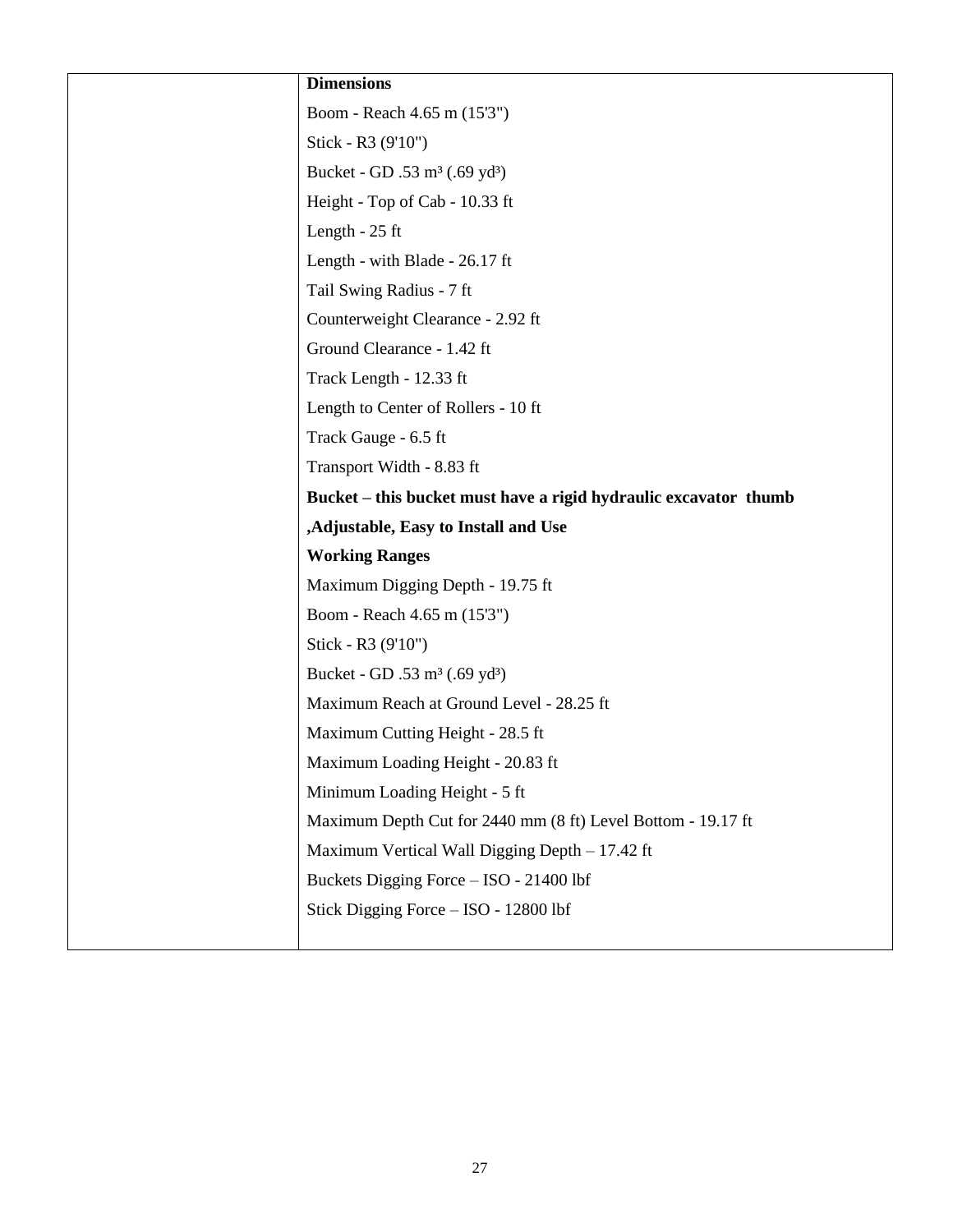| <b>Dimensions</b>                                                |
|------------------------------------------------------------------|
| Boom - Reach 4.65 m (15'3")                                      |
| Stick - R3 (9'10")                                               |
| Bucket - GD .53 m <sup>3</sup> (.69 yd <sup>3</sup> )            |
| Height - Top of Cab - 10.33 ft                                   |
| Length $-25$ ft                                                  |
| Length - with Blade - 26.17 ft                                   |
| Tail Swing Radius - 7 ft                                         |
| Counterweight Clearance - 2.92 ft                                |
| Ground Clearance - 1.42 ft                                       |
| Track Length - 12.33 ft                                          |
| Length to Center of Rollers - 10 ft                              |
| Track Gauge - 6.5 ft                                             |
| Transport Width - 8.83 ft                                        |
| Bucket – this bucket must have a rigid hydraulic excavator thumb |
| ,Adjustable, Easy to Install and Use                             |
| <b>Working Ranges</b>                                            |
| Maximum Digging Depth - 19.75 ft                                 |
| Boom - Reach 4.65 m (15'3")                                      |
| Stick - R3 (9'10")                                               |
| Bucket - GD .53 m <sup>3</sup> (.69 yd <sup>3</sup> )            |
| Maximum Reach at Ground Level - 28.25 ft                         |
| Maximum Cutting Height - 28.5 ft                                 |
| Maximum Loading Height - 20.83 ft                                |
| Minimum Loading Height - 5 ft                                    |
| Maximum Depth Cut for 2440 mm (8 ft) Level Bottom - 19.17 ft     |
| Maximum Vertical Wall Digging Depth - 17.42 ft                   |
| Buckets Digging Force - ISO - 21400 lbf                          |
| Stick Digging Force - ISO - 12800 lbf                            |
|                                                                  |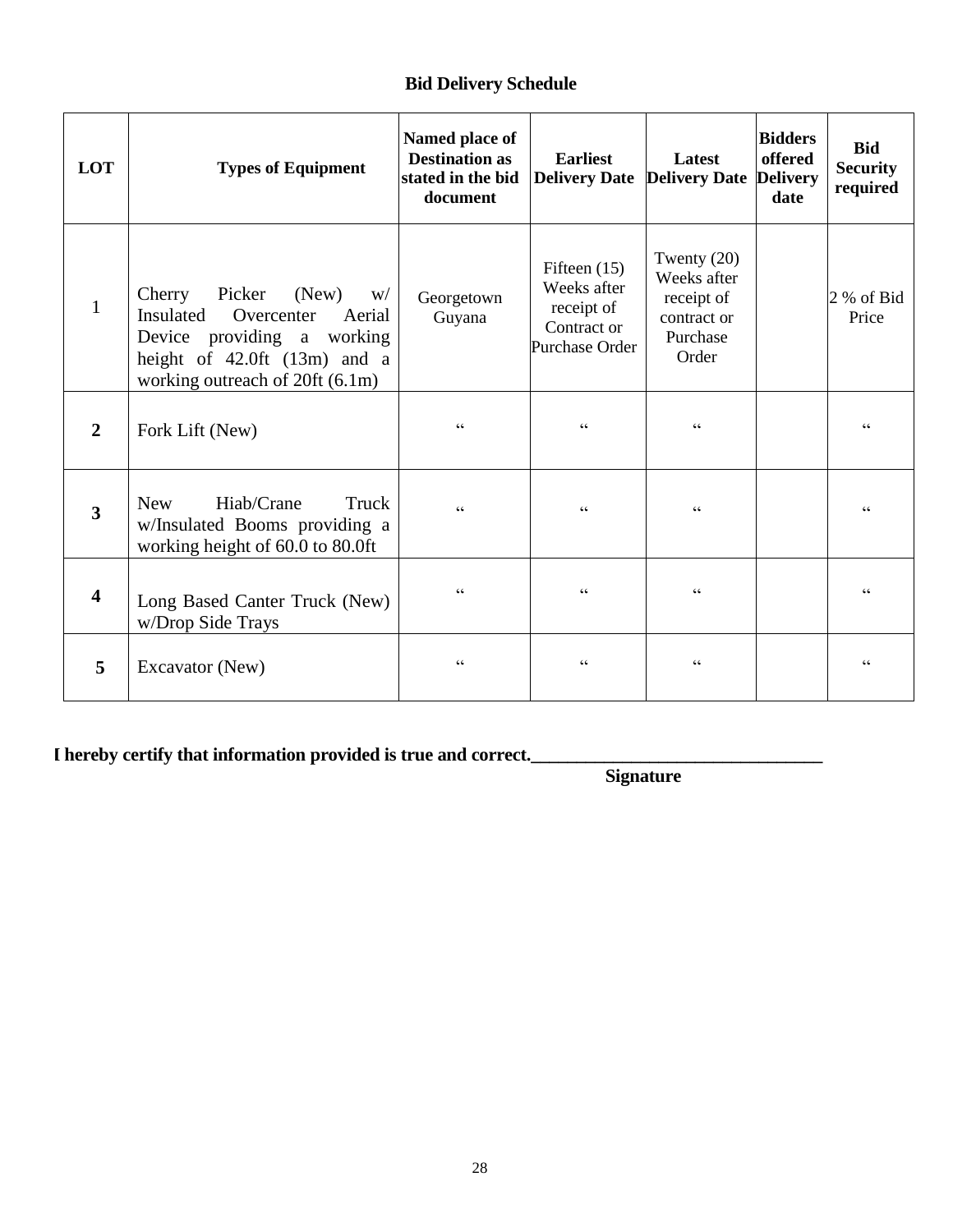### **Bid Delivery Schedule**

| LOT                     | <b>Types of Equipment</b>                                                                                                                                                  | Named place of<br><b>Destination as</b><br>stated in the bid<br>document | <b>Earliest</b><br>Delivery Date Delivery Date Delivery                      | Latest                                                                         | <b>Bidders</b><br>offered<br>date | <b>Bid</b><br><b>Security</b><br>required         |
|-------------------------|----------------------------------------------------------------------------------------------------------------------------------------------------------------------------|--------------------------------------------------------------------------|------------------------------------------------------------------------------|--------------------------------------------------------------------------------|-----------------------------------|---------------------------------------------------|
| $\mathbf{1}$            | Picker<br>(New)<br>Cherry<br>W/<br>Insulated<br>Overcenter<br>Aerial<br>Device providing a working<br>height of $42.0$ ft $(13m)$ and a<br>working outreach of 20ft (6.1m) | Georgetown<br>Guyana                                                     | Fifteen $(15)$<br>Weeks after<br>receipt of<br>Contract or<br>Purchase Order | Twenty $(20)$<br>Weeks after<br>receipt of<br>contract or<br>Purchase<br>Order |                                   | 2 % of Bid<br>Price                               |
| $\mathbf{2}$            | Fork Lift (New)                                                                                                                                                            | $\boldsymbol{\varsigma}$ $\boldsymbol{\varsigma}$                        | cc                                                                           | $\boldsymbol{\varsigma}$ $\boldsymbol{\varsigma}$                              |                                   | $\pmb{\zeta}$ $\pmb{\zeta}$                       |
| $\overline{\mathbf{3}}$ | Hiab/Crane<br>Truck<br><b>New</b><br>w/Insulated Booms providing a<br>working height of 60.0 to 80.0ft                                                                     | $\epsilon$                                                               | cc                                                                           | $\epsilon\,\epsilon$                                                           |                                   | $\zeta\,\zeta$                                    |
| 4                       | Long Based Canter Truck (New)<br>w/Drop Side Trays                                                                                                                         | $\zeta$ $\zeta$                                                          | cc                                                                           | $\zeta$ $\zeta$                                                                |                                   | $\zeta\,\zeta$                                    |
| 5                       | Excavator (New)                                                                                                                                                            | $\zeta$ $\zeta$                                                          | cc                                                                           | $\zeta\,\zeta$                                                                 |                                   | $\boldsymbol{\varsigma}$ $\boldsymbol{\varsigma}$ |

**I I hereby certify that information provided is true and correct.\_\_\_\_\_\_\_\_\_\_\_\_\_\_\_\_\_\_\_\_\_\_\_\_\_\_\_\_\_\_\_\_**

 **Signature**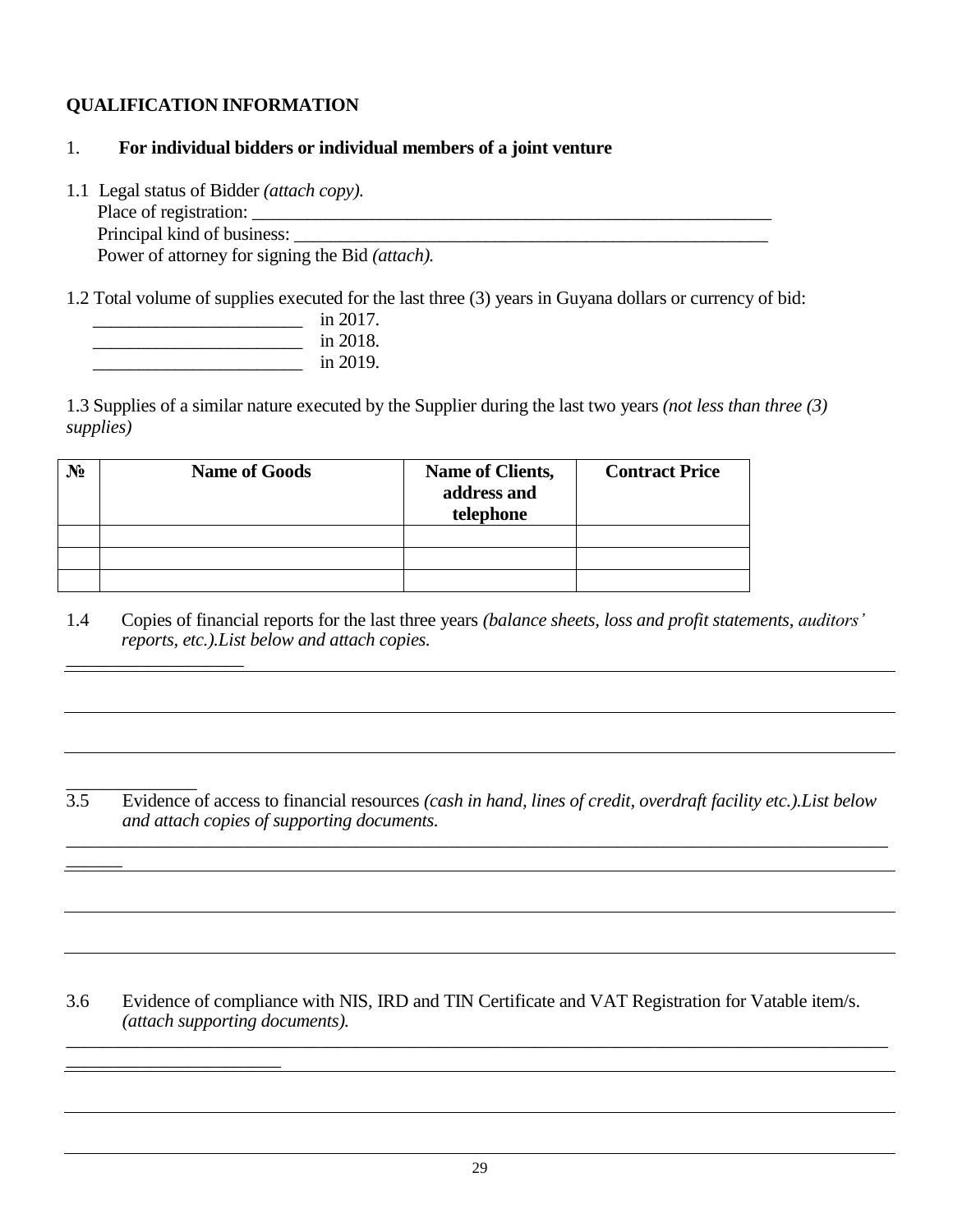#### **QUALIFICATION INFORMATION**

#### 1. **For individual bidders or individual members of a joint venture**

1.1 Legal status of Bidder *(attach copy).*

 Place of registration: \_\_\_\_\_\_\_\_\_\_\_\_\_\_\_\_\_\_\_\_\_\_\_\_\_\_\_\_\_\_\_\_\_\_\_\_\_\_\_\_\_\_\_\_\_\_\_\_\_\_\_\_\_\_\_\_\_ Principal kind of business: \_\_\_\_\_\_\_\_\_\_\_\_\_\_\_\_\_\_\_\_\_\_\_\_\_\_\_\_\_\_\_\_\_\_\_\_\_\_\_\_\_\_\_\_\_\_\_\_\_\_\_\_ Power of attorney for signing the Bid *(attach).*

1.2 Total volume of supplies executed for the last three (3) years in Guyana dollars or currency of bid:

| in 2017. |
|----------|
| in 2018. |
| in 2019. |

 $\overline{\phantom{a}}$ 

\_\_\_\_\_\_\_\_\_\_\_\_\_\_\_\_\_\_\_\_\_\_\_

1.3 Supplies of a similar nature executed by the Supplier during the last two years *(not less than three (3) supplies)*

| No | <b>Name of Goods</b> | Name of Clients,<br>address and<br>telephone | <b>Contract Price</b> |
|----|----------------------|----------------------------------------------|-----------------------|
|    |                      |                                              |                       |
|    |                      |                                              |                       |
|    |                      |                                              |                       |

- 1.4 Copies of financial reports for the last three years *(balance sheets, loss and profit statements, auditors' reports, etc.).List below and attach copies.* \_\_\_\_\_\_\_\_\_\_\_\_\_\_\_\_\_\_\_
- \_\_\_\_\_\_\_\_\_\_\_\_\_\_ 3.5 Evidence of access to financial resources *(cash in hand, lines of credit, overdraft facility etc.).List below and attach copies of supporting documents.* \_\_\_\_\_\_\_\_\_\_\_\_\_\_\_\_\_\_\_\_\_\_\_\_\_\_\_\_\_\_\_\_\_\_\_\_\_\_\_\_\_\_\_\_\_\_\_\_\_\_\_\_\_\_\_\_\_\_\_\_\_\_\_\_\_\_\_\_\_\_\_\_\_\_\_\_\_\_\_\_\_\_\_\_\_\_\_\_

3.6 Evidence of compliance with NIS, IRD and TIN Certificate and VAT Registration for Vatable item/s. *(attach supporting documents).* \_\_\_\_\_\_\_\_\_\_\_\_\_\_\_\_\_\_\_\_\_\_\_\_\_\_\_\_\_\_\_\_\_\_\_\_\_\_\_\_\_\_\_\_\_\_\_\_\_\_\_\_\_\_\_\_\_\_\_\_\_\_\_\_\_\_\_\_\_\_\_\_\_\_\_\_\_\_\_\_\_\_\_\_\_\_\_\_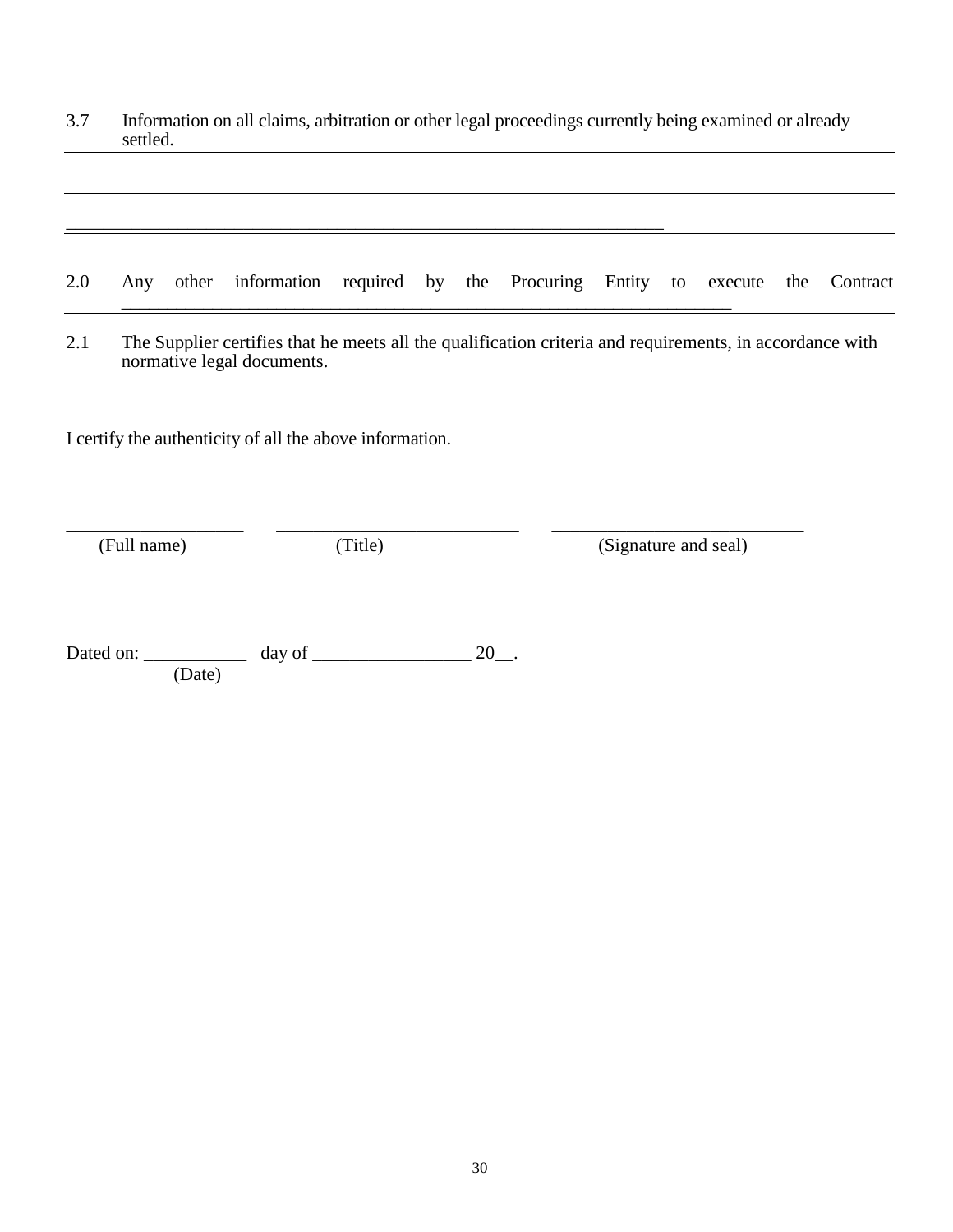3.7 Information on all claims, arbitration or other legal proceedings currently being examined or already settled.

|  | 2.0 Any other information required by the Procuring Entity to execute the Contract |  |  |  |  |  |
|--|------------------------------------------------------------------------------------|--|--|--|--|--|
|  |                                                                                    |  |  |  |  |  |

2.1 The Supplier certifies that he meets all the qualification criteria and requirements, in accordance with normative legal documents.

I certify the authenticity of all the above information.

\_\_\_\_\_\_\_\_\_\_\_\_\_\_\_\_\_\_\_ \_\_\_\_\_\_\_\_\_\_\_\_\_\_\_\_\_\_\_\_\_\_\_\_\_\_ \_\_\_\_\_\_\_\_\_\_\_\_\_\_\_\_\_\_\_\_\_\_\_\_\_\_\_

\_\_\_\_\_\_\_\_\_\_\_\_\_\_\_\_\_\_\_\_\_\_\_\_\_\_\_\_\_\_\_\_\_\_\_\_\_\_\_\_\_\_\_\_\_\_\_\_\_\_\_\_\_\_\_\_\_\_\_\_\_\_\_\_

(Full name) (Title) (Signature and seal)

Dated on: \_\_\_\_\_\_\_\_\_\_\_ day of \_\_\_\_\_\_\_\_\_\_\_\_\_\_\_\_\_ 20\_\_. (Date)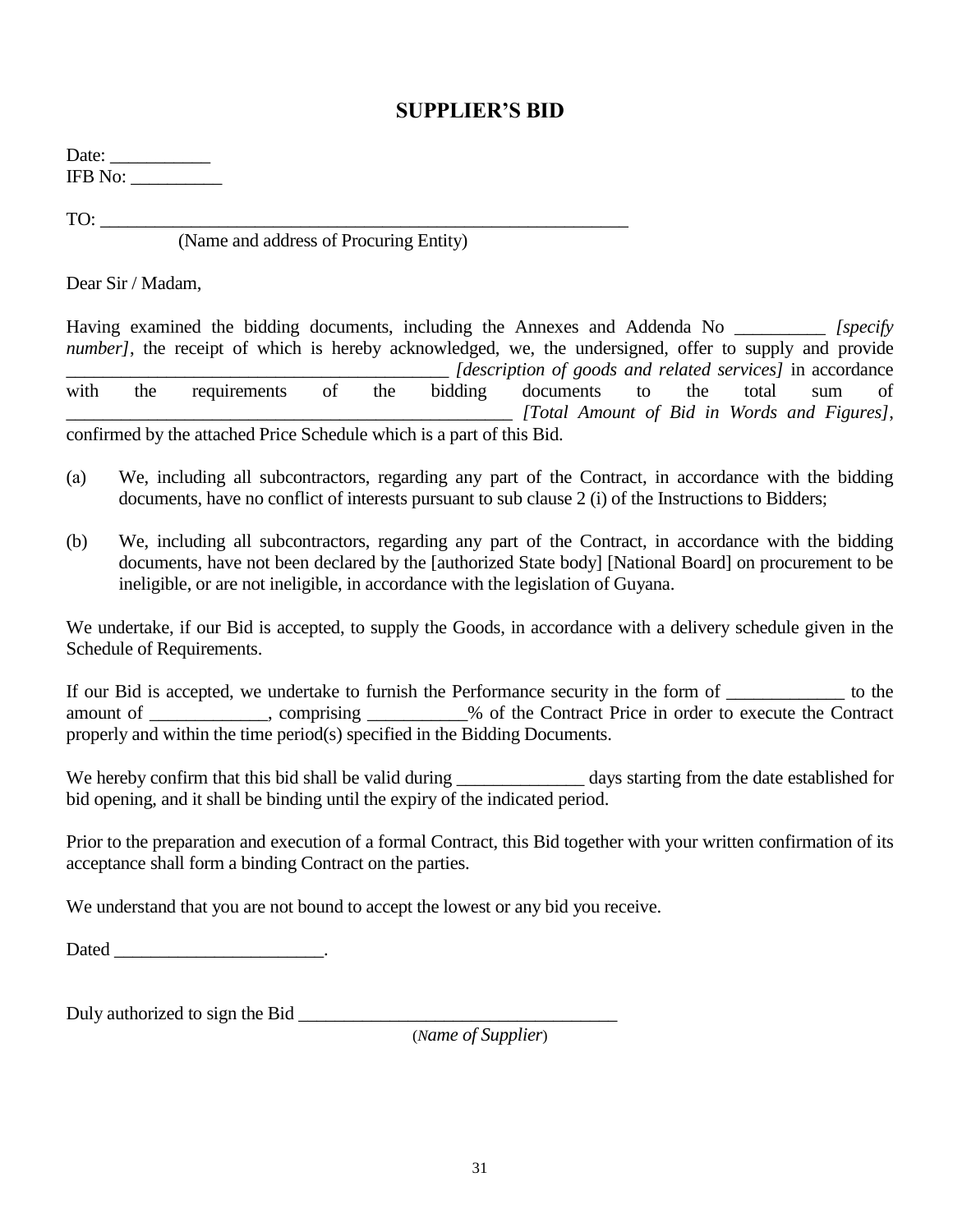### **SUPPLIER'S BID**

Date: \_\_\_\_\_\_\_\_\_\_\_ IFB No: \_\_\_\_\_\_\_\_\_\_

 $TO:$ 

(Name and address of Procuring Entity)

Dear Sir / Madam,

Having examined the bidding documents, including the Annexes and Addenda No *[specify] number]*, the receipt of which is hereby acknowledged, we, the undersigned, offer to supply and provide \_\_\_\_\_\_\_\_\_\_\_\_\_\_\_\_\_\_\_\_\_\_\_\_\_\_\_\_\_\_\_\_\_\_\_\_\_\_\_\_\_\_ *[description of goods and related services]* in accordance with the requirements of the bidding documents to the total sum of \_\_\_\_\_\_\_\_\_\_\_\_\_\_\_\_\_\_\_\_\_\_\_\_\_\_\_\_\_\_\_\_\_\_\_\_\_\_\_\_\_\_\_\_\_\_\_\_\_ *[Total Amount of Bid in Words and Figures]*, confirmed by the attached Price Schedule which is a part of this Bid.

(а) We, including all subcontractors, regarding any part of the Contract, in accordance with the bidding documents, have no conflict of interests pursuant to sub clause 2 (i) of the Instructions to Bidders;

(b) We, including all subcontractors, regarding any part of the Contract, in accordance with the bidding documents, have not been declared by the [authorized State body] [National Board] on procurement to be ineligible, or are not ineligible, in accordance with the legislation of Guyana.

We undertake, if our Bid is accepted, to supply the Goods, in accordance with a delivery schedule given in the Schedule of Requirements.

If our Bid is accepted, we undertake to furnish the Performance security in the form of \_\_\_\_\_\_\_\_\_\_\_\_\_ to the amount of \_\_\_\_\_\_\_\_\_\_\_\_\_, comprising \_\_\_\_\_\_\_\_\_\_\_% of the Contract Price in order to execute the Contract properly and within the time period(s) specified in the Bidding Documents.

We hereby confirm that this bid shall be valid during \_\_\_\_\_\_\_\_\_\_\_\_\_\_ days starting from the date established for bid opening, and it shall be binding until the expiry of the indicated period.

Prior to the preparation and execution of a formal Contract, this Bid together with your written confirmation of its acceptance shall form a binding Contract on the parties.

We understand that you are not bound to accept the lowest or any bid you receive.

Dated the contract of the contract of the contract of the contract of the contract of the contract of the contract of the contract of the contract of the contract of the contract of the contract of the contract of the cont

Duly authorized to sign the Bid \_\_\_\_\_\_\_\_\_\_\_\_\_\_\_\_\_\_\_\_\_\_\_\_\_\_\_\_\_\_\_\_\_\_\_

(*Name of Supplier*)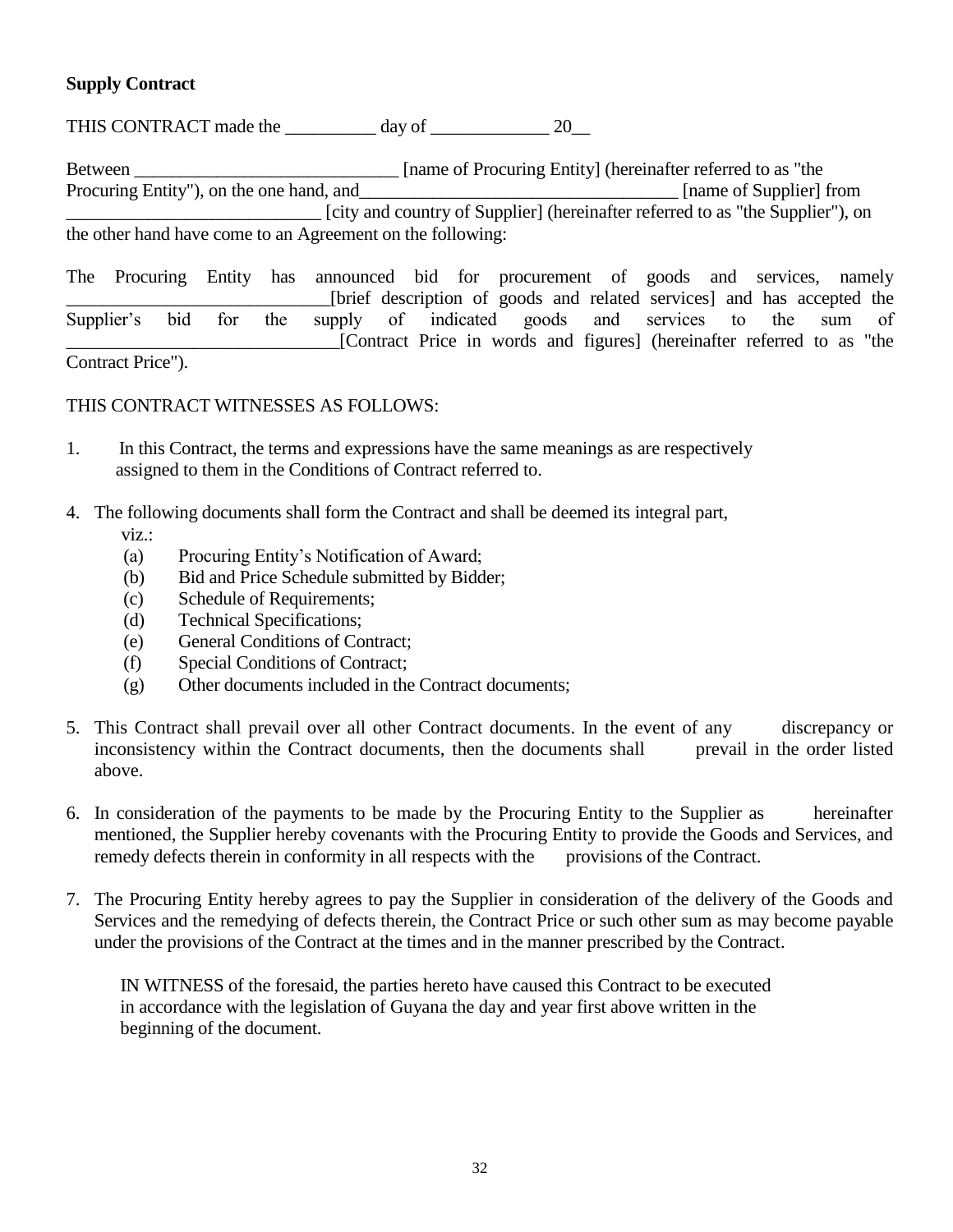#### **Supply Contract**

THIS CONTRACT made the \_\_\_\_\_\_\_\_\_\_ day of \_\_\_\_\_\_\_\_\_\_\_\_\_ 20\_\_

Between \_\_\_\_\_\_\_\_\_\_\_\_\_\_\_\_\_\_\_\_\_\_\_\_\_\_\_\_\_ [name of Procuring Entity] (hereinafter referred to as "the Procuring Entity"), on the one hand, and\_\_\_\_\_\_\_\_\_\_\_\_\_\_\_\_\_\_\_\_\_\_\_\_\_\_\_\_\_\_\_\_\_\_\_ [name of Supplier] from \_\_\_\_\_\_\_\_\_\_\_\_\_\_\_\_\_\_\_\_\_\_\_\_\_\_\_\_ [city and country of Supplier] (hereinafter referred to as "the Supplier"), on the other hand have come to an Agreement on the following:

The Procuring Entity has announced bid for procurement of goods and services, namely [brief description of goods and related services] and has accepted the Supplier's bid for the supply of indicated goods and services to the sum of \_\_\_\_\_\_\_\_\_\_\_\_\_\_\_\_\_\_\_\_\_\_\_\_\_\_\_\_\_\_[Contract Price in words and figures] (hereinafter referred to as "the Contract Price").

THIS CONTRACT WITNESSES AS FOLLOWS:

- 1. In this Contract, the terms and expressions have the same meanings as are respectively assigned to them in the Conditions of Contract referred to.
- 4. The following documents shall form the Contract and shall be deemed its integral part, viz.:
	- (а) Procuring Entity's Notification of Award;
	- (b) Bid and Price Schedule submitted by Bidder;
	- (c) Schedule of Requirements;
	- (d) Technical Specifications;
	- (e) General Conditions of Contract;
	- (f) Special Conditions of Contract;
	- (g) Other documents included in the Contract documents;
- 5. This Contract shall prevail over all other Contract documents. In the event of any discrepancy or inconsistency within the Contract documents, then the documents shall prevail in the order listed above.
- 6. In consideration of the payments to be made by the Procuring Entity to the Supplier as hereinafter mentioned, the Supplier hereby covenants with the Procuring Entity to provide the Goods and Services, and remedy defects therein in conformity in all respects with the provisions of the Contract.
- 7. The Procuring Entity hereby agrees to pay the Supplier in consideration of the delivery of the Goods and Services and the remedying of defects therein, the Contract Price or such other sum as may become payable under the provisions of the Contract at the times and in the manner prescribed by the Contract.

 IN WITNESS of the foresaid, the parties hereto have caused this Contract to be executed in accordance with the legislation of Guyana the day and year first above written in the beginning of the document.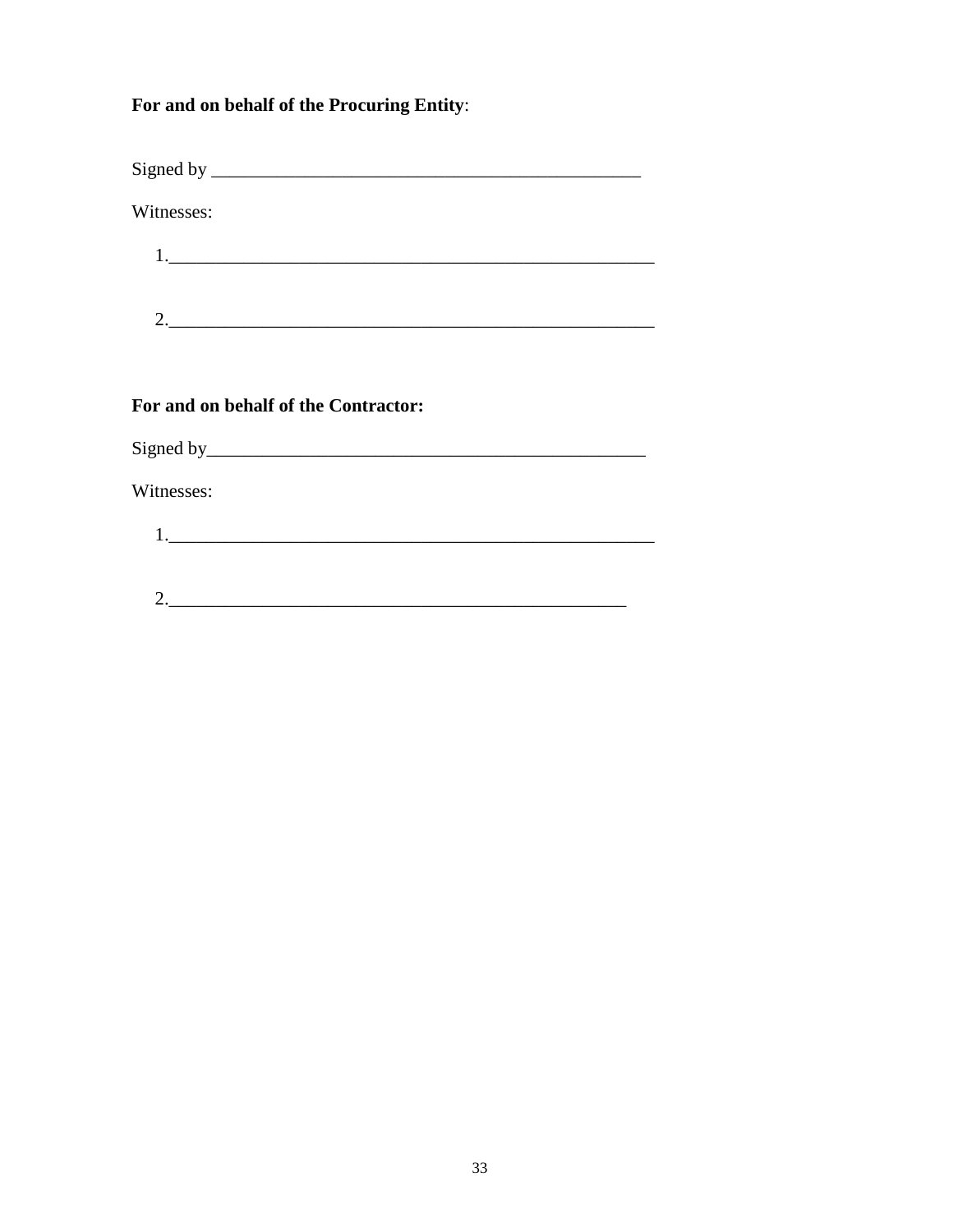#### For and on behalf of the Procuring Entity:

Witnesses:

| ╭ |  |  |  |
|---|--|--|--|

#### For and on behalf of the Contractor:

Witnesses:  $2.$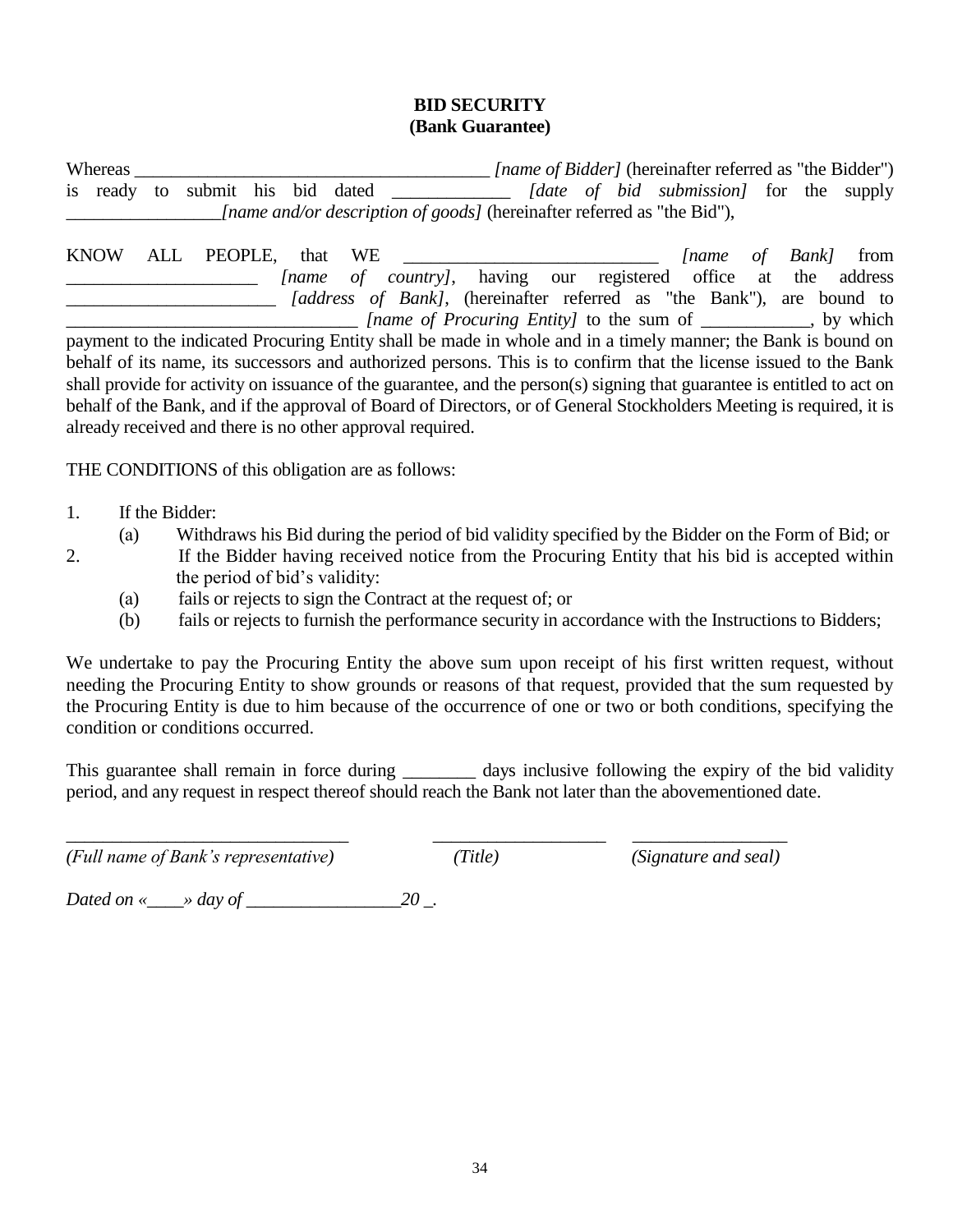#### **BID SECURITY (Bank Guarantee)**

Whereas \_\_\_\_\_\_\_\_\_\_\_\_\_\_\_\_\_\_\_\_\_\_\_\_\_\_\_\_\_\_\_\_\_\_\_\_\_\_\_ *[name of Bidder]* (hereinafter referred as "the Bidder") is ready to submit his bid dated \_\_\_\_\_\_\_\_\_\_\_\_\_ *[date of bid submission]* for the supply \_\_\_\_\_\_\_\_\_\_\_\_\_\_\_\_\_*[name and/or description of goods]* (hereinafter referred as "the Bid"),

KNOW ALL PEOPLE, that WE \_\_\_\_\_\_\_\_\_\_\_\_\_\_\_\_\_\_\_\_\_\_\_\_\_\_\_\_ *[name of Bank]* from \_\_\_\_\_\_\_\_\_\_\_\_\_\_\_\_\_\_\_\_\_ *[name of country]*, having our registered office at the address *(address of Bank)*, (hereinafter referred as "the Bank"), are bound to \_\_\_\_\_\_\_\_\_\_\_\_\_\_\_\_\_\_\_\_\_\_\_\_\_\_\_\_\_\_\_\_ *[name of Procuring Entity]* to the sum of \_\_\_\_\_\_\_\_\_\_\_\_, by which payment to the indicated Procuring Entity shall be made in whole and in a timely manner; the Bank is bound on behalf of its name, its successors and authorized persons. This is to confirm that the license issued to the Bank shall provide for activity on issuance of the guarantee, and the person(s) signing that guarantee is entitled to act on behalf of the Bank, and if the approval of Board of Directors, or of General Stockholders Meeting is required, it is already received and there is no other approval required.

THE CONDITIONS of this obligation are as follows:

- 1. If the Bidder:
- 
- (а) Withdraws his Bid during the period of bid validity specified by the Bidder on the Form of Bid; or
- 2. If the Bidder having received notice from the Procuring Entity that his bid is accepted within the period of bid's validity:
	- (а) fails or rejects to sign the Contract at the request of; or
	- (b) fails or rejects to furnish the performance security in accordance with the Instructions to Bidders;

We undertake to pay the Procuring Entity the above sum upon receipt of his first written request, without needing the Procuring Entity to show grounds or reasons of that request, provided that the sum requested by the Procuring Entity is due to him because of the occurrence of one or two or both conditions, specifying the condition or conditions occurred.

This guarantee shall remain in force during days inclusive following the expiry of the bid validity period, and any request in respect thereof should reach the Bank not later than the abovementioned date.

*(Full name of Bank's representative) (Title) (Signature and seal)*

\_\_\_\_\_\_\_\_\_\_\_\_\_\_\_\_\_\_\_\_\_\_\_\_\_\_\_\_\_\_\_ \_\_\_\_\_\_\_\_\_\_\_\_\_\_\_\_\_\_\_ \_\_\_\_\_\_\_\_\_\_\_\_\_\_\_\_\_

*Dated on «\_\_\_\_» day of \_\_\_\_\_\_\_\_\_\_\_\_\_\_\_\_\_20 \_.*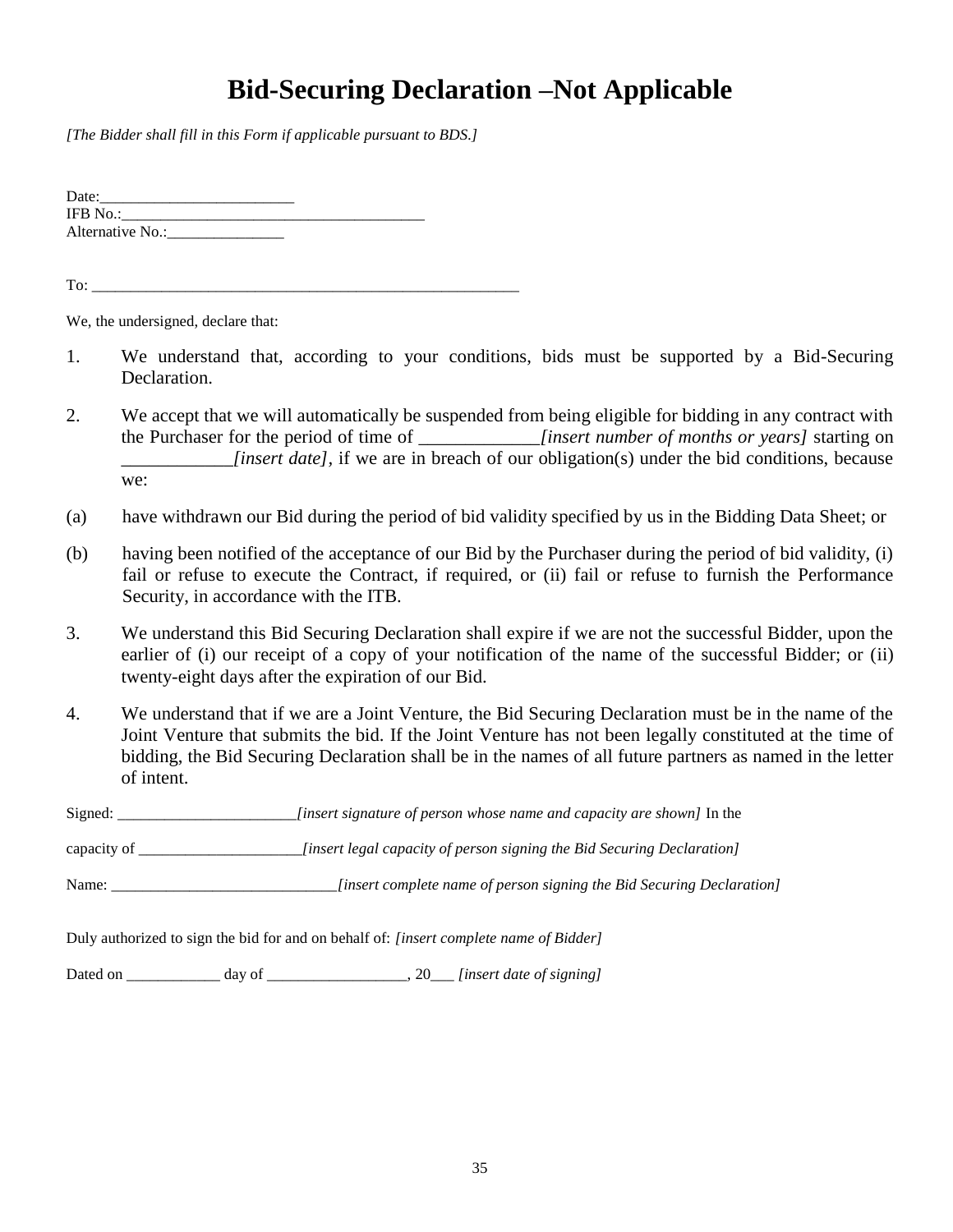# **Bid-Securing Declaration –Not Applicable**

*[The Bidder shall fill in this Form if applicable pursuant to BDS.]*

Date:\_\_\_\_\_\_\_\_\_\_\_\_\_\_\_\_\_\_\_\_\_\_\_\_\_ IFB No.:\_\_\_\_\_\_\_\_\_\_\_\_\_\_\_\_\_\_\_\_\_\_\_\_\_\_\_\_\_\_\_\_\_\_\_\_\_\_\_ Alternative No.:\_\_\_\_\_\_\_\_\_\_\_\_\_\_\_

To:

We, the undersigned, declare that:

- 1. We understand that, according to your conditions, bids must be supported by a Bid-Securing Declaration.
- 2. We accept that we will automatically be suspended from being eligible for bidding in any contract with the Purchaser for the period of time of \_\_\_\_\_\_\_\_\_\_\_\_\_*[insert number of months or years]* starting on *linsert date]*, if we are in breach of our obligation(s) under the bid conditions, because we:
- (a) have withdrawn our Bid during the period of bid validity specified by us in the Bidding Data Sheet; or
- (b) having been notified of the acceptance of our Bid by the Purchaser during the period of bid validity, (i) fail or refuse to execute the Contract, if required, or (ii) fail or refuse to furnish the Performance Security, in accordance with the ITB.
- 3. We understand this Bid Securing Declaration shall expire if we are not the successful Bidder, upon the earlier of (i) our receipt of a copy of your notification of the name of the successful Bidder; or (ii) twenty-eight days after the expiration of our Bid.
- 4. We understand that if we are a Joint Venture, the Bid Securing Declaration must be in the name of the Joint Venture that submits the bid. If the Joint Venture has not been legally constituted at the time of bidding, the Bid Securing Declaration shall be in the names of all future partners as named in the letter of intent.

Signed: \_\_\_\_\_\_\_\_\_\_\_\_\_\_\_\_\_\_\_\_\_\_\_*[insert signature of person whose name and capacity are shown]* In the

capacity of *capacity of person signing the Bid Securing Declaration]* 

Name: \_\_\_\_\_\_\_\_\_\_\_\_\_\_\_\_\_\_\_\_\_\_\_\_\_\_\_\_\_*[insert complete name of person signing the Bid Securing Declaration]*

Duly authorized to sign the bid for and on behalf of: *[insert complete name of Bidder]*

Dated on \_\_\_\_\_\_\_\_\_\_\_\_ day of \_\_\_\_\_\_\_\_\_\_\_\_\_\_\_\_\_\_, 20\_\_\_ *[insert date of signing]*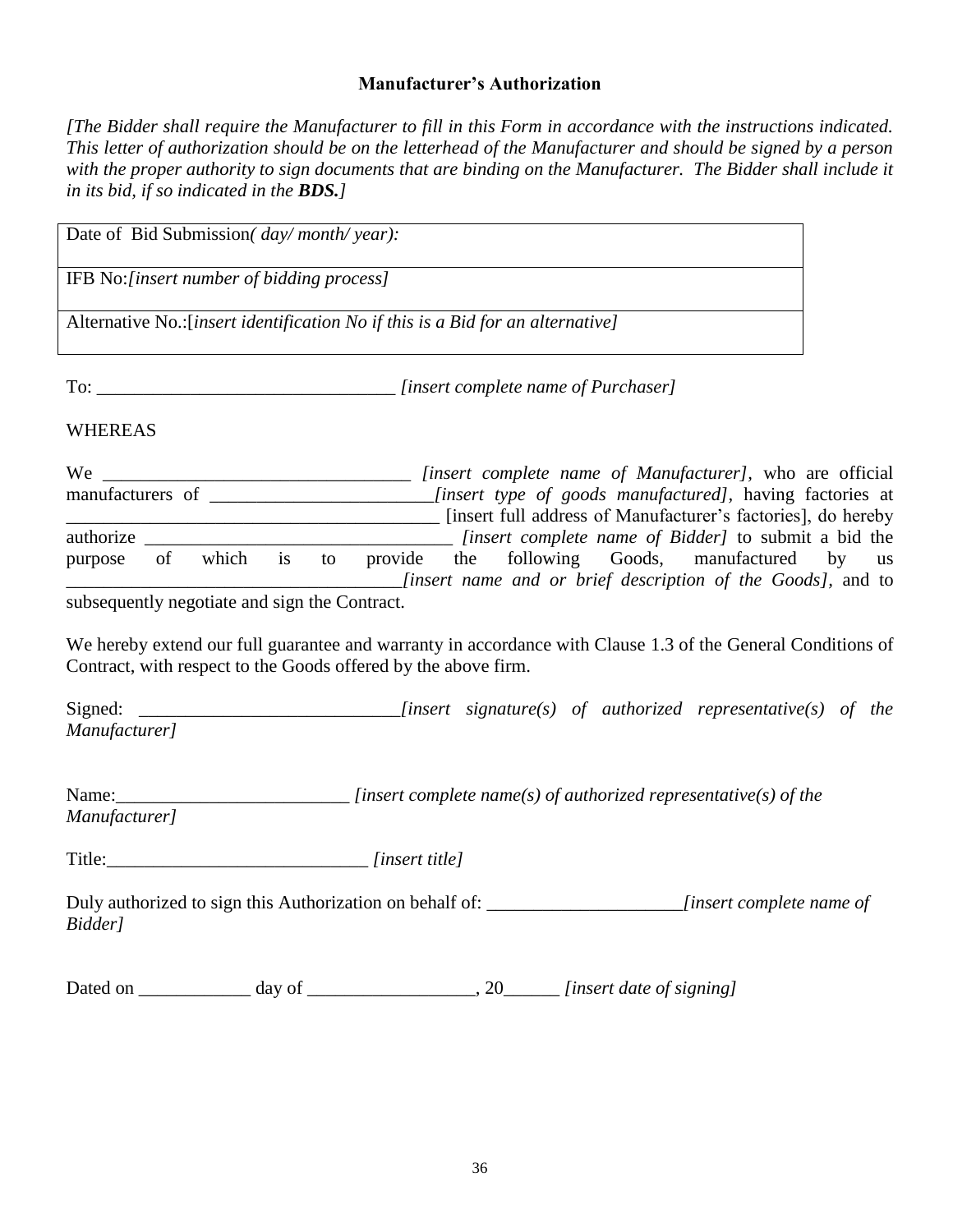#### **Manufacturer's Authorization**

*[The Bidder shall require the Manufacturer to fill in this Form in accordance with the instructions indicated. This letter of authorization should be on the letterhead of the Manufacturer and should be signed by a person*  with the proper authority to sign documents that are binding on the Manufacturer. The Bidder shall include it *in its bid, if so indicated in the BDS.]*

Date of Bid Submission*( day/ month/ year):* IFB No:*[insert number of bidding process]* Alternative No.:[*insert identification No if this is a Bid for an alternative]* To:  $[insert complete name of Purchaser]$ WHEREAS We \_\_\_\_\_\_\_\_\_\_\_\_\_\_\_\_\_\_\_\_\_\_\_\_\_\_\_\_\_\_\_\_\_ *[insert complete name of Manufacturer],* who are official manufacturers of \_\_\_\_\_\_\_\_\_\_\_\_\_\_\_\_\_\_\_\_\_\_\_\_*[insert type of goods manufactured],* having factories at \_\_\_\_\_\_\_\_\_\_\_\_\_\_\_\_\_\_\_\_\_\_\_\_\_\_\_\_\_\_\_\_\_\_\_\_\_\_\_\_ [insert full address of Manufacturer's factories], do hereby authorize \_\_\_\_\_\_\_\_\_\_\_\_\_\_\_\_\_\_\_\_\_\_\_\_\_\_\_\_\_\_\_\_\_ *[insert complete name of Bidder]* to submit a bid the purpose of which is to provide the following Goods, manufactured by us \_\_\_\_\_\_\_\_\_\_\_\_\_\_\_\_\_\_\_\_\_\_\_\_\_\_\_\_\_\_\_\_\_\_\_\_*[insert name and or brief description of the Goods],* and to subsequently negotiate and sign the Contract. We hereby extend our full guarantee and warranty in accordance with Clause 1.3 of the General Conditions of Contract, with respect to the Goods offered by the above firm. Signed: \_\_\_\_\_\_\_\_\_\_\_\_\_\_\_\_\_\_\_\_\_\_\_\_\_\_\_\_*[insert signature(s) of authorized representative(s) of the Manufacturer]*  Name:\_\_\_\_\_\_\_\_\_\_\_\_\_\_\_\_\_\_\_\_\_\_\_\_\_\_\_\_\_\_\_\_\_\_*[insert complete name(s) of authorized representative(s) of the Manufacturer]* Title:\_\_\_\_\_\_\_\_\_\_\_\_\_\_\_\_\_\_\_\_\_\_\_\_\_\_\_\_ *[insert title]* Duly authorized to sign this Authorization on behalf of: \_\_\_\_\_\_\_\_\_\_\_\_\_\_\_\_\_\_\_\_\_*[insert complete name of Bidder]* Dated on \_\_\_\_\_\_\_\_\_\_\_\_ day of \_\_\_\_\_\_\_\_\_\_\_\_\_\_\_\_\_\_, 20\_\_\_\_\_\_ *[insert date of signing]*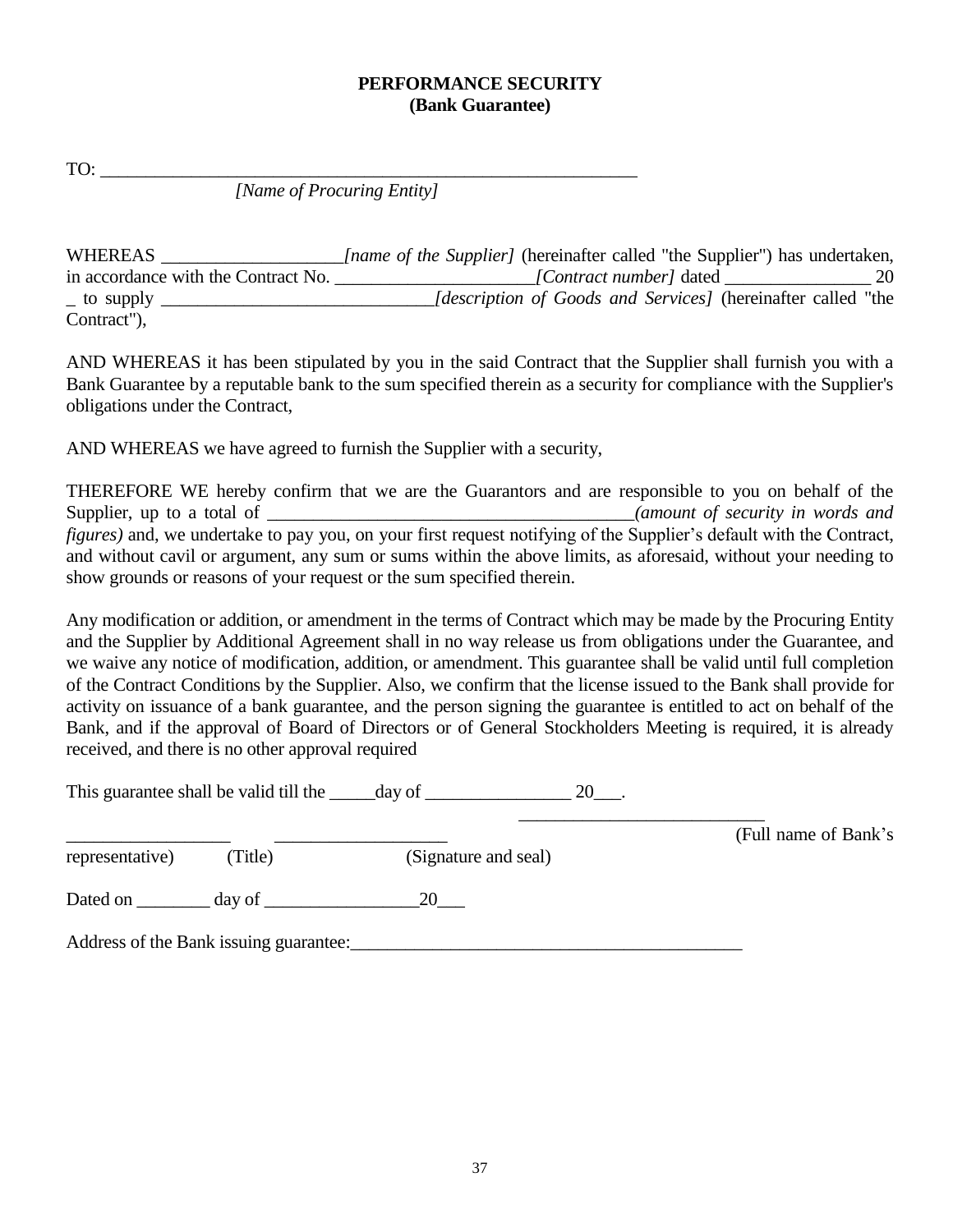#### **PERFORMANCE SECURITY (Bank Guarantee)**

TO: \_\_\_\_\_\_\_\_\_\_\_\_\_\_\_\_\_\_\_\_\_\_\_\_\_\_\_\_\_\_\_\_\_\_\_\_\_\_\_\_\_\_\_\_\_\_\_\_\_\_\_\_\_\_\_\_\_\_\_

*[Name of Procuring Entity]*

| WHEREAS                             | <i>Iname of the Supplier]</i> (hereinafter called "the Supplier") has undertaken, |    |
|-------------------------------------|-----------------------------------------------------------------------------------|----|
| in accordance with the Contract No. | [Contract number] dated                                                           | 20 |
| $\_$ to supply                      | <i>description of Goods and Services]</i> (hereinafter called "the                |    |
| Contract"),                         |                                                                                   |    |

AND WHEREAS it has been stipulated by you in the said Contract that the Supplier shall furnish you with a Bank Guarantee by a reputable bank to the sum specified therein as a security for compliance with the Supplier's obligations under the Contract,

AND WHEREAS we have agreed to furnish the Supplier with a security,

THEREFORE WE hereby confirm that we are the Guarantors and are responsible to you on behalf of the Supplier, up to a total of **Example 2** (amount of security in words and *(amount of security in words and* ) *figures*) and, we undertake to pay you, on your first request notifying of the Supplier's default with the Contract, and without cavil or argument, any sum or sums within the above limits, as aforesaid, without your needing to show grounds or reasons of your request or the sum specified therein.

Any modification or addition, or amendment in the terms of Contract which may be made by the Procuring Entity and the Supplier by Additional Agreement shall in no way release us from obligations under the Guarantee, and we waive any notice of modification, addition, or amendment. This guarantee shall be valid until full completion of the Contract Conditions by the Supplier. Also, we confirm that the license issued to the Bank shall provide for activity on issuance of a bank guarantee, and the person signing the guarantee is entitled to act on behalf of the Bank, and if the approval of Board of Directors or of General Stockholders Meeting is required, it is already received, and there is no other approval required

This guarantee shall be valid till the \_\_\_\_\_day of \_\_\_\_\_\_\_\_\_\_\_\_\_\_\_\_\_\_\_\_\_\_ 20\_\_\_.

 $\frac{1}{\sqrt{2}}$  ,  $\frac{1}{\sqrt{2}}$  ,  $\frac{1}{\sqrt{2}}$  ,  $\frac{1}{\sqrt{2}}$  ,  $\frac{1}{\sqrt{2}}$  ,  $\frac{1}{\sqrt{2}}$  ,  $\frac{1}{\sqrt{2}}$  ,  $\frac{1}{\sqrt{2}}$  ,  $\frac{1}{\sqrt{2}}$  ,  $\frac{1}{\sqrt{2}}$  ,  $\frac{1}{\sqrt{2}}$  ,  $\frac{1}{\sqrt{2}}$  ,  $\frac{1}{\sqrt{2}}$  ,  $\frac{1}{\sqrt{2}}$  ,  $\frac{1}{\sqrt{2}}$ 

|                 |        |                      | (Full name of Bank's) |
|-----------------|--------|----------------------|-----------------------|
| representative) | Title) | (Signature and seal) |                       |
| Dated on        | day of | 20                   |                       |

Address of the Bank issuing guarantee: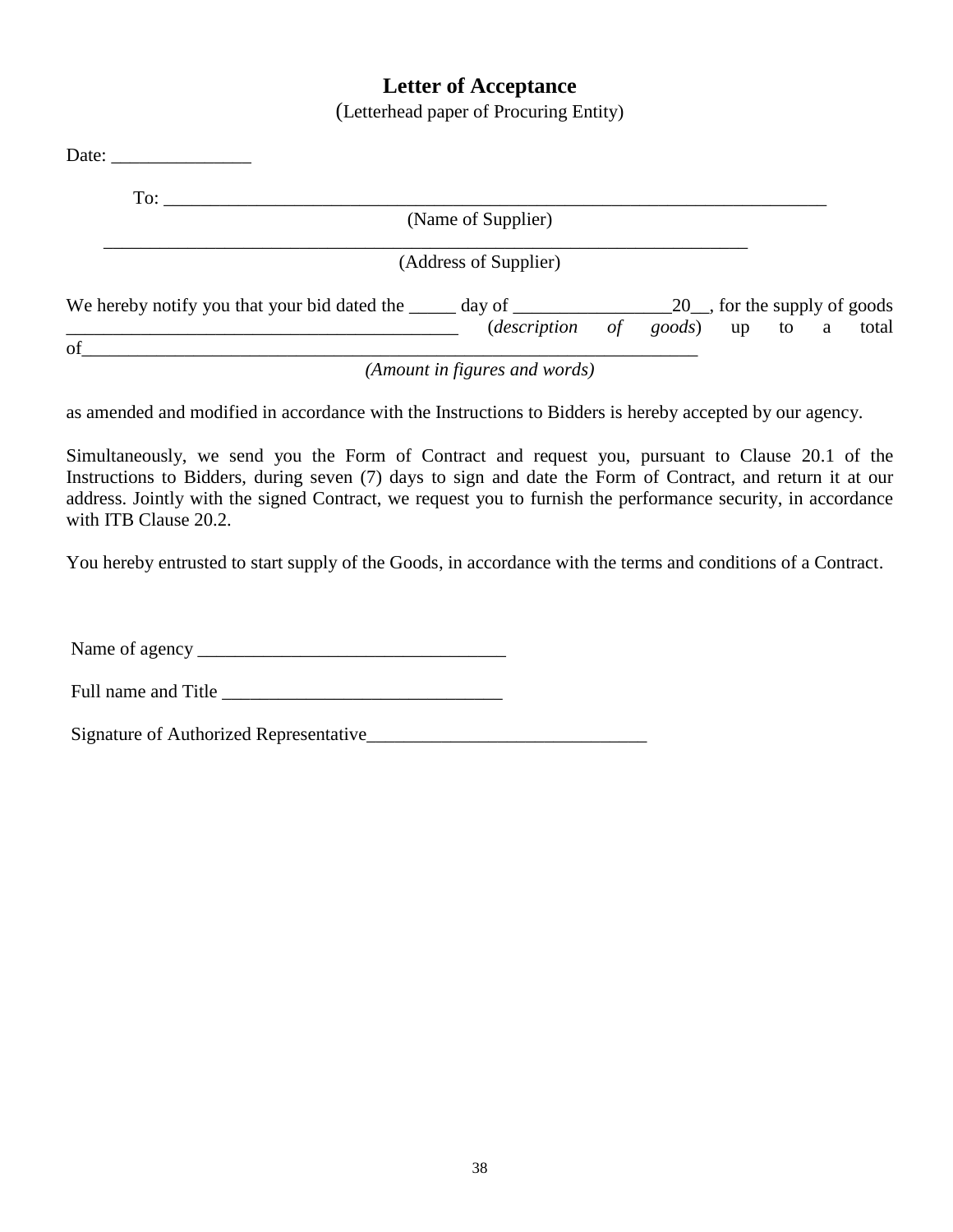#### **Letter of Acceptance**

(Letterhead paper of Procuring Entity)

| Date: $\frac{2}{\sqrt{2}}$                                                                                  |                               |                                      |
|-------------------------------------------------------------------------------------------------------------|-------------------------------|--------------------------------------|
| To:                                                                                                         |                               |                                      |
|                                                                                                             | (Name of Supplier)            |                                      |
|                                                                                                             | (Address of Supplier)         |                                      |
| We hereby notify you that your bid dated the $\_\_\_\_$ day of $\_\_\_\_\_\_\_$ 20, for the supply of goods |                               | (description of goods) up to a total |
| of                                                                                                          | (Amount in figures and words) |                                      |

as amended and modified in accordance with the Instructions to Bidders is hereby accepted by our agency.

Simultaneously, we send you the Form of Contract and request you, pursuant to Clause 20.1 of the Instructions to Bidders, during seven (7) days to sign and date the Form of Contract, and return it at our address. Jointly with the signed Contract, we request you to furnish the performance security, in accordance with ITB Clause 20.2.

You hereby entrusted to start supply of the Goods, in accordance with the terms and conditions of a Contract.

Name of agency \_\_\_\_\_\_\_\_\_\_\_\_\_\_\_\_\_\_\_\_\_\_\_\_\_\_\_\_\_\_\_\_\_

Full name and Title \_\_\_\_\_\_\_\_\_\_\_\_\_\_\_\_\_\_\_\_\_\_\_\_\_\_\_\_\_\_

Signature of Authorized Representative\_\_\_\_\_\_\_\_\_\_\_\_\_\_\_\_\_\_\_\_\_\_\_\_\_\_\_\_\_\_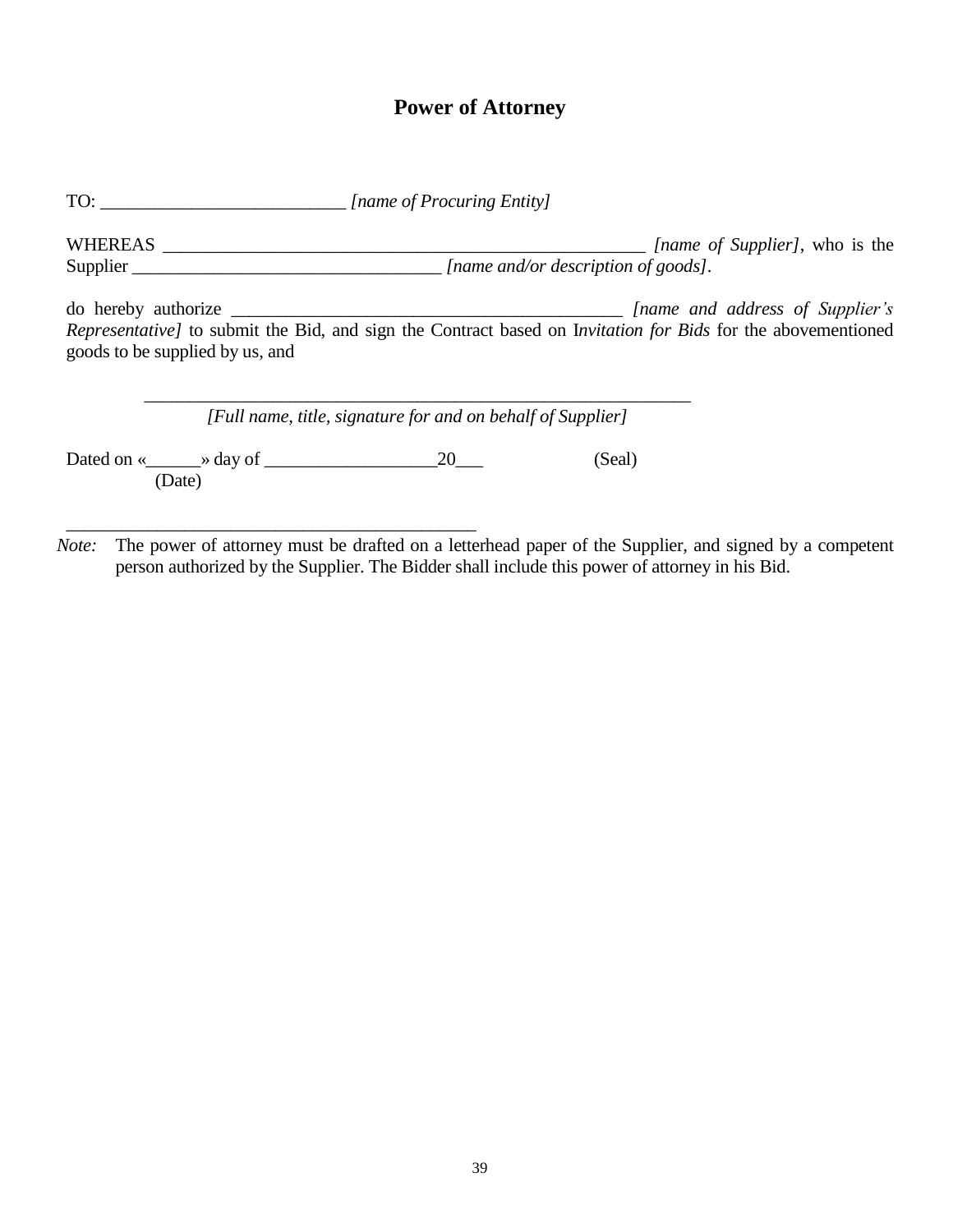### **Power of Attorney**

TO: \_\_\_\_\_\_\_\_\_\_\_\_\_\_\_\_\_\_\_\_\_\_\_\_\_\_\_ *[name of Procuring Entity]*

WHEREAS \_\_\_\_\_\_\_\_\_\_\_\_\_\_\_\_\_\_\_\_\_\_\_\_\_\_\_\_\_\_\_\_\_\_\_\_\_\_\_\_\_\_\_\_\_\_\_\_\_\_\_\_\_ *[name of Supplier]*, who is the Supplier \_\_\_\_\_\_\_\_\_\_\_\_\_\_\_\_\_\_\_\_\_\_\_\_\_\_\_\_\_\_\_\_\_\_ *[name and/or description of goods].*

do hereby authorize \_\_\_\_\_\_\_\_\_\_\_\_\_\_\_\_\_\_\_\_\_\_\_\_\_\_\_\_\_\_\_\_\_\_\_\_\_\_\_\_\_\_\_ *[name and address of Supplier's Representative]* to submit the Bid, and sign the Contract based on I*nvitation for Bids* for the abovementioned goods to be supplied by us, and

| [Full name, title, signature for and on behalf of Supplier] |        |  |        |
|-------------------------------------------------------------|--------|--|--------|
| Dated on « $\qquad \qquad \rightarrow$ day of               | (Date) |  | (Seal) |

\_\_\_\_\_\_\_\_\_\_\_\_\_\_\_\_\_\_\_\_\_\_\_\_\_\_\_\_\_\_\_\_\_\_\_\_\_\_\_\_\_\_\_\_\_ *Note*: The power of attorney must be drafted on a letterhead paper of the Supplier, and signed by a competent person authorized by the Supplier. The Bidder shall include this power of attorney in his Bid.